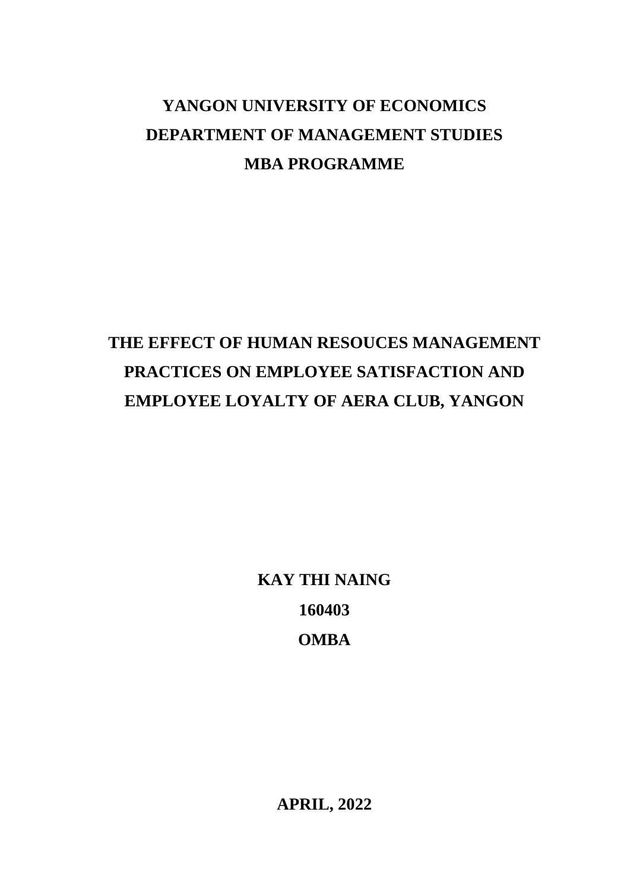## **YANGON UNIVERSITY OF ECONOMICS DEPARTMENT OF MANAGEMENT STUDIES MBA PROGRAMME**

# **THE EFFECT OF HUMAN RESOUCES MANAGEMENT PRACTICES ON EMPLOYEE SATISFACTION AND EMPLOYEE LOYALTY OF AERA CLUB, YANGON**

**KAY THI NAING 160403 OMBA**

**APRIL, 2022**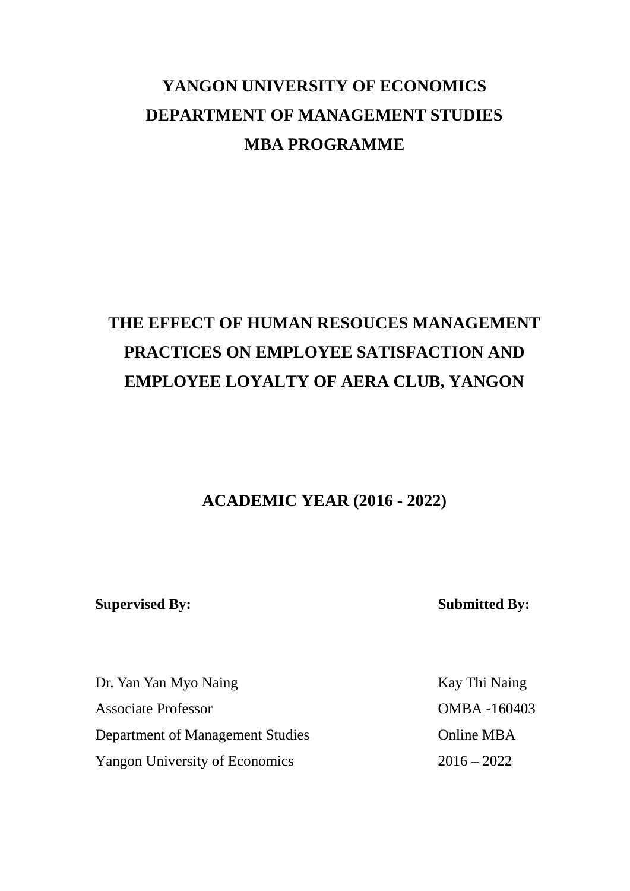## **YANGON UNIVERSITY OF ECONOMICS DEPARTMENT OF MANAGEMENT STUDIES MBA PROGRAMME**

## **THE EFFECT OF HUMAN RESOUCES MANAGEMENT PRACTICES ON EMPLOYEE SATISFACTION AND EMPLOYEE LOYALTY OF AERA CLUB, YANGON**

**ACADEMIC YEAR (2016 - 2022)**

**Supervised By: Submitted By:**

Dr. Yan Yan Myo Naing Kay Thi Naing Associate Professor OMBA -160403 Department of Management Studies Online MBA Yangon University of Economics 2016 – 2022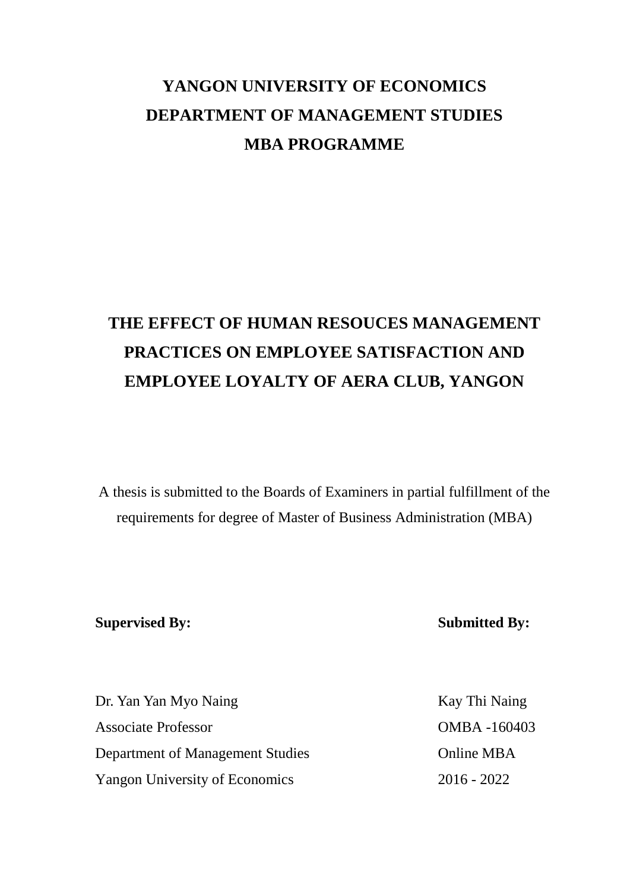## **YANGON UNIVERSITY OF ECONOMICS DEPARTMENT OF MANAGEMENT STUDIES MBA PROGRAMME**

# **THE EFFECT OF HUMAN RESOUCES MANAGEMENT PRACTICES ON EMPLOYEE SATISFACTION AND EMPLOYEE LOYALTY OF AERA CLUB, YANGON**

A thesis is submitted to the Boards of Examiners in partial fulfillment of the requirements for degree of Master of Business Administration (MBA)

### **Supervised By: Submitted By:**

| Dr. Yan Yan Myo Naing                 | Kay Thi Naing |
|---------------------------------------|---------------|
| <b>Associate Professor</b>            | OMBA-160403   |
| Department of Management Studies      | Online MBA    |
| <b>Yangon University of Economics</b> | $2016 - 2022$ |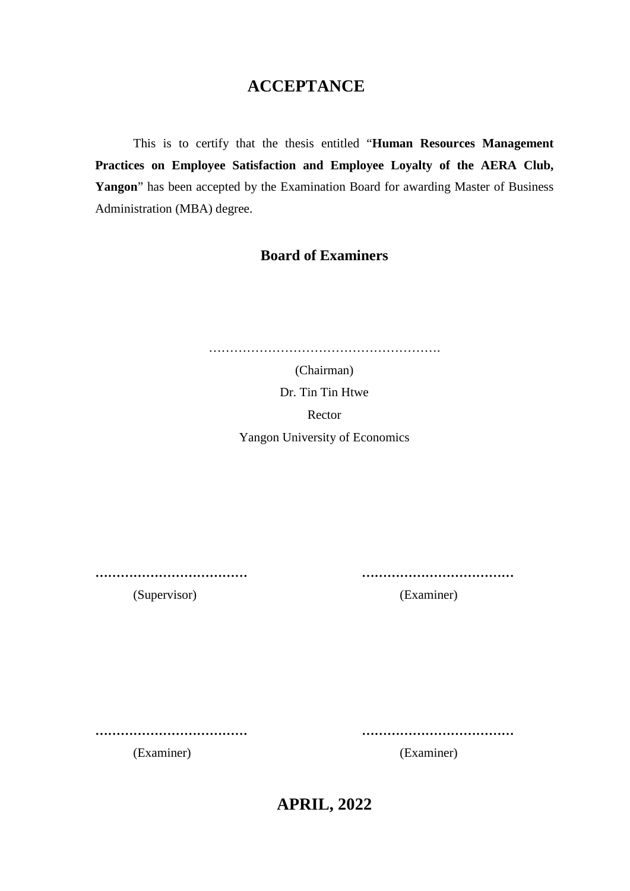### **ACCEPTANCE**

This is to certify that the thesis entitled "**Human Resources Management Practices on Employee Satisfaction and Employee Loyalty of the AERA Club, Yangon**" has been accepted by the Examination Board for awarding Master of Business Administration (MBA) degree.

### **Board of Examiners**

| (Chairman)                            |
|---------------------------------------|
| Dr. Tin Tin Htwe                      |
| Rector                                |
| <b>Yangon University of Economics</b> |
|                                       |
|                                       |

**……………………………… ………………………………**

(Supervisor) (Examiner)

**……………………………… ………………………………**

(Examiner) (Examiner)

**APRIL, 2022**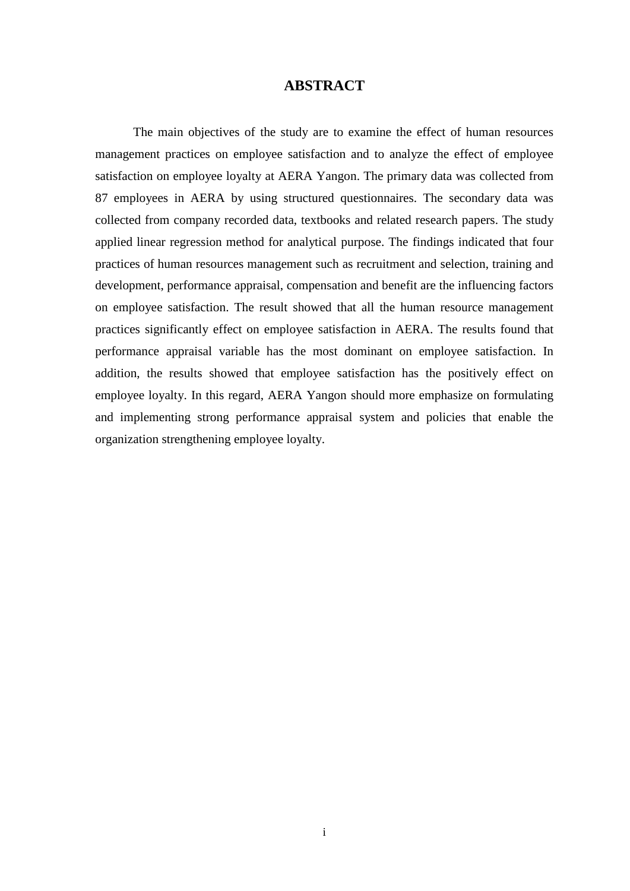#### **ABSTRACT**

The main objectives of the study are to examine the effect of human resources management practices on employee satisfaction and to analyze the effect of employee satisfaction on employee loyalty at AERA Yangon. The primary data was collected from 87 employees in AERA by using structured questionnaires. The secondary data was collected from company recorded data, textbooks and related research papers. The study applied linear regression method for analytical purpose. The findings indicated that four practices of human resources management such as recruitment and selection, training and development, performance appraisal, compensation and benefit are the influencing factors on employee satisfaction. The result showed that all the human resource management practices significantly effect on employee satisfaction in AERA. The results found that performance appraisal variable has the most dominant on employee satisfaction. In addition, the results showed that employee satisfaction has the positively effect on employee loyalty. In this regard, AERA Yangon should more emphasize on formulating and implementing strong performance appraisal system and policies that enable the organization strengthening employee loyalty.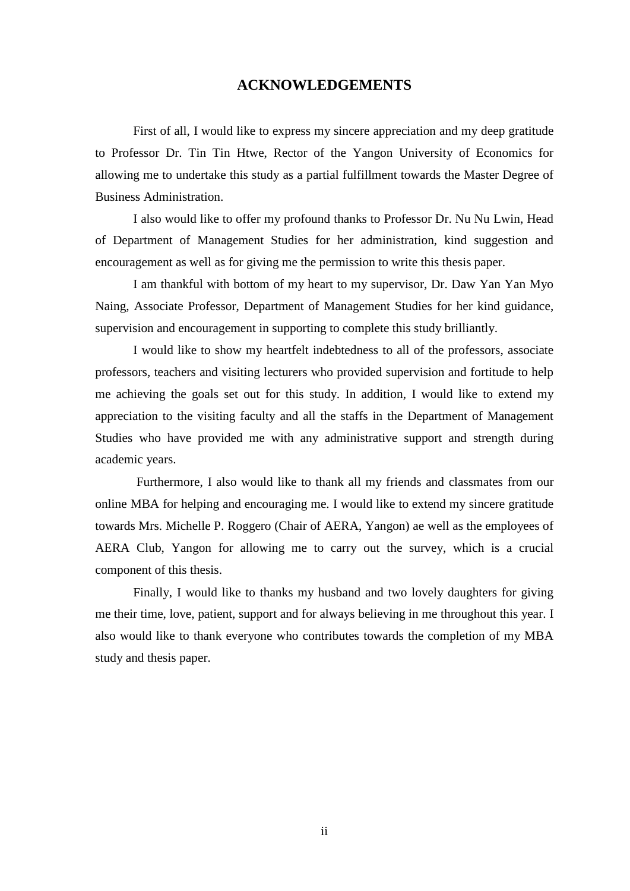#### **ACKNOWLEDGEMENTS**

First of all, I would like to express my sincere appreciation and my deep gratitude to Professor Dr. Tin Tin Htwe, Rector of the Yangon University of Economics for allowing me to undertake this study as a partial fulfillment towards the Master Degree of Business Administration.

I also would like to offer my profound thanks to Professor Dr. Nu Nu Lwin, Head of Department of Management Studies for her administration, kind suggestion and encouragement as well as for giving me the permission to write this thesis paper.

I am thankful with bottom of my heart to my supervisor, Dr. Daw Yan Yan Myo Naing, Associate Professor, Department of Management Studies for her kind guidance, supervision and encouragement in supporting to complete this study brilliantly.

I would like to show my heartfelt indebtedness to all of the professors, associate professors, teachers and visiting lecturers who provided supervision and fortitude to help me achieving the goals set out for this study. In addition, I would like to extend my appreciation to the visiting faculty and all the staffs in the Department of Management Studies who have provided me with any administrative support and strength during academic years.

Furthermore, I also would like to thank all my friends and classmates from our online MBA for helping and encouraging me. I would like to extend my sincere gratitude towards Mrs. Michelle P. Roggero (Chair of AERA, Yangon) ae well as the employees of AERA Club, Yangon for allowing me to carry out the survey, which is a crucial component of this thesis.

Finally, I would like to thanks my husband and two lovely daughters for giving me their time, love, patient, support and for always believing in me throughout this year. I also would like to thank everyone who contributes towards the completion of my MBA study and thesis paper.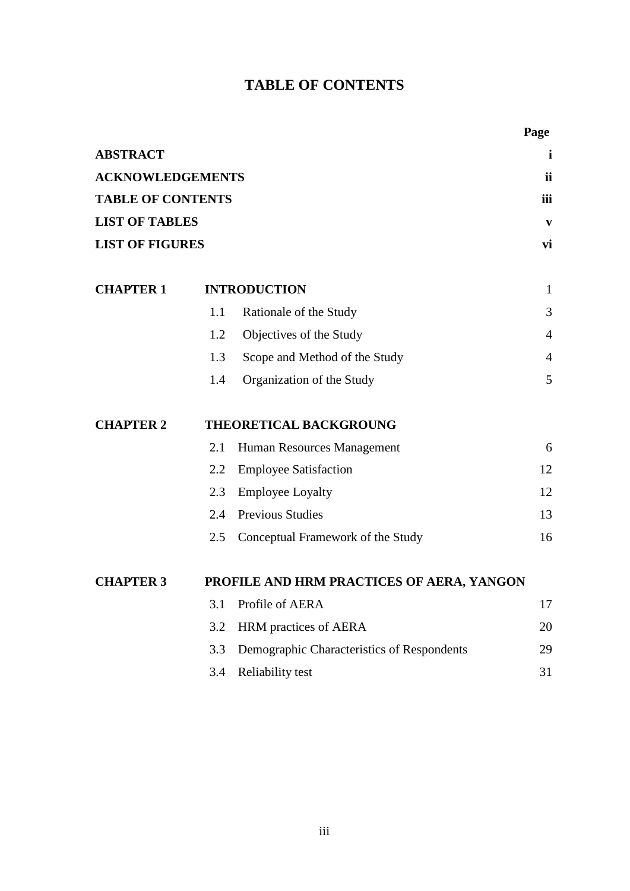## **TABLE OF CONTENTS**

|                          |     |                                            | Page           |
|--------------------------|-----|--------------------------------------------|----------------|
| <b>ABSTRACT</b>          |     |                                            | $\mathbf i$    |
| <b>ACKNOWLEDGEMENTS</b>  |     |                                            | ii             |
| <b>TABLE OF CONTENTS</b> |     |                                            | iii            |
| <b>LIST OF TABLES</b>    |     |                                            | $\mathbf{v}$   |
| <b>LIST OF FIGURES</b>   |     |                                            | vi             |
| <b>CHAPTER 1</b>         |     | <b>INTRODUCTION</b>                        | $\mathbf{1}$   |
|                          | 1.1 | Rationale of the Study                     | 3              |
|                          | 1.2 | Objectives of the Study                    | $\overline{4}$ |
|                          | 1.3 | Scope and Method of the Study              | 4              |
|                          | 1.4 | Organization of the Study                  | 5              |
| <b>CHAPTER 2</b>         |     | THEORETICAL BACKGROUNG                     |                |
|                          | 2.1 | Human Resources Management                 | 6              |
|                          | 2.2 | <b>Employee Satisfaction</b>               | 12             |
|                          | 2.3 | <b>Employee Loyalty</b>                    | 12             |
|                          | 2.4 | <b>Previous Studies</b>                    | 13             |
|                          | 2.5 | Conceptual Framework of the Study          | 16             |
| <b>CHAPTER 3</b>         |     | PROFILE AND HRM PRACTICES OF AERA, YANGON  |                |
|                          | 3.1 | Profile of AERA                            | 17             |
|                          | 3.2 | HRM practices of AERA                      | 20             |
|                          | 3.3 | Demographic Characteristics of Respondents | 29             |
|                          | 3.4 | Reliability test                           | 31             |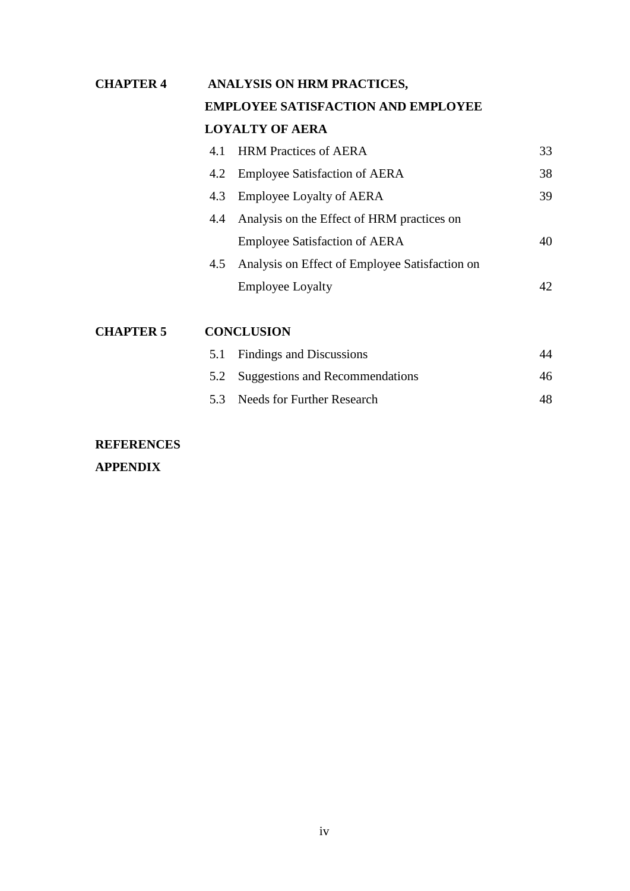## **CHAPTER 4 ANALYSIS ON HRM PRACTICES, EMPLOYEE SATISFACTION AND EMPLOYEE LOYALTY OF AERA** 4.1 HRM Practices of AERA 33 4.2 Employee Satisfaction of AERA 38 4.3 Employee Loyalty of AERA 39 4.4 Analysis on the Effect of HRM practices on Employee Satisfaction of AERA 40 4.5 Analysis on Effect of Employee Satisfaction on Employee Loyalty 42

### **CHAPTER 5 CONCLUSION**

| 5.1 Findings and Discussions        | 44 |
|-------------------------------------|----|
| 5.2 Suggestions and Recommendations | 46 |
| 5.3 Needs for Further Research      | 48 |

## **REFERENCES**

**APPENDIX**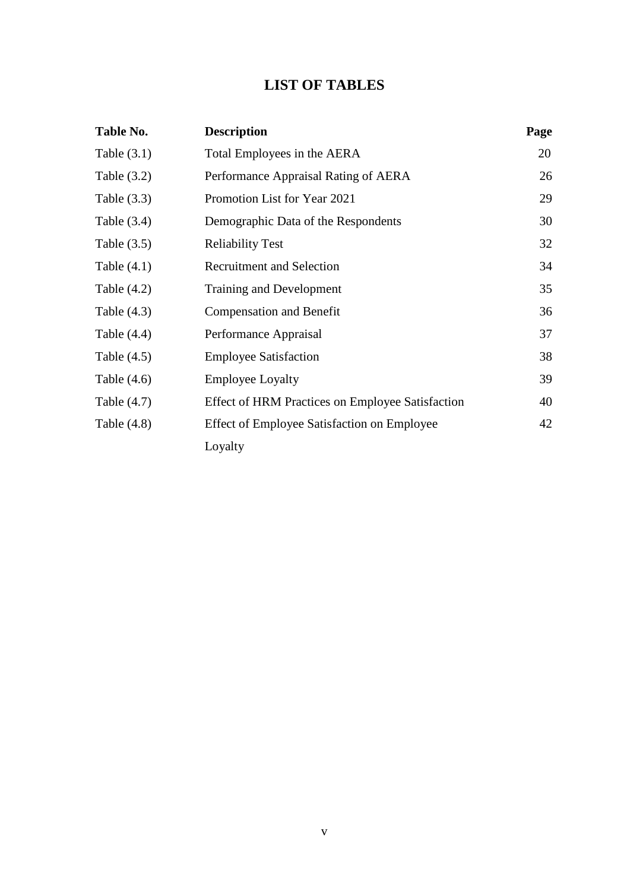### **LIST OF TABLES**

| Table No.     | <b>Description</b>                               | Page |
|---------------|--------------------------------------------------|------|
| Table $(3.1)$ | Total Employees in the AERA                      | 20   |
| Table $(3.2)$ | Performance Appraisal Rating of AERA             | 26   |
| Table $(3.3)$ | Promotion List for Year 2021                     | 29   |
| Table $(3.4)$ | Demographic Data of the Respondents              | 30   |
| Table $(3.5)$ | <b>Reliability Test</b>                          | 32   |
| Table $(4.1)$ | <b>Recruitment and Selection</b>                 | 34   |
| Table $(4.2)$ | Training and Development                         | 35   |
| Table $(4.3)$ | <b>Compensation and Benefit</b>                  | 36   |
| Table $(4.4)$ | Performance Appraisal                            | 37   |
| Table $(4.5)$ | <b>Employee Satisfaction</b>                     | 38   |
| Table $(4.6)$ | <b>Employee Loyalty</b>                          | 39   |
| Table $(4.7)$ | Effect of HRM Practices on Employee Satisfaction | 40   |
| Table $(4.8)$ | Effect of Employee Satisfaction on Employee      | 42   |
|               | Loyalty                                          |      |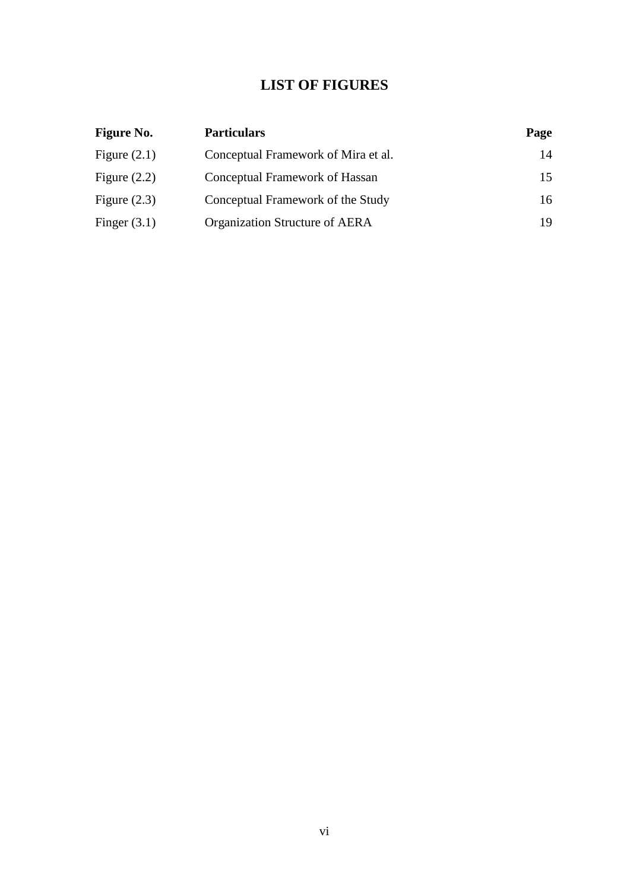### **LIST OF FIGURES**

| <b>Figure No.</b> | <b>Particulars</b>                  | Page |
|-------------------|-------------------------------------|------|
| Figure $(2.1)$    | Conceptual Framework of Mira et al. | 14   |
| Figure $(2.2)$    | Conceptual Framework of Hassan      | 15   |
| Figure $(2.3)$    | Conceptual Framework of the Study   | 16   |
| Finger $(3.1)$    | Organization Structure of AERA      | 19   |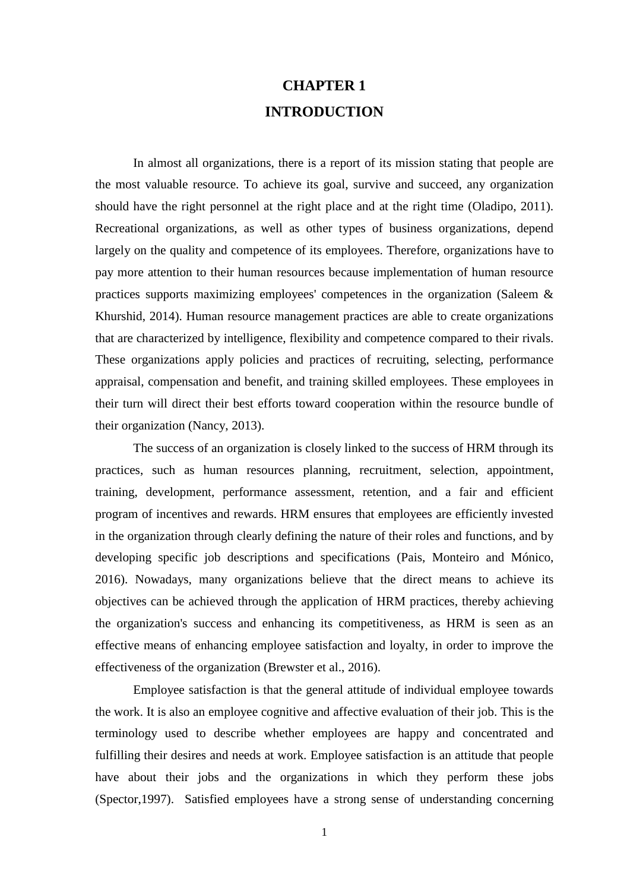## **CHAPTER 1 INTRODUCTION**

In almost all organizations, there is a report of its mission stating that people are the most valuable resource. To achieve its goal, survive and succeed, any organization should have the right personnel at the right place and at the right time (Oladipo, 2011). Recreational organizations, as well as other types of business organizations, depend largely on the quality and competence of its employees. Therefore, organizations have to pay more attention to their human resources because implementation of human resource practices supports maximizing employees' competences in the organization (Saleem & Khurshid, 2014). Human resource management practices are able to create organizations that are characterized by intelligence, flexibility and competence compared to their rivals. These organizations apply policies and practices of recruiting, selecting, performance appraisal, compensation and benefit, and training skilled employees. These employees in their turn will direct their best efforts toward cooperation within the resource bundle of their organization (Nancy, 2013).

The success of an organization is closely linked to the success of HRM through its practices, such as human resources planning, recruitment, selection, appointment, training, development, performance assessment, retention, and a fair and efficient program of incentives and rewards. HRM ensures that employees are efficiently invested in the organization through clearly defining the nature of their roles and functions, and by developing specific job descriptions and specifications (Pais, Monteiro and Mónico, 2016). Nowadays, many organizations believe that the direct means to achieve its objectives can be achieved through the application of HRM practices, thereby achieving the organization's success and enhancing its competitiveness, as HRM is seen as an effective means of enhancing employee satisfaction and loyalty, in order to improve the effectiveness of the organization (Brewster et al., 2016).

Employee satisfaction is that the general attitude of individual employee towards the work. It is also an employee cognitive and affective evaluation of their job. This is the terminology used to describe whether employees are happy and concentrated and fulfilling their desires and needs at work. Employee satisfaction is an attitude that people have about their jobs and the organizations in which they perform these jobs (Spector,1997). Satisfied employees have a strong sense of understanding concerning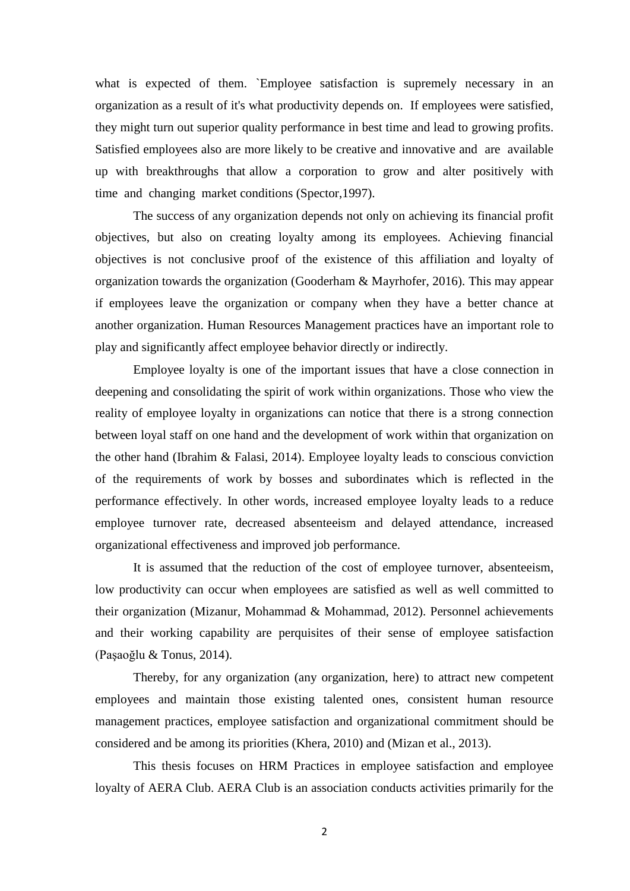what is expected of them. `Employee satisfaction is supremely necessary in an organization as a result of it's what productivity depends on. If employees were satisfied, they might turn out superior quality performance in best time and lead to growing profits. Satisfied employees also are more likely to be creative and innovative and are available up with breakthroughs that allow a corporation to grow and alter positively with time and changing market conditions (Spector,1997).

The success of any organization depends not only on achieving its financial profit objectives, but also on creating loyalty among its employees. Achieving financial objectives is not conclusive proof of the existence of this affiliation and loyalty of organization towards the organization (Gooderham & Mayrhofer, 2016). This may appear if employees leave the organization or company when they have a better chance at another organization. Human Resources Management practices have an important role to play and significantly affect employee behavior directly or indirectly.

Employee loyalty is one of the important issues that have a close connection in deepening and consolidating the spirit of work within organizations. Those who view the reality of employee loyalty in organizations can notice that there is a strong connection between loyal staff on one hand and the development of work within that organization on the other hand (Ibrahim & Falasi, 2014). Employee loyalty leads to conscious conviction of the requirements of work by bosses and subordinates which is reflected in the performance effectively. In other words, increased employee loyalty leads to a reduce employee turnover rate, decreased absenteeism and delayed attendance, increased organizational effectiveness and improved job performance.

It is assumed that the reduction of the cost of employee turnover, absenteeism, low productivity can occur when employees are satisfied as well as well committed to their organization (Mizanur, Mohammad & Mohammad, 2012). Personnel achievements and their working capability are perquisites of their sense of employee satisfaction (Paşaoğlu & Tonus, 2014).

Thereby, for any organization (any organization, here) to attract new competent employees and maintain those existing talented ones, consistent human resource management practices, employee satisfaction and organizational commitment should be considered and be among its priorities (Khera, 2010) and (Mizan et al., 2013).

This thesis focuses on HRM Practices in employee satisfaction and employee loyalty of AERA Club. AERA Club is an association conducts activities primarily for the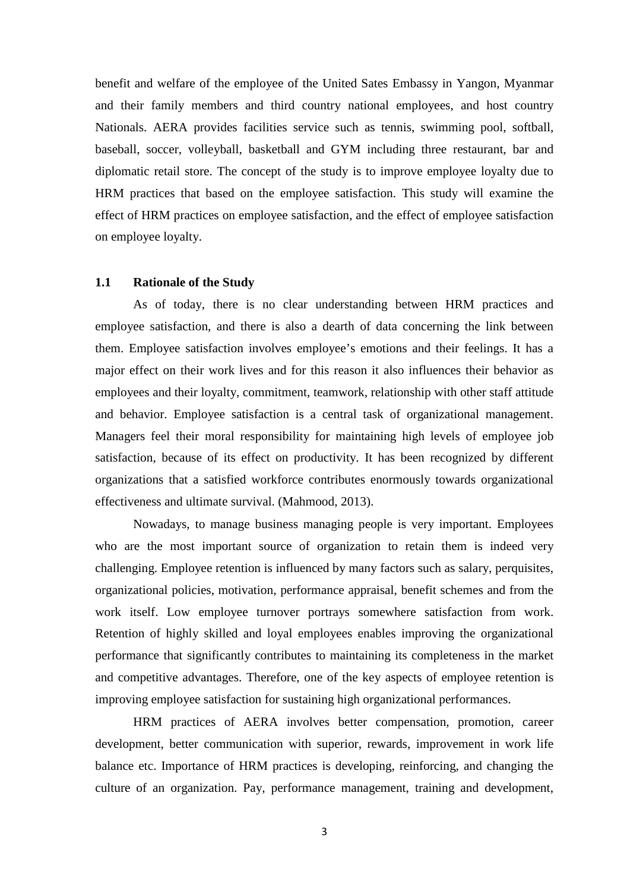benefit and welfare of the employee of the United Sates Embassy in Yangon, Myanmar and their family members and third country national employees, and host country Nationals. AERA provides facilities service such as tennis, swimming pool, softball, baseball, soccer, volleyball, basketball and GYM including three restaurant, bar and diplomatic retail store. The concept of the study is to improve employee loyalty due to HRM practices that based on the employee satisfaction. This study will examine the effect of HRM practices on employee satisfaction, and the effect of employee satisfaction on employee loyalty.

#### **1.1 Rationale of the Study**

As of today, there is no clear understanding between HRM practices and employee satisfaction, and there is also a dearth of data concerning the link between them. Employee satisfaction involves employee's emotions and their feelings. It has a major effect on their work lives and for this reason it also influences their behavior as employees and their loyalty, commitment, teamwork, relationship with other staff attitude and behavior. Employee satisfaction is a central task of organizational management. Managers feel their moral responsibility for maintaining high levels of employee job satisfaction, because of its effect on productivity. It has been recognized by different organizations that a satisfied workforce contributes enormously towards organizational effectiveness and ultimate survival. (Mahmood, 2013).

Nowadays, to manage business managing people is very important. Employees who are the most important source of organization to retain them is indeed very challenging. Employee retention is influenced by many factors such as salary, perquisites, organizational policies, motivation, performance appraisal, benefit schemes and from the work itself. Low employee turnover portrays somewhere satisfaction from work. Retention of highly skilled and loyal employees enables improving the organizational performance that significantly contributes to maintaining its completeness in the market and competitive advantages. Therefore, one of the key aspects of employee retention is improving employee satisfaction for sustaining high organizational performances.

HRM practices of AERA involves better compensation, promotion, career development, better communication with superior, rewards, improvement in work life balance etc. Importance of HRM practices is developing, reinforcing, and changing the culture of an organization. Pay, performance management, training and development,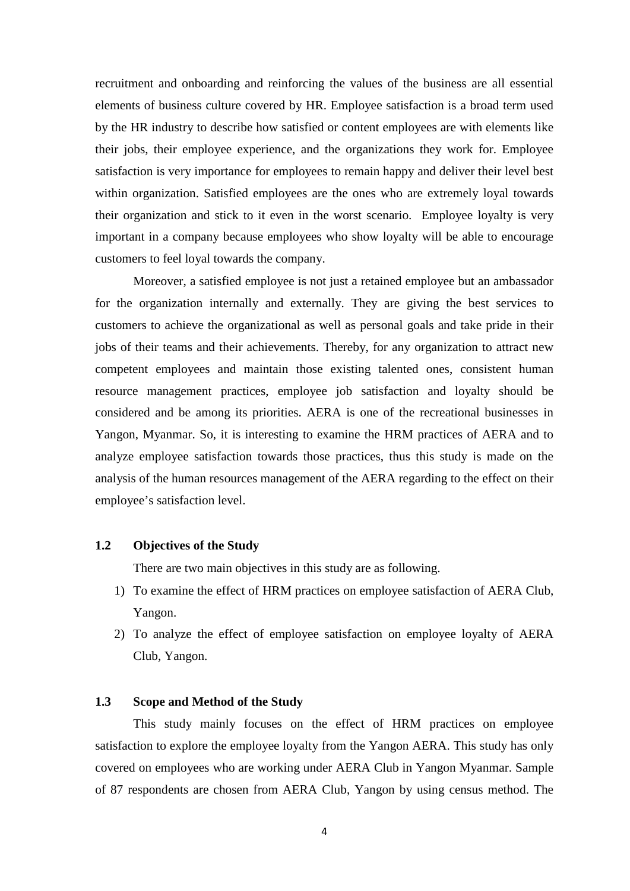recruitment and onboarding and reinforcing the values of the business are all essential elements of business culture covered by HR. Employee satisfaction is a broad term used by the HR industry to describe how satisfied or content employees are with elements like their jobs, their employee experience, and the organizations they work for. Employee satisfaction is very importance for employees to remain happy and deliver their level best within organization. Satisfied employees are the ones who are extremely loyal towards their organization and stick to it even in the worst scenario. Employee loyalty is very important in a company because employees who show loyalty will be able to encourage customers to feel loyal towards the company.

Moreover, a satisfied employee is not just a retained employee but an ambassador for the organization internally and externally. They are giving the best services to customers to achieve the organizational as well as personal goals and take pride in their jobs of their teams and their achievements. Thereby, for any organization to attract new competent employees and maintain those existing talented ones, consistent human resource management practices, employee job satisfaction and loyalty should be considered and be among its priorities. AERA is one of the recreational businesses in Yangon, Myanmar. So, it is interesting to examine the HRM practices of AERA and to analyze employee satisfaction towards those practices, thus this study is made on the analysis of the human resources management of the AERA regarding to the effect on their employee's satisfaction level.

#### **1.2 Objectives of the Study**

There are two main objectives in this study are as following.

- 1) To examine the effect of HRM practices on employee satisfaction of AERA Club, Yangon.
- 2) To analyze the effect of employee satisfaction on employee loyalty of AERA Club, Yangon.

#### **1.3 Scope and Method of the Study**

This study mainly focuses on the effect of HRM practices on employee satisfaction to explore the employee loyalty from the Yangon AERA. This study has only covered on employees who are working under AERA Club in Yangon Myanmar. Sample of 87 respondents are chosen from AERA Club, Yangon by using census method. The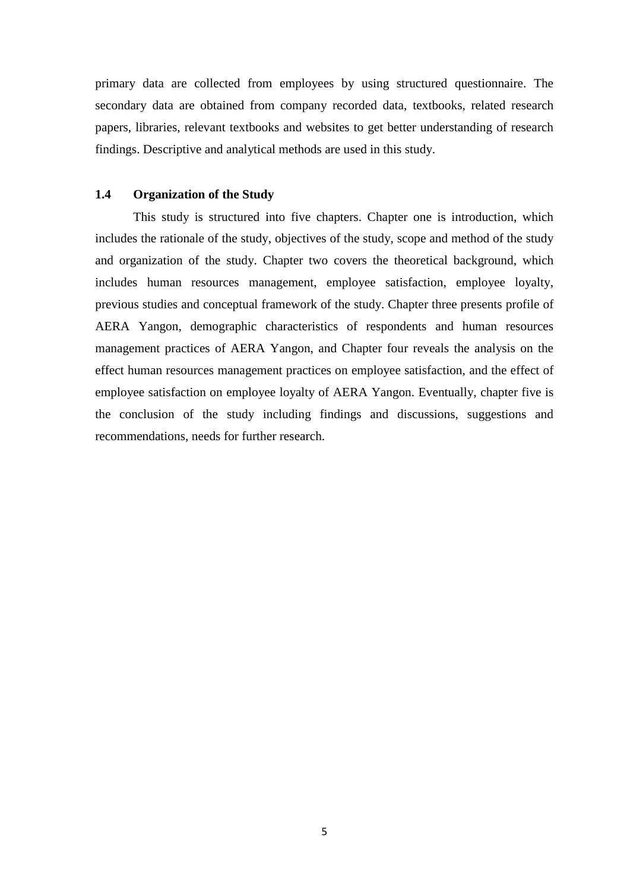primary data are collected from employees by using structured questionnaire. The secondary data are obtained from company recorded data, textbooks, related research papers, libraries, relevant textbooks and websites to get better understanding of research findings. Descriptive and analytical methods are used in this study.

#### **1.4 Organization of the Study**

This study is structured into five chapters. Chapter one is introduction, which includes the rationale of the study, objectives of the study, scope and method of the study and organization of the study. Chapter two covers the theoretical background, which includes human resources management, employee satisfaction, employee loyalty, previous studies and conceptual framework of the study. Chapter three presents profile of AERA Yangon, demographic characteristics of respondents and human resources management practices of AERA Yangon, and Chapter four reveals the analysis on the effect human resources management practices on employee satisfaction, and the effect of employee satisfaction on employee loyalty of AERA Yangon. Eventually, chapter five is the conclusion of the study including findings and discussions, suggestions and recommendations, needs for further research.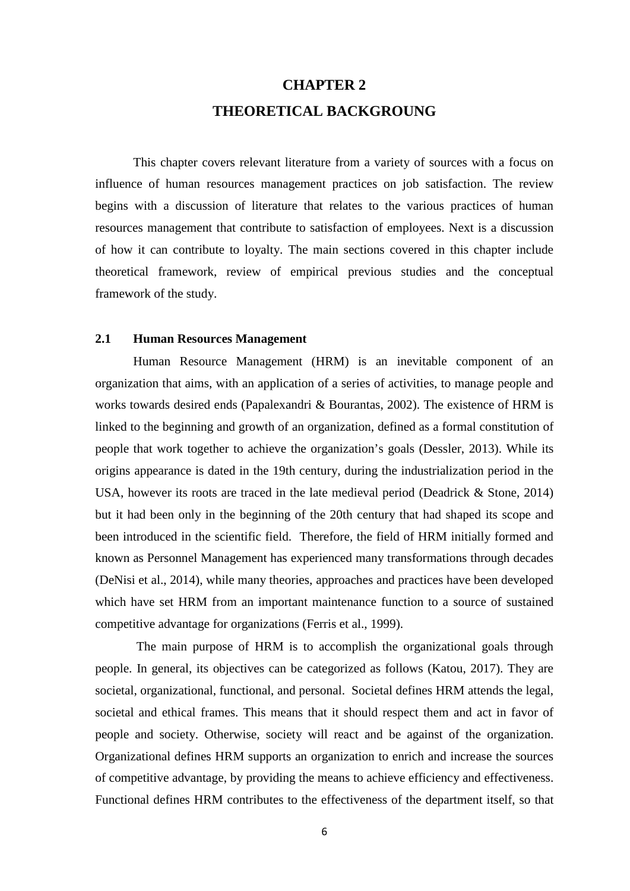## **CHAPTER 2 THEORETICAL BACKGROUNG**

This chapter covers relevant literature from a variety of sources with a focus on influence of human resources management practices on job satisfaction. The review begins with a discussion of literature that relates to the various practices of human resources management that contribute to satisfaction of employees. Next is a discussion of how it can contribute to loyalty. The main sections covered in this chapter include theoretical framework, review of empirical previous studies and the conceptual framework of the study.

#### **2.1 Human Resources Management**

Human Resource Management (HRM) is an inevitable component of an organization that aims, with an application of a series of activities, to manage people and works towards desired ends (Papalexandri & Bourantas, 2002). The existence of HRM is linked to the beginning and growth of an organization, defined as a formal constitution of people that work together to achieve the organization's goals (Dessler, 2013). While its origins appearance is dated in the 19th century, during the industrialization period in the USA, however its roots are traced in the late medieval period (Deadrick & Stone, 2014) but it had been only in the beginning of the 20th century that had shaped its scope and been introduced in the scientific field. Therefore, the field of HRM initially formed and known as Personnel Management has experienced many transformations through decades (DeNisi et al., 2014), while many theories, approaches and practices have been developed which have set HRM from an important maintenance function to a source of sustained competitive advantage for organizations (Ferris et al., 1999).

The main purpose of HRM is to accomplish the organizational goals through people. In general, its objectives can be categorized as follows (Katou, 2017). They are societal, organizational, functional, and personal. Societal defines HRM attends the legal, societal and ethical frames. This means that it should respect them and act in favor of people and society. Otherwise, society will react and be against of the organization. Organizational defines HRM supports an organization to enrich and increase the sources of competitive advantage, by providing the means to achieve efficiency and effectiveness. Functional defines HRM contributes to the effectiveness of the department itself, so that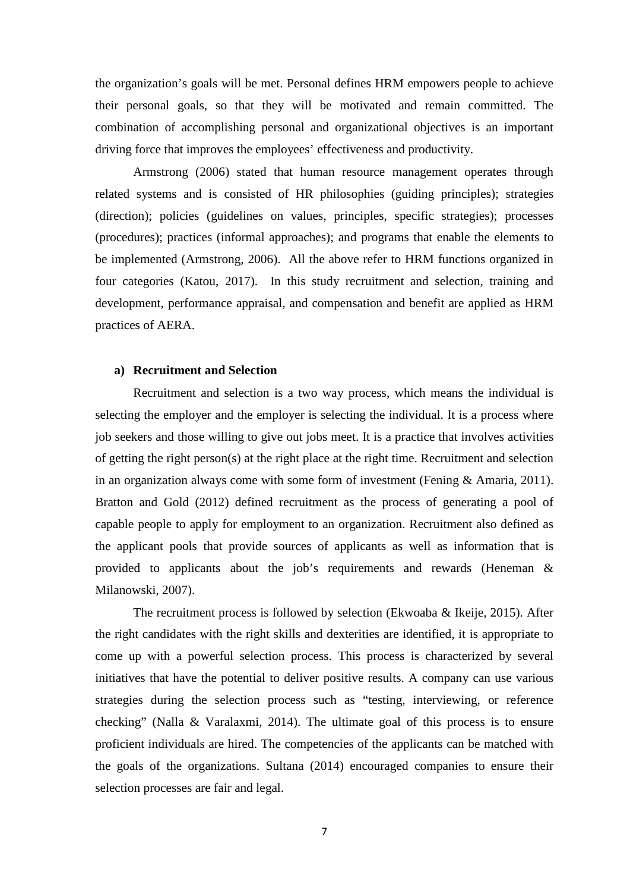the organization's goals will be met. Personal defines HRM empowers people to achieve their personal goals, so that they will be motivated and remain committed. The combination of accomplishing personal and organizational objectives is an important driving force that improves the employees' effectiveness and productivity.

Armstrong (2006) stated that human resource management operates through related systems and is consisted of HR philosophies (guiding principles); strategies (direction); policies (guidelines on values, principles, specific strategies); processes (procedures); practices (informal approaches); and programs that enable the elements to be implemented (Armstrong, 2006). All the above refer to HRM functions organized in four categories (Katou, 2017). In this study recruitment and selection, training and development, performance appraisal, and compensation and benefit are applied as HRM practices of AERA.

#### **a) Recruitment and Selection**

Recruitment and selection is a two way process, which means the individual is selecting the employer and the employer is selecting the individual. It is a process where job seekers and those willing to give out jobs meet. It is a practice that involves activities of getting the right person(s) at the right place at the right time. Recruitment and selection in an organization always come with some form of investment (Fening & Amaria, 2011). Bratton and Gold (2012) defined recruitment as the process of generating a pool of capable people to apply for employment to an organization. Recruitment also defined as the applicant pools that provide sources of applicants as well as information that is provided to applicants about the job's requirements and rewards (Heneman & Milanowski, 2007).

The recruitment process is followed by selection (Ekwoaba & Ikeije, 2015). After the right candidates with the right skills and dexterities are identified, it is appropriate to come up with a powerful selection process. This process is characterized by several initiatives that have the potential to deliver positive results. A company can use various strategies during the selection process such as "testing, interviewing, or reference checking" (Nalla & Varalaxmi, 2014). The ultimate goal of this process is to ensure proficient individuals are hired. The competencies of the applicants can be matched with the goals of the organizations. Sultana (2014) encouraged companies to ensure their selection processes are fair and legal.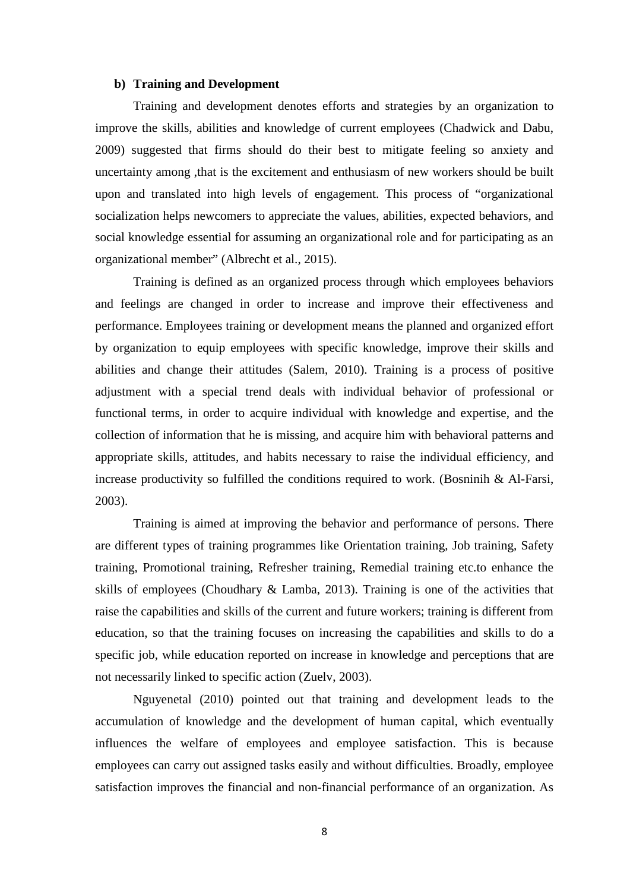#### **b) Training and Development**

Training and development denotes efforts and strategies by an organization to improve the skills, abilities and knowledge of current employees (Chadwick and Dabu, 2009) suggested that firms should do their best to mitigate feeling so anxiety and uncertainty among ,that is the excitement and enthusiasm of new workers should be built upon and translated into high levels of engagement. This process of "organizational socialization helps newcomers to appreciate the values, abilities, expected behaviors, and social knowledge essential for assuming an organizational role and for participating as an organizational member" (Albrecht et al., 2015).

Training is defined as an organized process through which employees behaviors and feelings are changed in order to increase and improve their effectiveness and performance. Employees training or development means the planned and organized effort by organization to equip employees with specific knowledge, improve their skills and abilities and change their attitudes (Salem, 2010). Training is a process of positive adjustment with a special trend deals with individual behavior of professional or functional terms, in order to acquire individual with knowledge and expertise, and the collection of information that he is missing, and acquire him with behavioral patterns and appropriate skills, attitudes, and habits necessary to raise the individual efficiency, and increase productivity so fulfilled the conditions required to work. (Bosninih & Al-Farsi, 2003).

Training is aimed at improving the behavior and performance of persons. There are different types of training programmes like Orientation training, Job training, Safety training, Promotional training, Refresher training, Remedial training etc.to enhance the skills of employees (Choudhary & Lamba, 2013). Training is one of the activities that raise the capabilities and skills of the current and future workers; training is different from education, so that the training focuses on increasing the capabilities and skills to do a specific job, while education reported on increase in knowledge and perceptions that are not necessarily linked to specific action (Zuelv, 2003).

Nguyenetal (2010) pointed out that training and development leads to the accumulation of knowledge and the development of human capital, which eventually influences the welfare of employees and employee satisfaction. This is because employees can carry out assigned tasks easily and without difficulties. Broadly, employee satisfaction improves the financial and non-financial performance of an organization. As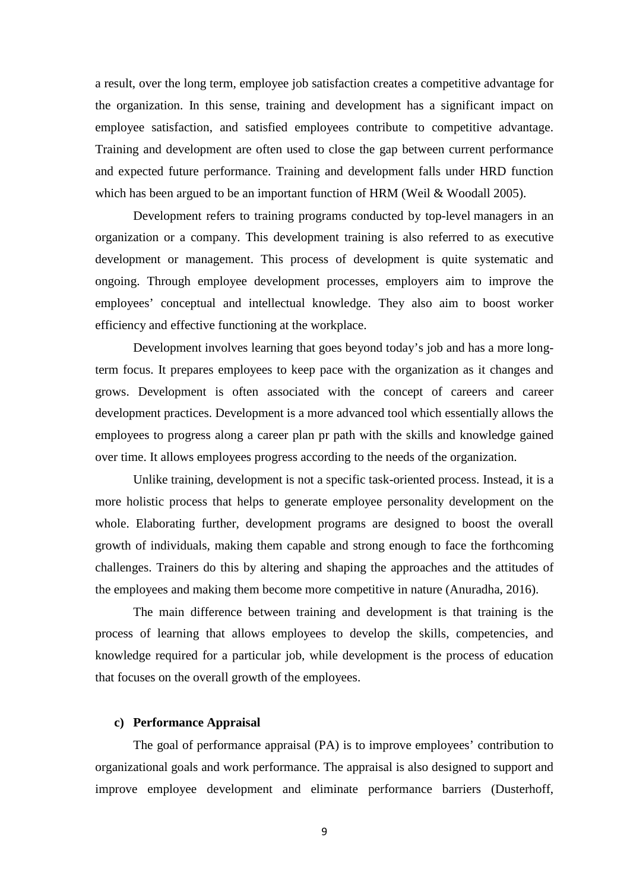a result, over the long term, employee job satisfaction creates a competitive advantage for the organization. In this sense, training and development has a significant impact on employee satisfaction, and satisfied employees contribute to competitive advantage. Training and development are often used to close the gap between current performance and expected future performance. Training and development falls under HRD function which has been argued to be an important function of HRM (Weil & Woodall 2005).

Development refers to training programs conducted by top-level managers in an organization or a company. This development training is also referred to as executive development or management. This process of development is quite systematic and ongoing. Through employee development processes, employers aim to improve the employees' conceptual and intellectual knowledge. They also aim to boost worker efficiency and effective functioning at the workplace.

Development involves learning that goes beyond today's job and has a more longterm focus. It prepares employees to keep pace with the organization as it changes and grows. Development is often associated with the concept of careers and career development practices. Development is a more advanced tool which essentially allows the employees to progress along a career plan pr path with the skills and knowledge gained over time. It allows employees progress according to the needs of the organization.

Unlike training, development is not a specific task-oriented process. Instead, it is a more holistic process that helps to generate employee personality development on the whole. Elaborating further, development programs are designed to boost the overall growth of individuals, making them capable and strong enough to face the forthcoming challenges. Trainers do this by altering and shaping the approaches and the attitudes of the employees and making them become more competitive in nature (Anuradha, 2016).

The main difference between training and development is that training is the process of learning that allows employees to develop the skills, competencies, and knowledge required for a particular job, while development is the process of education that focuses on the overall growth of the employees.

#### **c) Performance Appraisal**

The goal of performance appraisal (PA) is to improve employees' contribution to organizational goals and work performance. The appraisal is also designed to support and improve employee development and eliminate performance barriers (Dusterhoff,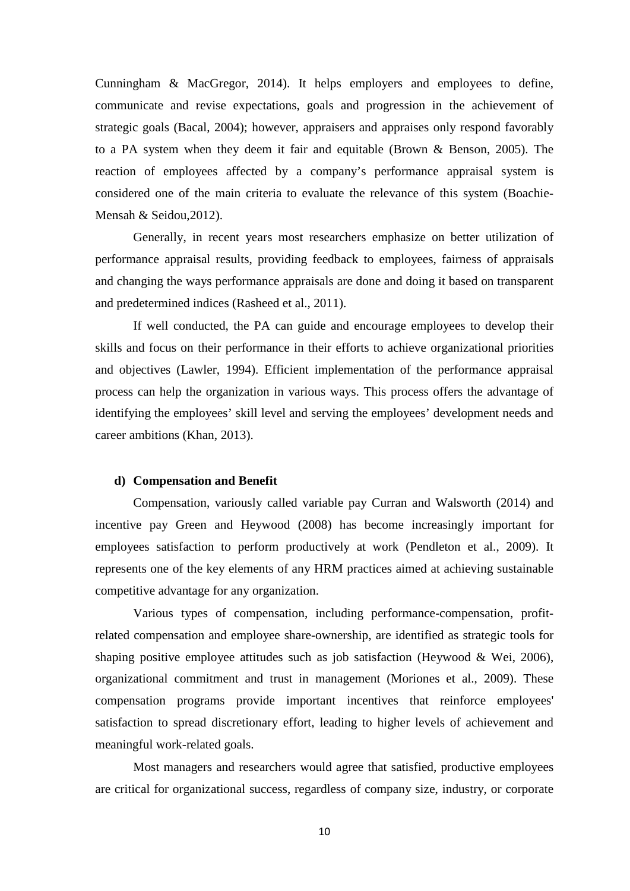Cunningham & MacGregor, 2014). It helps employers and employees to define, communicate and revise expectations, goals and progression in the achievement of strategic goals (Bacal, 2004); however, appraisers and appraises only respond favorably to a PA system when they deem it fair and equitable (Brown & Benson, 2005). The reaction of employees affected by a company's performance appraisal system is considered one of the main criteria to evaluate the relevance of this system (Boachie-Mensah & Seidou,2012).

Generally, in recent years most researchers emphasize on better utilization of performance appraisal results, providing feedback to employees, fairness of appraisals and changing the ways performance appraisals are done and doing it based on transparent and predetermined indices (Rasheed et al., 2011).

If well conducted, the PA can guide and encourage employees to develop their skills and focus on their performance in their efforts to achieve organizational priorities and objectives (Lawler, 1994). Efficient implementation of the performance appraisal process can help the organization in various ways. This process offers the advantage of identifying the employees' skill level and serving the employees' development needs and career ambitions (Khan, 2013).

#### **d) Compensation and Benefit**

Compensation, variously called variable pay Curran and Walsworth (2014) and incentive pay Green and Heywood (2008) has become increasingly important for employees satisfaction to perform productively at work (Pendleton et al., 2009). It represents one of the key elements of any HRM practices aimed at achieving sustainable competitive advantage for any organization.

Various types of compensation, including performance-compensation, profitrelated compensation and employee share-ownership, are identified as strategic tools for shaping positive employee attitudes such as job satisfaction (Heywood & Wei, 2006), organizational commitment and trust in management (Moriones et al., 2009). These compensation programs provide important incentives that reinforce employees' satisfaction to spread discretionary effort, leading to higher levels of achievement and meaningful work-related goals.

Most managers and researchers would agree that satisfied, productive employees are critical for organizational success, regardless of company size, industry, or corporate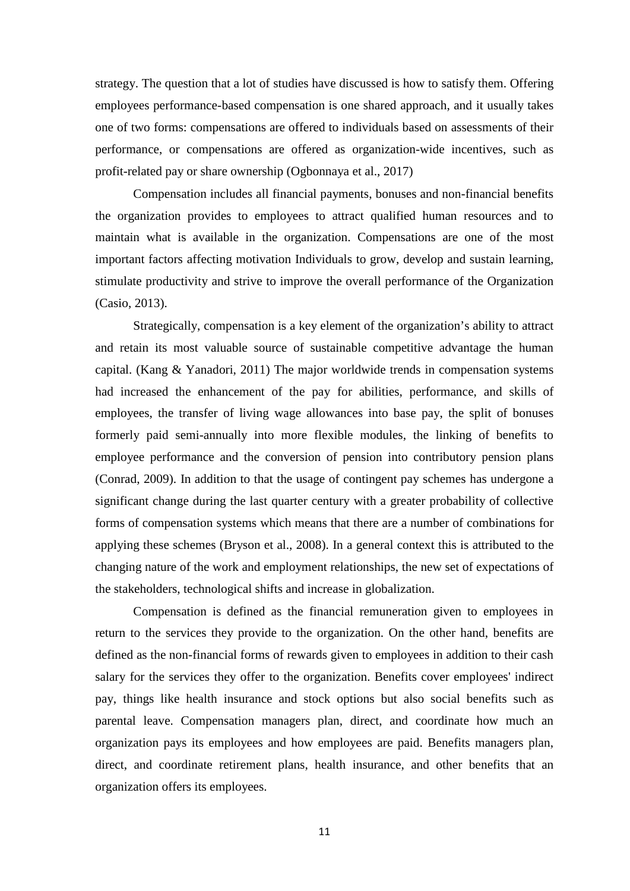strategy. The question that a lot of studies have discussed is how to satisfy them. Offering employees performance-based compensation is one shared approach, and it usually takes one of two forms: compensations are offered to individuals based on assessments of their performance, or compensations are offered as organization-wide incentives, such as profit-related pay or share ownership (Ogbonnaya et al., 2017)

Compensation includes all financial payments, bonuses and non-financial benefits the organization provides to employees to attract qualified human resources and to maintain what is available in the organization. Compensations are one of the most important factors affecting motivation Individuals to grow, develop and sustain learning, stimulate productivity and strive to improve the overall performance of the Organization (Casio, 2013).

Strategically, compensation is a key element of the organization's ability to attract and retain its most valuable source of sustainable competitive advantage the human capital. (Kang & Yanadori, 2011) The major worldwide trends in compensation systems had increased the enhancement of the pay for abilities, performance, and skills of employees, the transfer of living wage allowances into base pay, the split of bonuses formerly paid semi-annually into more flexible modules, the linking of benefits to employee performance and the conversion of pension into contributory pension plans (Conrad, 2009). In addition to that the usage of contingent pay schemes has undergone a significant change during the last quarter century with a greater probability of collective forms of compensation systems which means that there are a number of combinations for applying these schemes (Bryson et al., 2008). In a general context this is attributed to the changing nature of the work and employment relationships, the new set of expectations of the stakeholders, technological shifts and increase in globalization.

Compensation is defined as the financial remuneration given to employees in return to the services they provide to the organization. On the other hand, benefits are defined as the non-financial forms of rewards given to employees in addition to their cash salary for the services they offer to the organization. Benefits cover employees' indirect pay, things like health insurance and stock options but also social benefits such as parental leave. Compensation managers plan, direct, and coordinate how much an organization pays its employees and how employees are paid. Benefits managers plan, direct, and coordinate retirement plans, health insurance, and other benefits that an organization offers its employees.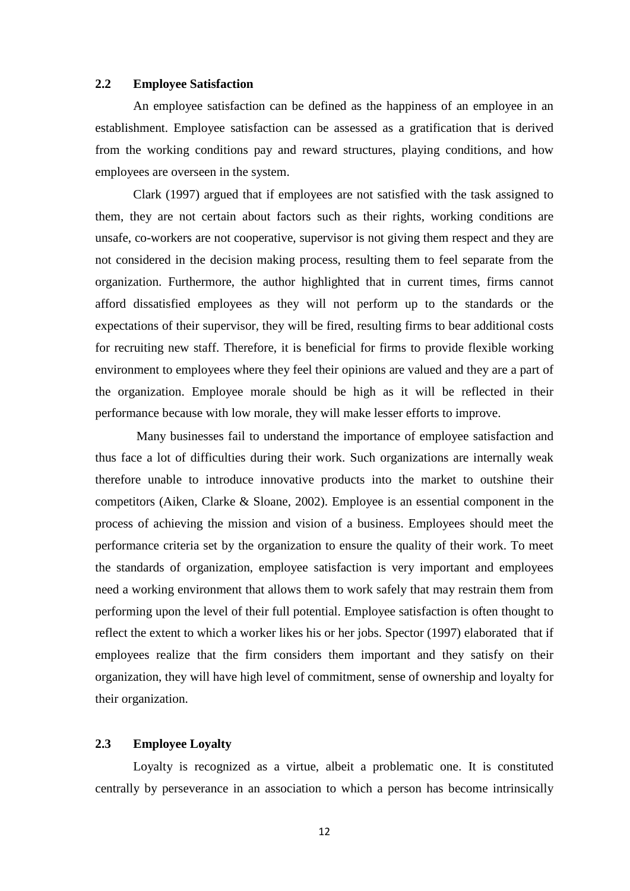#### **2.2 Employee Satisfaction**

An employee satisfaction can be defined as the happiness of an employee in an establishment. Employee satisfaction can be assessed as a gratification that is derived from the working conditions pay and reward structures, playing conditions, and how employees are overseen in the system.

Clark (1997) argued that if employees are not satisfied with the task assigned to them, they are not certain about factors such as their rights, working conditions are unsafe, co-workers are not cooperative, supervisor is not giving them respect and they are not considered in the decision making process, resulting them to feel separate from the organization. Furthermore, the author highlighted that in current times, firms cannot afford dissatisfied employees as they will not perform up to the standards or the expectations of their supervisor, they will be fired, resulting firms to bear additional costs for recruiting new staff. Therefore, it is beneficial for firms to provide flexible working environment to employees where they feel their opinions are valued and they are a part of the organization. Employee morale should be high as it will be reflected in their performance because with low morale, they will make lesser efforts to improve.

Many businesses fail to understand the importance of employee satisfaction and thus face a lot of difficulties during their work. Such organizations are internally weak therefore unable to introduce innovative products into the market to outshine their competitors (Aiken, Clarke & Sloane, 2002). Employee is an essential component in the process of achieving the mission and vision of a business. Employees should meet the performance criteria set by the organization to ensure the quality of their work. To meet the standards of organization, employee satisfaction is very important and employees need a working environment that allows them to work safely that may restrain them from performing upon the level of their full potential. Employee satisfaction is often thought to reflect the extent to which a worker likes his or her jobs. Spector (1997) elaborated that if employees realize that the firm considers them important and they satisfy on their organization, they will have high level of commitment, sense of ownership and loyalty for their organization.

#### **2.3 Employee Loyalty**

Loyalty is recognized as a virtue, albeit a problematic one. It is constituted centrally by perseverance in an association to which a person has become intrinsically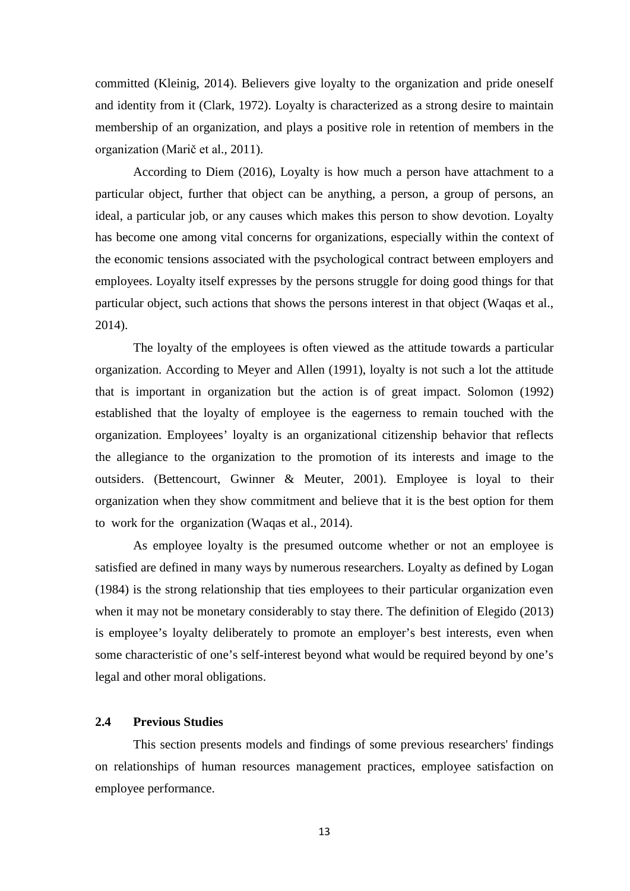committed (Kleinig, 2014). Believers give loyalty to the organization and pride oneself and identity from it (Clark, 1972). Loyalty is characterized as a strong desire to maintain membership of an organization, and plays a positive role in retention of members in the organization (Marič et al., 2011).

According to Diem (2016), Loyalty is how much a person have attachment to a particular object, further that object can be anything, a person, a group of persons, an ideal, a particular job, or any causes which makes this person to show devotion. Loyalty has become one among vital concerns for organizations, especially within the context of the economic tensions associated with the psychological contract between employers and employees. Loyalty itself expresses by the persons struggle for doing good things for that particular object, such actions that shows the persons interest in that object (Waqas et al., 2014).

The loyalty of the employees is often viewed as the attitude towards a particular organization. According to Meyer and Allen (1991), loyalty is not such a lot the attitude that is important in organization but the action is of great impact. Solomon (1992) established that the loyalty of employee is the eagerness to remain touched with the organization. Employees' loyalty is an organizational citizenship behavior that reflects the allegiance to the organization to the promotion of its interests and image to the outsiders. (Bettencourt, Gwinner & Meuter, 2001). Employee is loyal to their organization when they show commitment and believe that it is the best option for them to work for the organization (Waqas et al., 2014).

As employee loyalty is the presumed outcome whether or not an employee is satisfied are defined in many ways by numerous researchers. Loyalty as defined by Logan (1984) is the strong relationship that ties employees to their particular organization even when it may not be monetary considerably to stay there. The definition of Elegido (2013) is employee's loyalty deliberately to promote an employer's best interests, even when some characteristic of one's self-interest beyond what would be required beyond by one's legal and other moral obligations.

#### **2.4 Previous Studies**

This section presents models and findings of some previous researchers' findings on relationships of human resources management practices, employee satisfaction on employee performance.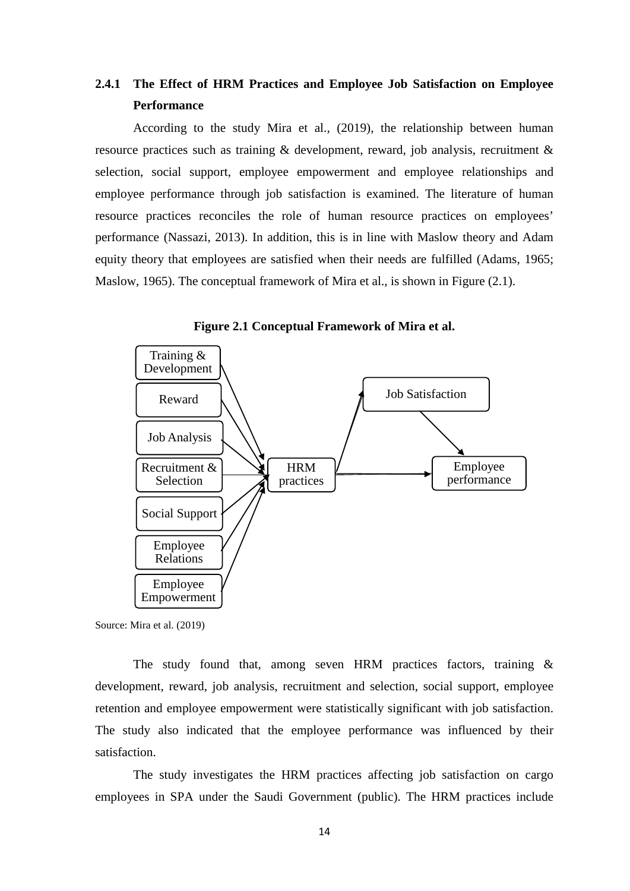### **2.4.1 The Effect of HRM Practices and Employee Job Satisfaction on Employee Performance**

According to the study Mira et al., (2019), the relationship between human resource practices such as training & development, reward, job analysis, recruitment & selection, social support, employee empowerment and employee relationships and employee performance through job satisfaction is examined. The literature of human resource practices reconciles the role of human resource practices on employees' performance (Nassazi, 2013). In addition, this is in line with Maslow theory and Adam equity theory that employees are satisfied when their needs are fulfilled (Adams, 1965; Maslow, 1965). The conceptual framework of Mira et al., is shown in Figure (2.1).





Source: Mira et al. (2019)

The study found that, among seven HRM practices factors, training & development, reward, job analysis, recruitment and selection, social support, employee retention and employee empowerment were statistically significant with job satisfaction. The study also indicated that the employee performance was influenced by their satisfaction.

The study investigates the HRM practices affecting job satisfaction on cargo employees in SPA under the Saudi Government (public). The HRM practices include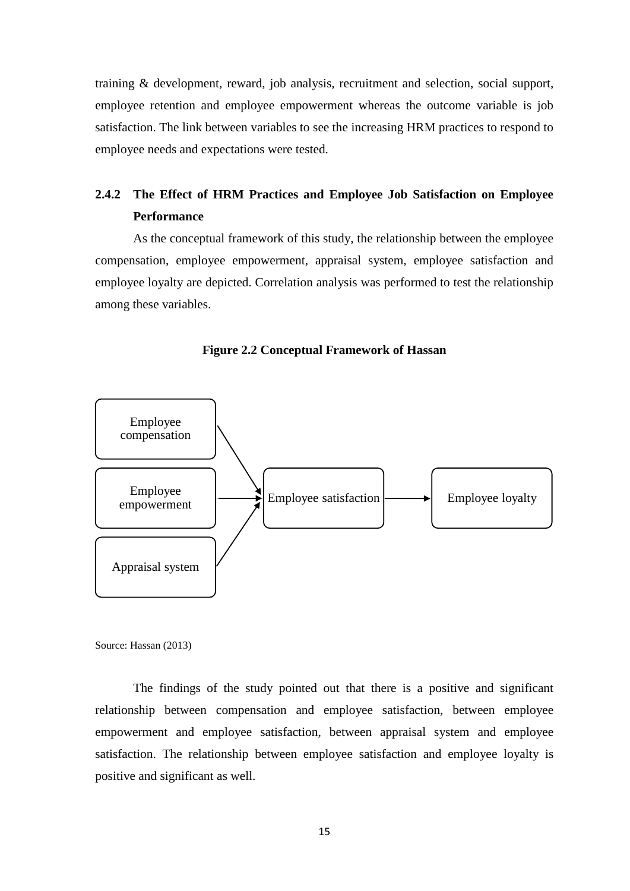training & development, reward, job analysis, recruitment and selection, social support, employee retention and employee empowerment whereas the outcome variable is job satisfaction. The link between variables to see the increasing HRM practices to respond to employee needs and expectations were tested.

### **2.4.2 The Effect of HRM Practices and Employee Job Satisfaction on Employee Performance**

As the conceptual framework of this study, the relationship between the employee compensation, employee empowerment, appraisal system, employee satisfaction and employee loyalty are depicted. Correlation analysis was performed to test the relationship among these variables.





Source: Hassan (2013)

The findings of the study pointed out that there is a positive and significant relationship between compensation and employee satisfaction, between employee empowerment and employee satisfaction, between appraisal system and employee satisfaction. The relationship between employee satisfaction and employee loyalty is positive and significant as well.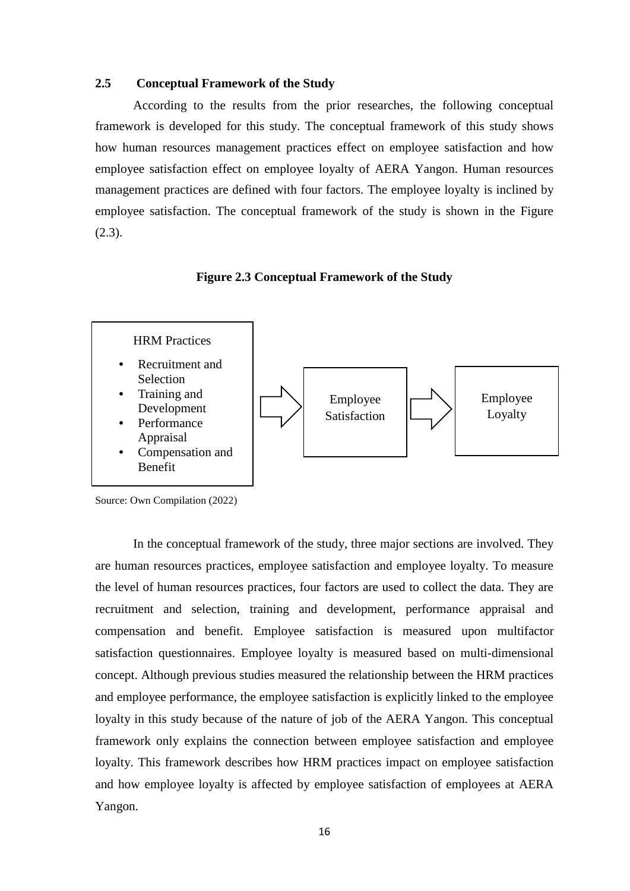#### **2.5 Conceptual Framework of the Study**

According to the results from the prior researches, the following conceptual framework is developed for this study. The conceptual framework of this study shows how human resources management practices effect on employee satisfaction and how employee satisfaction effect on employee loyalty of AERA Yangon. Human resources management practices are defined with four factors. The employee loyalty is inclined by employee satisfaction. The conceptual framework of the study is shown in the Figure  $(2.3).$ 

#### **Figure 2.3 Conceptual Framework of the Study**



Source: Own Compilation (2022)

In the conceptual framework of the study, three major sections are involved. They are human resources practices, employee satisfaction and employee loyalty. To measure the level of human resources practices, four factors are used to collect the data. They are recruitment and selection, training and development, performance appraisal and compensation and benefit. Employee satisfaction is measured upon multifactor satisfaction questionnaires. Employee loyalty is measured based on multi-dimensional concept. Although previous studies measured the relationship between the HRM practices and employee performance, the employee satisfaction is explicitly linked to the employee loyalty in this study because of the nature of job of the AERA Yangon. This conceptual framework only explains the connection between employee satisfaction and employee loyalty. This framework describes how HRM practices impact on employee satisfaction and how employee loyalty is affected by employee satisfaction of employees at AERA Yangon.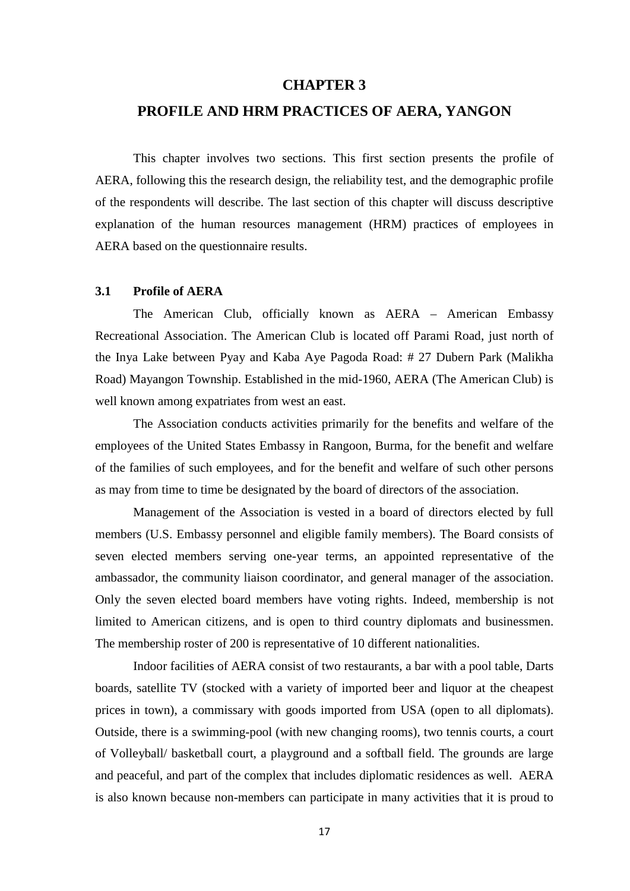#### **CHAPTER 3**

#### **PROFILE AND HRM PRACTICES OF AERA, YANGON**

This chapter involves two sections. This first section presents the profile of AERA, following this the research design, the reliability test, and the demographic profile of the respondents will describe. The last section of this chapter will discuss descriptive explanation of the human resources management (HRM) practices of employees in AERA based on the questionnaire results.

#### **3.1 Profile of AERA**

The American Club, officially known as AERA – American Embassy Recreational Association. The American Club is located off Parami Road, just north of the Inya Lake between Pyay and Kaba Aye Pagoda Road: # 27 Dubern Park (Malikha Road) Mayangon Township. Established in the mid-1960, AERA (The American Club) is well known among expatriates from west an east.

The Association conducts activities primarily for the benefits and welfare of the employees of the United States Embassy in Rangoon, Burma, for the benefit and welfare of the families of such employees, and for the benefit and welfare of such other persons as may from time to time be designated by the board of directors of the association.

Management of the Association is vested in a board of directors elected by full members (U.S. Embassy personnel and eligible family members). The Board consists of seven elected members serving one-year terms, an appointed representative of the ambassador, the community liaison coordinator, and general manager of the association. Only the seven elected board members have voting rights. Indeed, membership is not limited to American citizens, and is open to third country diplomats and businessmen. The membership roster of 200 is representative of 10 different nationalities.

Indoor facilities of AERA consist of two restaurants, a bar with a pool table, Darts boards, satellite TV (stocked with a variety of imported beer and liquor at the cheapest prices in town), a commissary with goods imported from USA (open to all diplomats). Outside, there is a swimming-pool (with new changing rooms), two tennis courts, a court of Volleyball/ basketball court, a playground and a softball field. The grounds are large and peaceful, and part of the complex that includes diplomatic residences as well. AERA is also known because non-members can participate in many activities that it is proud to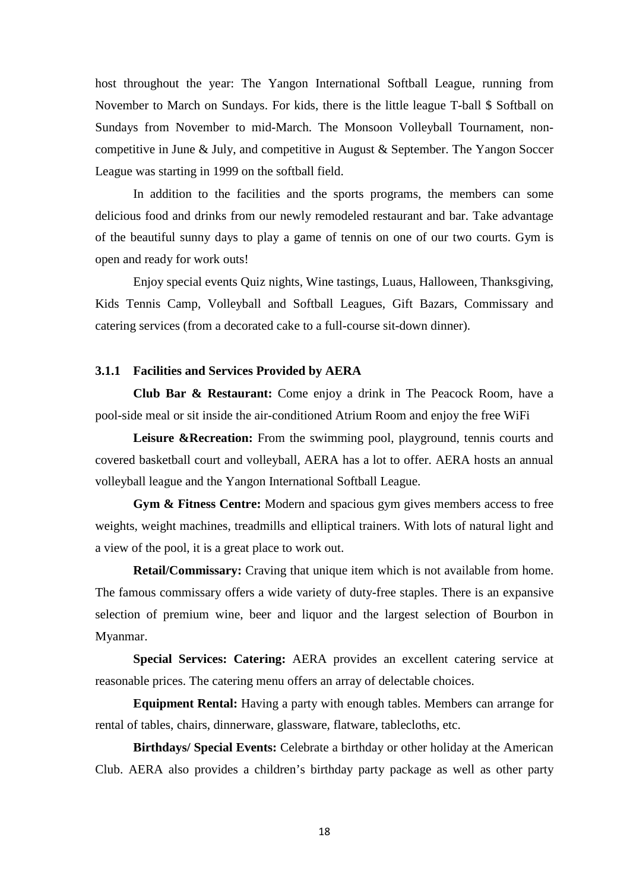host throughout the year: The Yangon International Softball League, running from November to March on Sundays. For kids, there is the little league T-ball \$ Softball on Sundays from November to mid-March. The Monsoon Volleyball Tournament, noncompetitive in June & July, and competitive in August & September. The Yangon Soccer League was starting in 1999 on the softball field.

In addition to the facilities and the sports programs, the members can some delicious food and drinks from our newly remodeled restaurant and bar. Take advantage of the beautiful sunny days to play a game of tennis on one of our two courts. Gym is open and ready for work outs!

Enjoy special events Quiz nights, Wine tastings, Luaus, Halloween, Thanksgiving, Kids Tennis Camp, Volleyball and Softball Leagues, Gift Bazars, Commissary and catering services (from a decorated cake to a full-course sit-down dinner).

#### **3.1.1 Facilities and Services Provided by AERA**

**Club Bar & Restaurant:** Come enjoy a drink in The Peacock Room, have a pool-side meal or sit inside the air-conditioned Atrium Room and enjoy the free WiFi

Leisure &Recreation: From the swimming pool, playground, tennis courts and covered basketball court and volleyball, AERA has a lot to offer. AERA hosts an annual volleyball league and the Yangon International Softball League.

**Gym & Fitness Centre:** Modern and spacious gym gives members access to free weights, weight machines, treadmills and elliptical trainers. With lots of natural light and a view of the pool, it is a great place to work out.

**Retail/Commissary:** Craving that unique item which is not available from home. The famous commissary offers a wide variety of duty-free staples. There is an expansive selection of premium wine, beer and liquor and the largest selection of Bourbon in Myanmar.

**Special Services: Catering:** AERA provides an excellent catering service at reasonable prices. The catering menu offers an array of delectable choices.

**Equipment Rental:** Having a party with enough tables. Members can arrange for rental of tables, chairs, dinnerware, glassware, flatware, tablecloths, etc.

**Birthdays/ Special Events:** Celebrate a birthday or other holiday at the American Club. AERA also provides a children's birthday party package as well as other party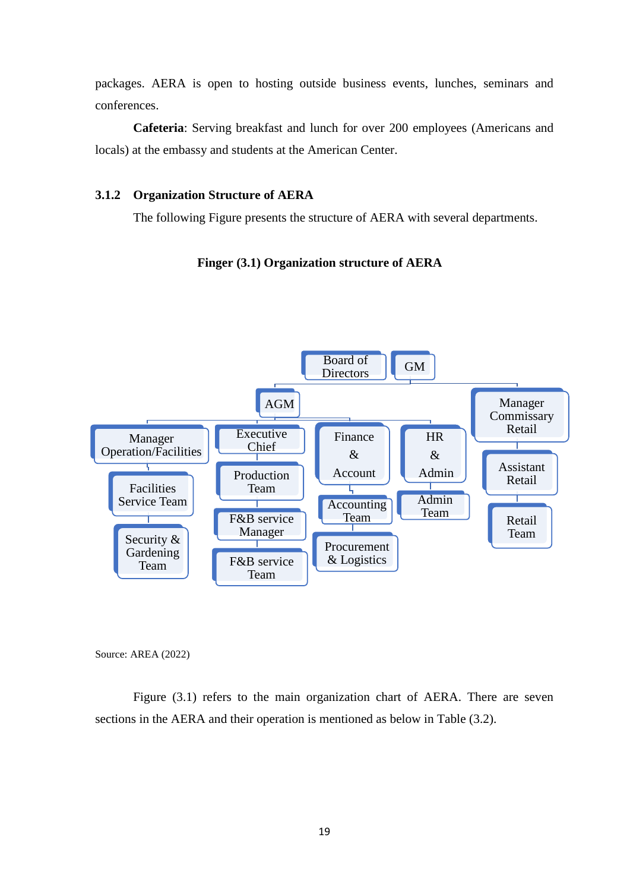packages. AERA is open to hosting outside business events, lunches, seminars and conferences.

**Cafeteria**: Serving breakfast and lunch for over 200 employees (Americans and locals) at the embassy and students at the American Center.

#### **3.1.2 Organization Structure of AERA**

The following Figure presents the structure of AERA with several departments.

#### **Finger (3.1) Organization structure of AERA**



Source: AREA (2022)

Figure  $(3.1)$  refers to the main organization chart of AERA. There are seven sections in the AERA and their operation is mentioned as below in Table (3.2).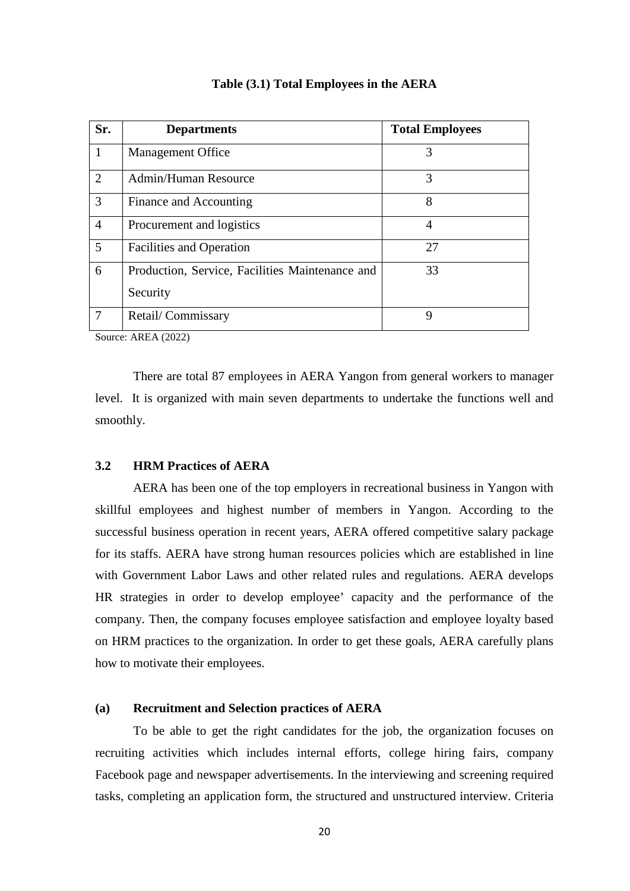| Sr.            | <b>Departments</b>                              | <b>Total Employees</b> |
|----------------|-------------------------------------------------|------------------------|
| $\mathbf{1}$   | <b>Management Office</b>                        | 3                      |
| 2              | Admin/Human Resource                            | 3                      |
| 3              | Finance and Accounting                          | 8                      |
| $\overline{4}$ | Procurement and logistics                       | 4                      |
| 5              | <b>Facilities and Operation</b>                 | 27                     |
| 6              | Production, Service, Facilities Maintenance and | 33                     |
|                | Security                                        |                        |
| 7              | Retail/Commissary                               | 9                      |

**Table (3.1) Total Employees in the AERA**

Source: AREA (2022)

There are total 87 employees in AERA Yangon from general workers to manager level. It is organized with main seven departments to undertake the functions well and smoothly.

#### **3.2 HRM Practices of AERA**

AERA has been one of the top employers in recreational business in Yangon with skillful employees and highest number of members in Yangon. According to the successful business operation in recent years, AERA offered competitive salary package for its staffs. AERA have strong human resources policies which are established in line with Government Labor Laws and other related rules and regulations. AERA develops HR strategies in order to develop employee' capacity and the performance of the company. Then, the company focuses employee satisfaction and employee loyalty based on HRM practices to the organization. In order to get these goals, AERA carefully plans how to motivate their employees.

#### **(a) Recruitment and Selection practices of AERA**

To be able to get the right candidates for the job, the organization focuses on recruiting activities which includes internal efforts, college hiring fairs, company Facebook page and newspaper advertisements. In the interviewing and screening required tasks, completing an application form, the structured and unstructured interview. Criteria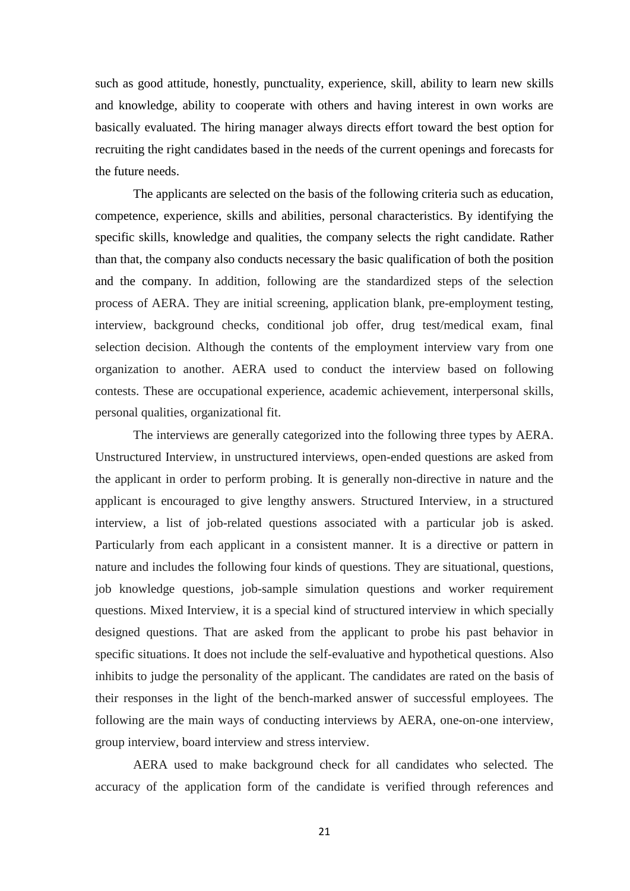such as good attitude, honestly, punctuality, experience, skill, ability to learn new skills and knowledge, ability to cooperate with others and having interest in own works are basically evaluated. The hiring manager always directs effort toward the best option for recruiting the right candidates based in the needs of the current openings and forecasts for the future needs.

The applicants are selected on the basis of the following criteria such as education, competence, experience, skills and abilities, personal characteristics. By identifying the specific skills, knowledge and qualities, the company selects the right candidate. Rather than that, the company also conducts necessary the basic qualification of both the position and the company. In addition, following are the standardized steps of the selection process of AERA. They are initial screening, application blank, pre-employment testing, interview, background checks, conditional job offer, drug test/medical exam, final selection decision. Although the contents of the employment interview vary from one organization to another. AERA used to conduct the interview based on following contests. These are occupational experience, academic achievement, interpersonal skills, personal qualities, organizational fit.

The interviews are generally categorized into the following three types by AERA. Unstructured Interview, in unstructured interviews, open-ended questions are asked from the applicant in order to perform probing. It is generally non-directive in nature and the applicant is encouraged to give lengthy answers. Structured Interview, in a structured interview, a list of job-related questions associated with a particular job is asked. Particularly from each applicant in a consistent manner. It is a directive or pattern in nature and includes the following four kinds of questions. They are situational, questions, job knowledge questions, job-sample simulation questions and worker requirement questions. Mixed Interview, it is a special kind of structured interview in which specially designed questions. That are asked from the applicant to probe his past behavior in specific situations. It does not include the self-evaluative and hypothetical questions. Also inhibits to judge the personality of the applicant. The candidates are rated on the basis of their responses in the light of the bench-marked answer of successful employees. The following are the main ways of conducting interviews by AERA, one-on-one interview, group interview, board interview and stress interview.

AERA used to make background check for all candidates who selected. The accuracy of the application form of the candidate is verified through references and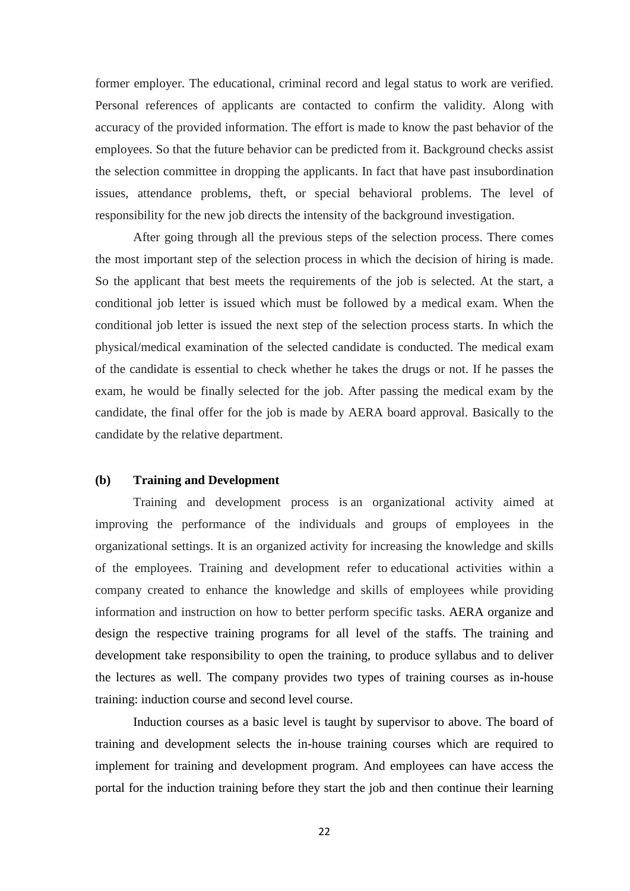former employer. The educational, criminal record and legal status to work are verified. Personal references of applicants are contacted to confirm the validity. Along with accuracy of the provided information. The effort is made to know the past behavior of the employees. So that the future behavior can be predicted from it. Background checks assist the selection committee in dropping the applicants. In fact that have past insubordination issues, attendance problems, theft, or special behavioral problems. The level of responsibility for the new job directs the intensity of the background investigation.

After going through all the previous steps of the selection process. There comes the most important step of the selection process in which the decision of hiring is made. So the applicant that best meets the requirements of the job is selected. At the start, a conditional job letter is issued which must be followed by a medical exam. When the conditional job letter is issued the next step of the selection process starts. In which the physical/medical examination of the selected candidate is conducted. The medical exam of the candidate is essential to check whether he takes the drugs or not. If he passes the exam, he would be finally selected for the job. After passing the medical exam by the candidate, the final offer for the job is made by AERA board approval. Basically to the candidate by the relative department.

#### **(b) Training and Development**

Training and development process is an organizational activity aimed at improving the performance of the individuals and groups of employees in the organizational settings. It is an organized activity for increasing the knowledge and skills of the employees. Training and development refer to educational activities within a company created to enhance the knowledge and skills of employees while providing information and instruction on how to better perform specific tasks. AERA organize and design the respective training programs for all level of the staffs. The training and development take responsibility to open the training, to produce syllabus and to deliver the lectures as well. The company provides two types of training courses as in-house training: induction course and second level course.

Induction courses as a basic level is taught by supervisor to above. The board of training and development selects the in-house training courses which are required to implement for training and development program. And employees can have access the portal for the induction training before they start the job and then continue their learning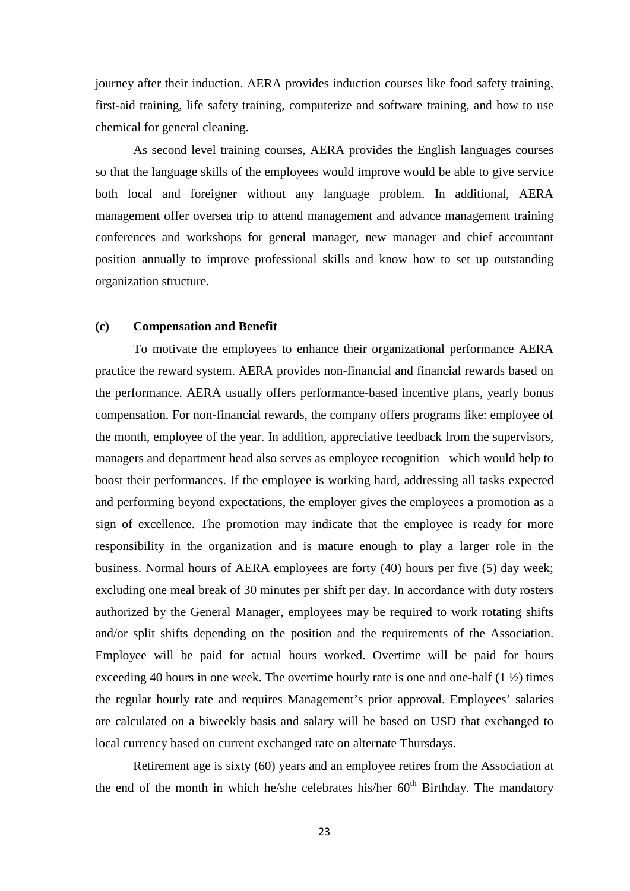journey after their induction. AERA provides induction courses like food safety training, first-aid training, life safety training, computerize and software training, and how to use chemical for general cleaning.

As second level training courses, AERA provides the English languages courses so that the language skills of the employees would improve would be able to give service both local and foreigner without any language problem. In additional, AERA management offer oversea trip to attend management and advance management training conferences and workshops for general manager, new manager and chief accountant position annually to improve professional skills and know how to set up outstanding organization structure.

#### **(c) Compensation and Benefit**

To motivate the employees to enhance their organizational performance AERA practice the reward system. AERA provides non-financial and financial rewards based on the performance. AERA usually offers performance-based incentive plans, yearly bonus compensation. For non-financial rewards, the company offers programs like: employee of the month, employee of the year. In addition, appreciative feedback from the supervisors, managers and department head also serves as employee recognition which would help to boost their performances. If the employee is working hard, addressing all tasks expected and performing beyond expectations, the employer gives the employees a promotion as a sign of excellence. The promotion may indicate that the employee is ready for more responsibility in the organization and is mature enough to play a larger role in the business. Normal hours of AERA employees are forty (40) hours per five (5) day week; excluding one meal break of 30 minutes per shift per day. In accordance with duty rosters authorized by the General Manager, employees may be required to work rotating shifts and/or split shifts depending on the position and the requirements of the Association. Employee will be paid for actual hours worked. Overtime will be paid for hours exceeding 40 hours in one week. The overtime hourly rate is one and one-half  $(1 \frac{1}{2})$  times the regular hourly rate and requires Management's prior approval. Employees' salaries are calculated on a biweekly basis and salary will be based on USD that exchanged to local currency based on current exchanged rate on alternate Thursdays.

Retirement age is sixty (60) years and an employee retires from the Association at the end of the month in which he/she celebrates his/her  $60<sup>th</sup>$  Birthday. The mandatory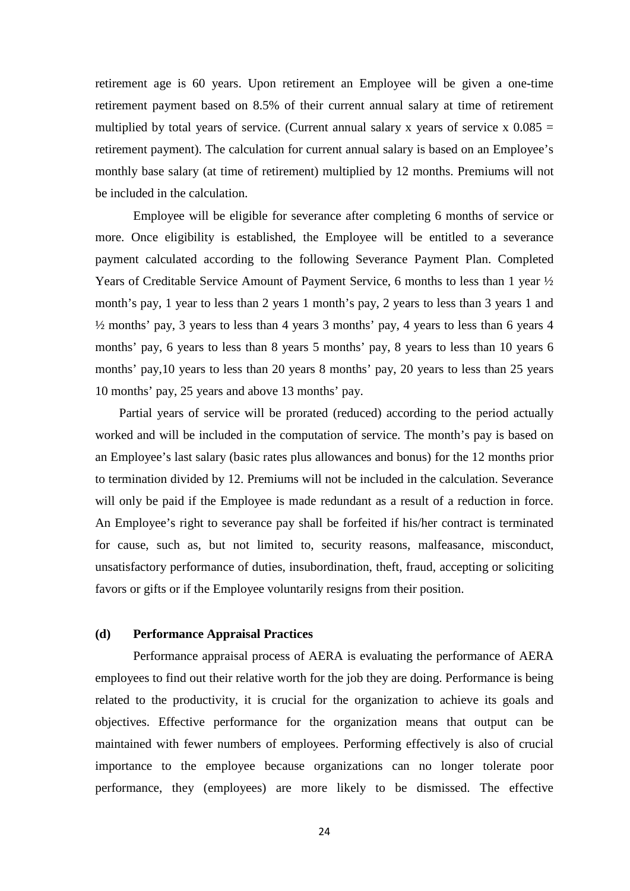retirement age is 60 years. Upon retirement an Employee will be given a one-time retirement payment based on 8.5% of their current annual salary at time of retirement multiplied by total years of service. (Current annual salary x years of service x  $0.085 =$ retirement payment). The calculation for current annual salary is based on an Employee's monthly base salary (at time of retirement) multiplied by 12 months. Premiums will not be included in the calculation.

Employee will be eligible for severance after completing 6 months of service or more. Once eligibility is established, the Employee will be entitled to a severance payment calculated according to the following Severance Payment Plan. Completed Years of Creditable Service Amount of Payment Service, 6 months to less than 1 year ½ month's pay, 1 year to less than 2 years 1 month's pay, 2 years to less than 3 years 1 and ½ months' pay, 3 years to less than 4 years 3 months' pay, 4 years to less than 6 years 4 months' pay, 6 years to less than 8 years 5 months' pay, 8 years to less than 10 years 6 months' pay,10 years to less than 20 years 8 months' pay, 20 years to less than 25 years 10 months' pay, 25 years and above 13 months' pay.

Partial years of service will be prorated (reduced) according to the period actually worked and will be included in the computation of service. The month's pay is based on an Employee's last salary (basic rates plus allowances and bonus) for the 12 months prior to termination divided by 12. Premiums will not be included in the calculation. Severance will only be paid if the Employee is made redundant as a result of a reduction in force. An Employee's right to severance pay shall be forfeited if his/her contract is terminated for cause, such as, but not limited to, security reasons, malfeasance, misconduct, unsatisfactory performance of duties, insubordination, theft, fraud, accepting or soliciting favors or gifts or if the Employee voluntarily resigns from their position.

#### **(d) Performance Appraisal Practices**

Performance appraisal process of AERA is evaluating the performance of AERA employees to find out their relative worth for the job they are doing. Performance is being related to the productivity, it is crucial for the organization to achieve its goals and objectives. Effective performance for the organization means that output can be maintained with fewer numbers of employees. Performing effectively is also of crucial importance to the employee because organizations can no longer tolerate poor performance, they (employees) are more likely to be dismissed. The effective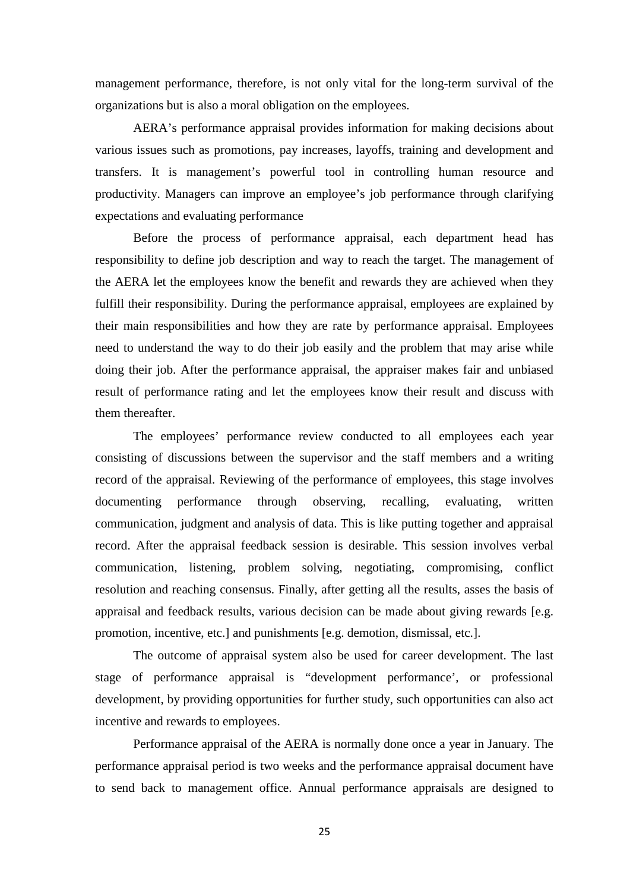management performance, therefore, is not only vital for the long-term survival of the organizations but is also a moral obligation on the employees.

AERA's performance appraisal provides information for making decisions about various issues such as promotions, pay increases, layoffs, training and development and transfers. It is management's powerful tool in controlling human resource and productivity. Managers can improve an employee's job performance through clarifying expectations and evaluating performance

Before the process of performance appraisal, each department head has responsibility to define job description and way to reach the target. The management of the AERA let the employees know the benefit and rewards they are achieved when they fulfill their responsibility. During the performance appraisal, employees are explained by their main responsibilities and how they are rate by performance appraisal. Employees need to understand the way to do their job easily and the problem that may arise while doing their job. After the performance appraisal, the appraiser makes fair and unbiased result of performance rating and let the employees know their result and discuss with them thereafter.

The employees' performance review conducted to all employees each year consisting of discussions between the supervisor and the staff members and a writing record of the appraisal. Reviewing of the performance of employees, this stage involves documenting performance through observing, recalling, evaluating, written communication, judgment and analysis of data. This is like putting together and appraisal record. After the appraisal feedback session is desirable. This session involves verbal communication, listening, problem solving, negotiating, compromising, conflict resolution and reaching consensus. Finally, after getting all the results, asses the basis of appraisal and feedback results, various decision can be made about giving rewards [e.g. promotion, incentive, etc.] and punishments [e.g. demotion, dismissal, etc.].

The outcome of appraisal system also be used for career development. The last stage of performance appraisal is "development performance', or professional development, by providing opportunities for further study, such opportunities can also act incentive and rewards to employees.

Performance appraisal of the AERA is normally done once a year in January. The performance appraisal period is two weeks and the performance appraisal document have to send back to management office. Annual performance appraisals are designed to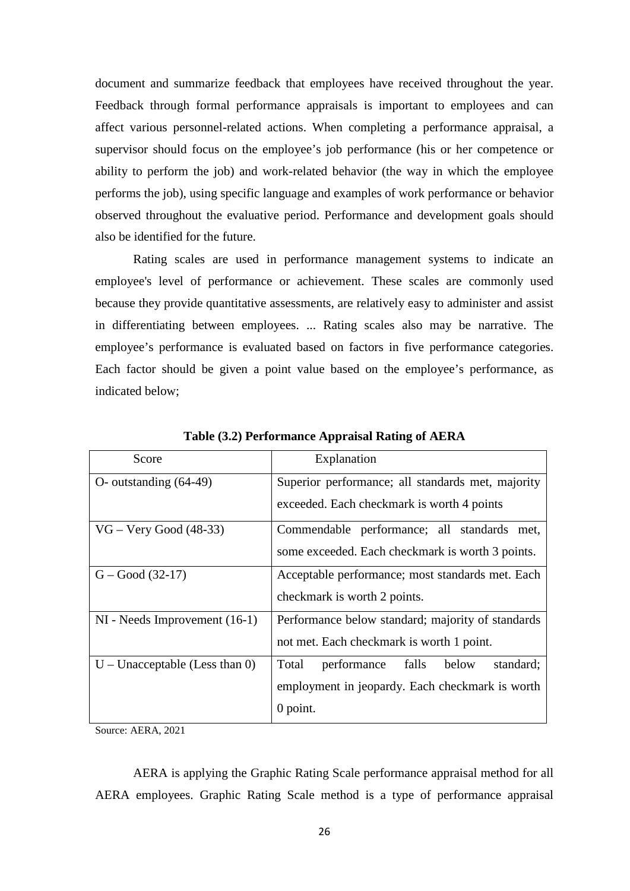document and summarize feedback that employees have received throughout the year. Feedback through formal performance appraisals is important to employees and can affect various personnel-related actions. When completing a performance appraisal, a supervisor should focus on the employee's job performance (his or her competence or ability to perform the job) and work-related behavior (the way in which the employee performs the job), using specific language and examples of work performance or behavior observed throughout the evaluative period. Performance and development goals should also be identified for the future.

Rating scales are used in performance management systems to indicate an employee's level of performance or achievement. These scales are commonly used because they provide quantitative assessments, are relatively easy to administer and assist in differentiating between employees. ... Rating scales also may be narrative. The employee's performance is evaluated based on factors in five performance categories. Each factor should be given a point value based on the employee's performance, as indicated below;

| Score                             | Explanation                                         |  |
|-----------------------------------|-----------------------------------------------------|--|
| $O$ - outstanding $(64-49)$       | Superior performance; all standards met, majority   |  |
|                                   | exceeded. Each checkmark is worth 4 points          |  |
| $VG - Very Good (48-33)$          | Commendable performance; all standards met,         |  |
|                                   | some exceeded. Each checkmark is worth 3 points.    |  |
| $G - Good (32-17)$                | Acceptable performance; most standards met. Each    |  |
|                                   | checkmark is worth 2 points.                        |  |
| $NI$ - Needs Improvement $(16-1)$ | Performance below standard; majority of standards   |  |
|                                   | not met. Each checkmark is worth 1 point.           |  |
| $U$ – Unacceptable (Less than 0)  | falls<br>standard;<br>Total<br>performance<br>below |  |
|                                   | employment in jeopardy. Each checkmark is worth     |  |
|                                   | $0$ point.                                          |  |

**Table (3.2) Performance Appraisal Rating of AERA**

Source: AERA, 2021

AERA is applying the Graphic Rating Scale performance appraisal method for all AERA employees. Graphic Rating Scale method is a type of performance appraisal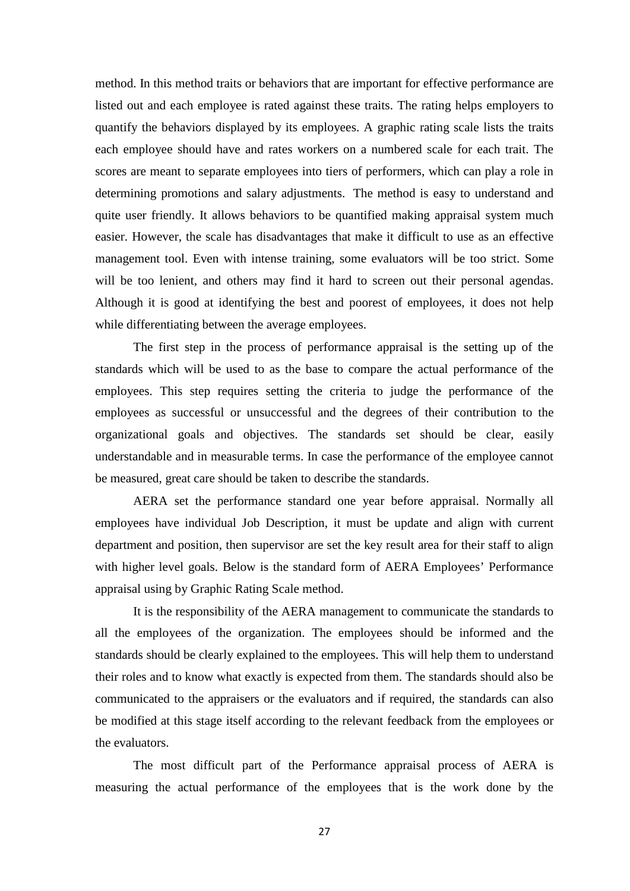method. In this method traits or behaviors that are important for effective performance are listed out and each employee is rated against these traits. The rating helps employers to quantify the behaviors displayed by its employees. A graphic rating scale lists the traits each employee should have and rates workers on a numbered scale for each trait. The scores are meant to separate employees into tiers of performers, which can play a role in determining promotions and salary adjustments. The method is easy to understand and quite user friendly. It allows behaviors to be quantified making appraisal system much easier. However, the scale has disadvantages that make it difficult to use as an effective management tool. Even with intense training, some evaluators will be too strict. Some will be too lenient, and others may find it hard to screen out their personal agendas. Although it is good at identifying the best and poorest of employees, it does not help while differentiating between the average employees.

The first step in the process of performance appraisal is the setting up of the standards which will be used to as the base to compare the actual performance of the employees. This step requires setting the criteria to judge the performance of the employees as successful or unsuccessful and the degrees of their contribution to the organizational goals and objectives. The standards set should be clear, easily understandable and in measurable terms. In case the performance of the employee cannot be measured, great care should be taken to describe the standards.

AERA set the performance standard one year before appraisal. Normally all employees have individual Job Description, it must be update and align with current department and position, then supervisor are set the key result area for their staff to align with higher level goals. Below is the standard form of AERA Employees' Performance appraisal using by Graphic Rating Scale method.

It is the responsibility of the AERA management to communicate the standards to all the employees of the organization. The employees should be informed and the standards should be clearly explained to the employees. This will help them to understand their roles and to know what exactly is expected from them. The standards should also be communicated to the appraisers or the evaluators and if required, the standards can also be modified at this stage itself according to the relevant feedback from the employees or the evaluators.

The most difficult part of the Performance appraisal process of AERA is measuring the actual performance of the employees that is the work done by the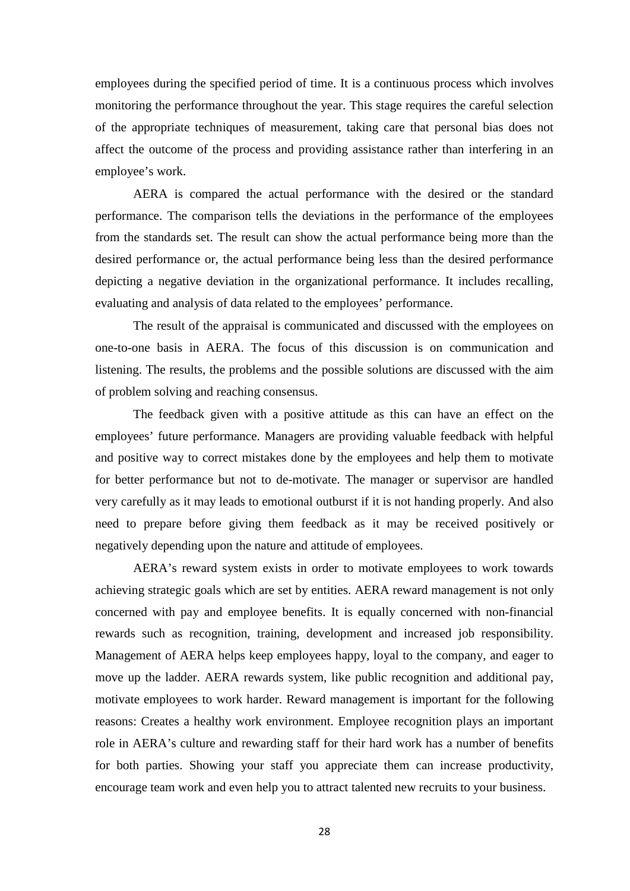employees during the specified period of time. It is a continuous process which involves monitoring the performance throughout the year. This stage requires the careful selection of the appropriate techniques of measurement, taking care that personal bias does not affect the outcome of the process and providing assistance rather than interfering in an employee's work.

AERA is compared the actual performance with the desired or the standard performance. The comparison tells the deviations in the performance of the employees from the standards set. The result can show the actual performance being more than the desired performance or, the actual performance being less than the desired performance depicting a negative deviation in the organizational performance. It includes recalling, evaluating and analysis of data related to the employees' performance.

The result of the appraisal is communicated and discussed with the employees on one-to-one basis in AERA. The focus of this discussion is on communication and listening. The results, the problems and the possible solutions are discussed with the aim of problem solving and reaching consensus.

The feedback given with a positive attitude as this can have an effect on the employees' future performance. Managers are providing valuable feedback with helpful and positive way to correct mistakes done by the employees and help them to motivate for better performance but not to de-motivate. The manager or supervisor are handled very carefully as it may leads to emotional outburst if it is not handing properly. And also need to prepare before giving them feedback as it may be received positively or negatively depending upon the nature and attitude of employees.

AERA's reward system exists in order to motivate employees to work towards achieving strategic goals which are set by entities. AERA reward management is not only concerned with pay and employee benefits. It is equally concerned with non-financial rewards such as recognition, training, development and increased job responsibility. Management of AERA helps keep employees happy, loyal to the company, and eager to move up the ladder. AERA rewards system, like public recognition and additional pay, motivate employees to work harder. Reward management is important for the following reasons: Creates a healthy work environment. Employee recognition plays an important role in AERA's culture and rewarding staff for their hard work has a number of benefits for both parties. Showing your staff you appreciate them can increase productivity, encourage team work and even help you to attract talented new recruits to your business.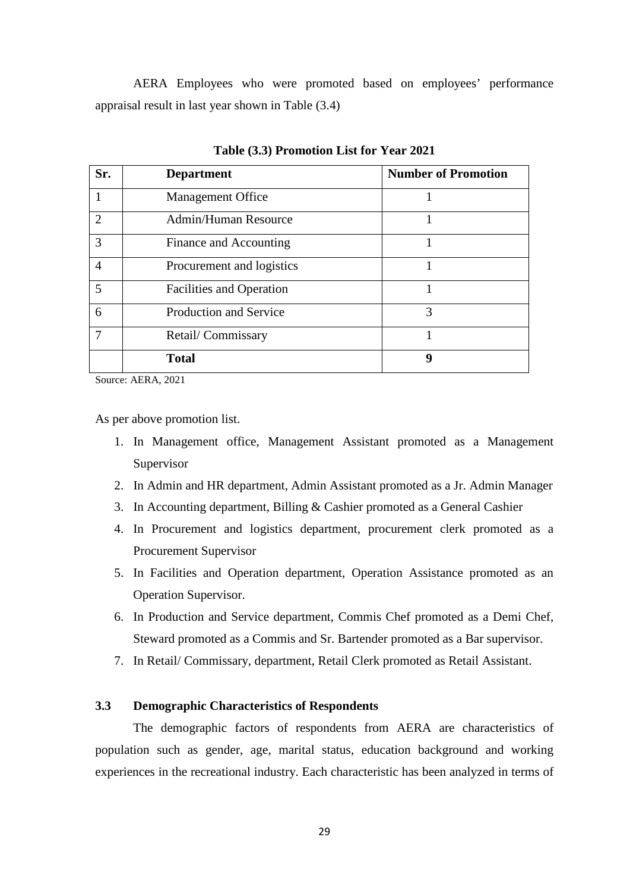AERA Employees who were promoted based on employees' performance appraisal result in last year shown in Table (3.4)

| Sr.            | <b>Department</b>               | <b>Number of Promotion</b> |
|----------------|---------------------------------|----------------------------|
|                | <b>Management Office</b>        |                            |
| $\overline{2}$ | Admin/Human Resource            |                            |
| 3              | Finance and Accounting          |                            |
| $\overline{4}$ | Procurement and logistics       |                            |
| 5              | <b>Facilities and Operation</b> | 1                          |
| 6              | <b>Production and Service</b>   | 3                          |
| 7              | Retail/Commissary               |                            |
|                | <b>Total</b>                    | 9                          |

**Table (3.3) Promotion List for Year 2021**

Source: AERA, 2021

As per above promotion list.

- 1. In Management office, Management Assistant promoted as a Management Supervisor
- 2. In Admin and HR department, Admin Assistant promoted as a Jr. Admin Manager
- 3. In Accounting department, Billing & Cashier promoted as a General Cashier
- 4. In Procurement and logistics department, procurement clerk promoted as a Procurement Supervisor
- 5. In Facilities and Operation department, Operation Assistance promoted as an Operation Supervisor.
- 6. In Production and Service department, Commis Chef promoted as a Demi Chef, Steward promoted as a Commis and Sr. Bartender promoted as a Bar supervisor.
- 7. In Retail/ Commissary, department, Retail Clerk promoted as Retail Assistant.

### **3.3 Demographic Characteristics of Respondents**

The demographic factors of respondents from AERA are characteristics of population such as gender, age, marital status, education background and working experiences in the recreational industry. Each characteristic has been analyzed in terms of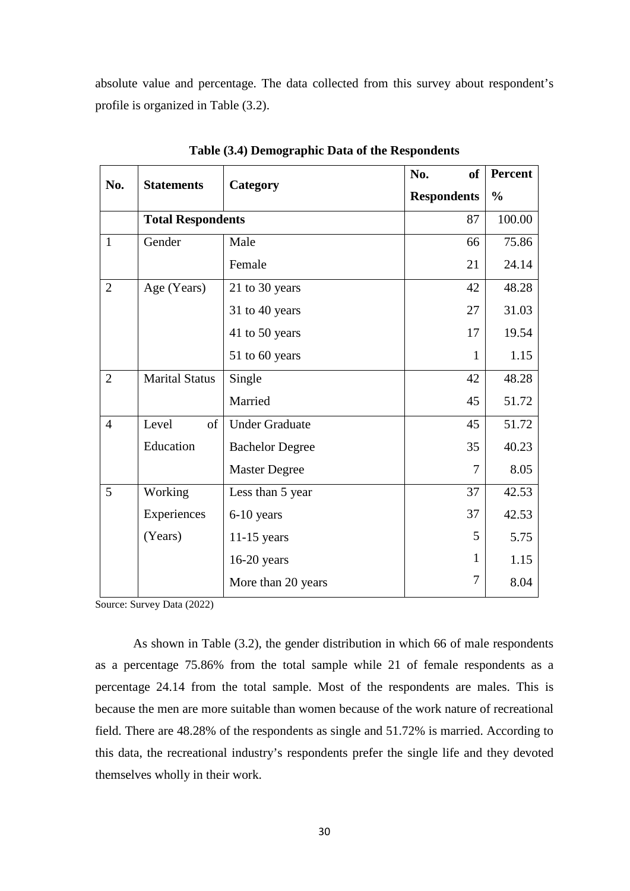absolute value and percentage. The data collected from this survey about respondent's profile is organized in Table (3.2).

| No.            | <b>Statements</b>        | Category               | <b>of</b><br>No.   | <b>Percent</b> |
|----------------|--------------------------|------------------------|--------------------|----------------|
|                |                          |                        | <b>Respondents</b> | $\frac{0}{0}$  |
|                | <b>Total Respondents</b> |                        | 87                 | 100.00         |
| $\mathbf{1}$   | Gender                   | Male                   | 66                 | 75.86          |
|                |                          | Female                 | 21                 | 24.14          |
| $\overline{2}$ | Age (Years)              | 21 to 30 years         | 42                 | 48.28          |
|                |                          | 31 to 40 years         | 27                 | 31.03          |
|                |                          | 41 to 50 years         | 17                 | 19.54          |
|                |                          | 51 to 60 years         | 1                  | 1.15           |
| $\overline{2}$ | <b>Marital Status</b>    | Single                 | 42                 | 48.28          |
|                |                          | Married                | 45                 | 51.72          |
| $\overline{4}$ | of<br>Level              | <b>Under Graduate</b>  | 45                 | 51.72          |
|                | Education                | <b>Bachelor Degree</b> | 35                 | 40.23          |
|                |                          | <b>Master Degree</b>   | $\overline{7}$     | 8.05           |
| 5              | Working                  | Less than 5 year       | 37                 | 42.53          |
|                | Experiences              | 6-10 years             | 37                 | 42.53          |
|                | (Years)                  | $11-15$ years          | 5                  | 5.75           |
|                |                          | $16-20$ years          | 1                  | 1.15           |
|                |                          | More than 20 years     | 7                  | 8.04           |

**Table (3.4) Demographic Data of the Respondents**

Source: Survey Data (2022)

As shown in Table (3.2), the gender distribution in which 66 of male respondents as a percentage 75.86% from the total sample while 21 of female respondents as a percentage 24.14 from the total sample. Most of the respondents are males. This is because the men are more suitable than women because of the work nature of recreational field. There are 48.28% of the respondents as single and 51.72% is married. According to this data, the recreational industry's respondents prefer the single life and they devoted themselves wholly in their work.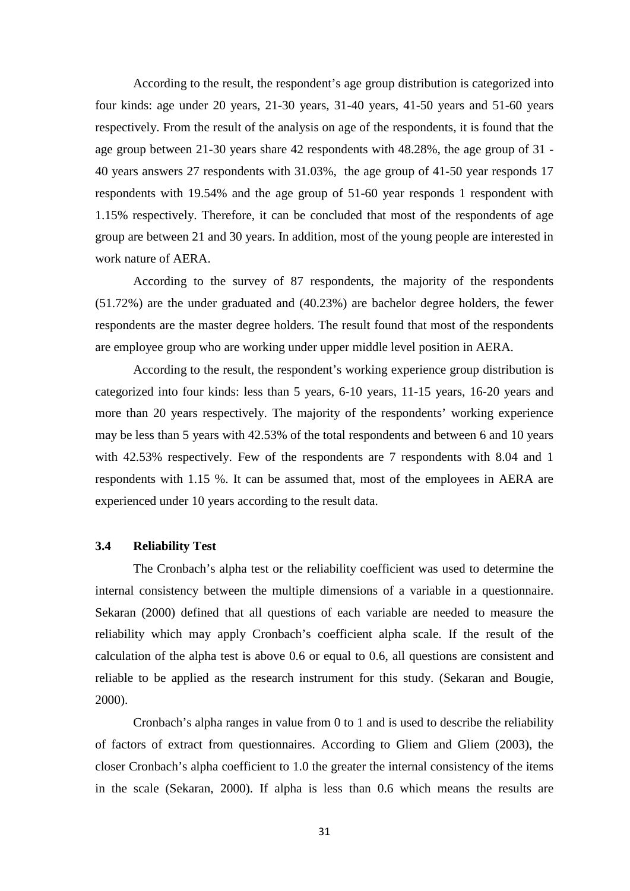According to the result, the respondent's age group distribution is categorized into four kinds: age under 20 years, 21-30 years, 31-40 years, 41-50 years and 51-60 years respectively. From the result of the analysis on age of the respondents, it is found that the age group between 21-30 years share 42 respondents with 48.28%, the age group of 31 - 40 years answers 27 respondents with 31.03%, the age group of 41-50 year responds 17 respondents with 19.54% and the age group of 51-60 year responds 1 respondent with 1.15% respectively. Therefore, it can be concluded that most of the respondents of age group are between 21 and 30 years. In addition, most of the young people are interested in work nature of AERA.

According to the survey of 87 respondents, the majority of the respondents (51.72%) are the under graduated and (40.23%) are bachelor degree holders, the fewer respondents are the master degree holders. The result found that most of the respondents are employee group who are working under upper middle level position in AERA.

According to the result, the respondent's working experience group distribution is categorized into four kinds: less than 5 years, 6-10 years, 11-15 years, 16-20 years and more than 20 years respectively. The majority of the respondents' working experience may be less than 5 years with 42.53% of the total respondents and between 6 and 10 years with 42.53% respectively. Few of the respondents are 7 respondents with 8.04 and 1 respondents with 1.15 %. It can be assumed that, most of the employees in AERA are experienced under 10 years according to the result data.

#### **3.4 Reliability Test**

The Cronbach's alpha test or the reliability coefficient was used to determine the internal consistency between the multiple dimensions of a variable in a questionnaire. Sekaran (2000) defined that all questions of each variable are needed to measure the reliability which may apply Cronbach's coefficient alpha scale. If the result of the calculation of the alpha test is above 0.6 or equal to 0.6, all questions are consistent and reliable to be applied as the research instrument for this study. (Sekaran and Bougie, 2000).

Cronbach's alpha ranges in value from 0 to 1 and is used to describe the reliability of factors of extract from questionnaires. According to Gliem and Gliem (2003), the closer Cronbach's alpha coefficient to 1.0 the greater the internal consistency of the items in the scale (Sekaran, 2000). If alpha is less than 0.6 which means the results are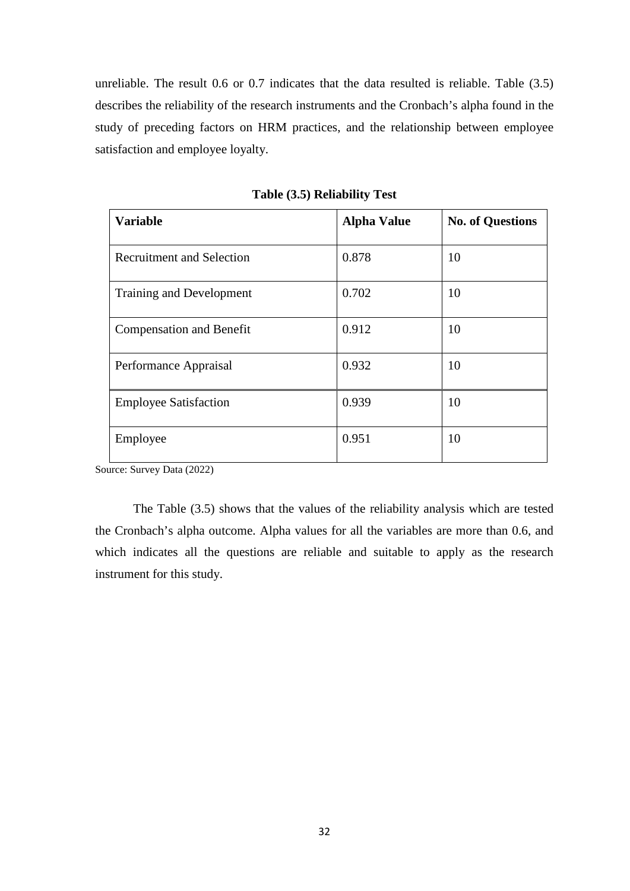unreliable. The result 0.6 or 0.7 indicates that the data resulted is reliable. Table (3.5) describes the reliability of the research instruments and the Cronbach's alpha found in the study of preceding factors on HRM practices, and the relationship between employee satisfaction and employee loyalty.

| <b>Variable</b>                  | <b>Alpha Value</b> | <b>No. of Questions</b> |
|----------------------------------|--------------------|-------------------------|
| <b>Recruitment and Selection</b> | 0.878              | 10                      |
| Training and Development         | 0.702              | 10                      |
| <b>Compensation and Benefit</b>  | 0.912              | 10                      |
| Performance Appraisal            | 0.932              | 10                      |
| <b>Employee Satisfaction</b>     | 0.939              | 10                      |
| Employee                         | 0.951              | 10                      |

**Table (3.5) Reliability Test**

Source: Survey Data (2022)

The Table (3.5) shows that the values of the reliability analysis which are tested the Cronbach's alpha outcome. Alpha values for all the variables are more than 0.6, and which indicates all the questions are reliable and suitable to apply as the research instrument for this study.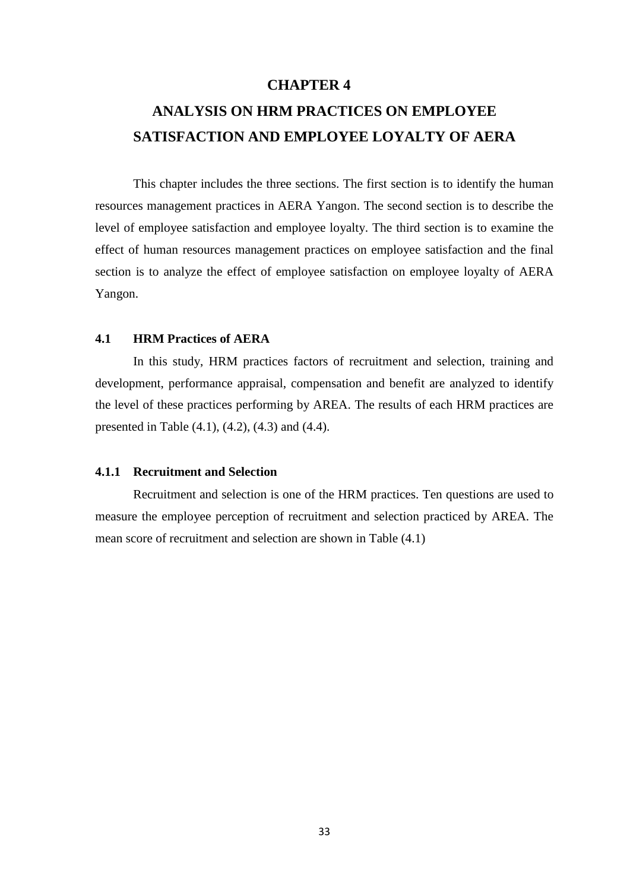## **CHAPTER 4**

# **ANALYSIS ON HRM PRACTICES ON EMPLOYEE SATISFACTION AND EMPLOYEE LOYALTY OF AERA**

This chapter includes the three sections. The first section is to identify the human resources management practices in AERA Yangon. The second section is to describe the level of employee satisfaction and employee loyalty. The third section is to examine the effect of human resources management practices on employee satisfaction and the final section is to analyze the effect of employee satisfaction on employee loyalty of AERA Yangon.

### **4.1 HRM Practices of AERA**

In this study, HRM practices factors of recruitment and selection, training and development, performance appraisal, compensation and benefit are analyzed to identify the level of these practices performing by AREA. The results of each HRM practices are presented in Table (4.1), (4.2), (4.3) and (4.4).

#### **4.1.1 Recruitment and Selection**

Recruitment and selection is one of the HRM practices. Ten questions are used to measure the employee perception of recruitment and selection practiced by AREA. The mean score of recruitment and selection are shown in Table (4.1)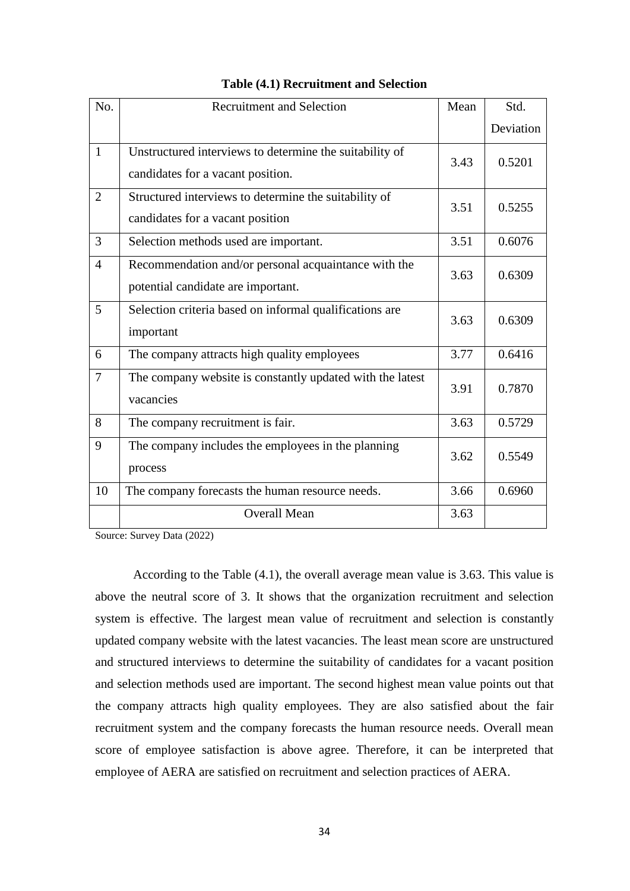| No.            | <b>Recruitment and Selection</b>                                                             | Mean | Std.      |
|----------------|----------------------------------------------------------------------------------------------|------|-----------|
|                |                                                                                              |      | Deviation |
| $\mathbf{1}$   | Unstructured interviews to determine the suitability of<br>candidates for a vacant position. | 3.43 | 0.5201    |
| 2              | Structured interviews to determine the suitability of<br>candidates for a vacant position    | 3.51 | 0.5255    |
| 3              | Selection methods used are important.                                                        | 3.51 | 0.6076    |
| $\overline{4}$ | Recommendation and/or personal acquaintance with the<br>potential candidate are important.   | 3.63 | 0.6309    |
| 5              | Selection criteria based on informal qualifications are<br>important                         | 3.63 | 0.6309    |
| 6              | The company attracts high quality employees                                                  | 3.77 | 0.6416    |
| $\overline{7}$ | The company website is constantly updated with the latest<br>vacancies                       | 3.91 | 0.7870    |
| 8              | The company recruitment is fair.                                                             | 3.63 | 0.5729    |
| 9              | The company includes the employees in the planning<br>process                                | 3.62 | 0.5549    |
| 10             | The company forecasts the human resource needs.                                              | 3.66 | 0.6960    |
|                | <b>Overall Mean</b>                                                                          | 3.63 |           |

#### **Table (4.1) Recruitment and Selection**

Source: Survey Data (2022)

According to the Table (4.1), the overall average mean value is 3.63. This value is above the neutral score of 3. It shows that the organization recruitment and selection system is effective. The largest mean value of recruitment and selection is constantly updated company website with the latest vacancies. The least mean score are unstructured and structured interviews to determine the suitability of candidates for a vacant position and selection methods used are important. The second highest mean value points out that the company attracts high quality employees. They are also satisfied about the fair recruitment system and the company forecasts the human resource needs. Overall mean score of employee satisfaction is above agree. Therefore, it can be interpreted that employee of AERA are satisfied on recruitment and selection practices of AERA.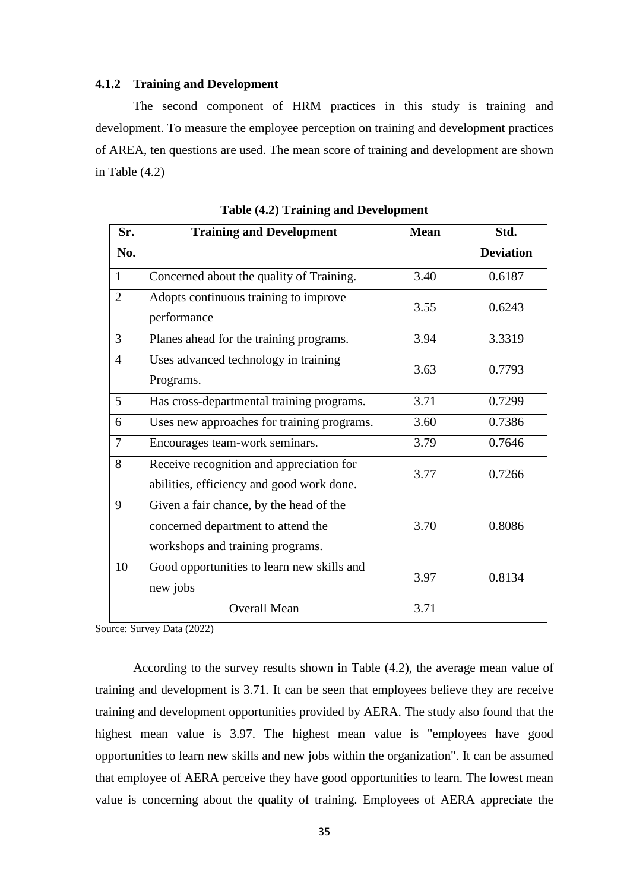#### **4.1.2 Training and Development**

The second component of HRM practices in this study is training and development. To measure the employee perception on training and development practices of AREA, ten questions are used. The mean score of training and development are shown in Table (4.2)

| Sr.             | <b>Training and Development</b>                                                                                   | <b>Mean</b> | Std.             |
|-----------------|-------------------------------------------------------------------------------------------------------------------|-------------|------------------|
| No.             |                                                                                                                   |             | <b>Deviation</b> |
| 1               | Concerned about the quality of Training.                                                                          | 3.40        | 0.6187           |
| $\overline{2}$  | Adopts continuous training to improve<br>performance                                                              | 3.55        | 0.6243           |
| 3               | Planes ahead for the training programs.                                                                           | 3.94        | 3.3319           |
| $\overline{4}$  | Uses advanced technology in training<br>Programs.                                                                 | 3.63        | 0.7793           |
| $5\overline{)}$ | Has cross-departmental training programs.                                                                         | 3.71        | 0.7299           |
| 6               | Uses new approaches for training programs.                                                                        | 3.60        | 0.7386           |
| $\overline{7}$  | Encourages team-work seminars.                                                                                    | 3.79        | 0.7646           |
| 8               | Receive recognition and appreciation for<br>abilities, efficiency and good work done.                             | 3.77        | 0.7266           |
| 9               | Given a fair chance, by the head of the<br>concerned department to attend the<br>workshops and training programs. | 3.70        | 0.8086           |
| 10              | Good opportunities to learn new skills and<br>new jobs                                                            | 3.97        | 0.8134           |
|                 | <b>Overall Mean</b>                                                                                               | 3.71        |                  |

**Table (4.2) Training and Development**

Source: Survey Data (2022)

According to the survey results shown in Table (4.2), the average mean value of training and development is 3.71. It can be seen that employees believe they are receive training and development opportunities provided by AERA. The study also found that the highest mean value is 3.97. The highest mean value is "employees have good opportunities to learn new skills and new jobs within the organization". It can be assumed that employee of AERA perceive they have good opportunities to learn. The lowest mean value is concerning about the quality of training. Employees of AERA appreciate the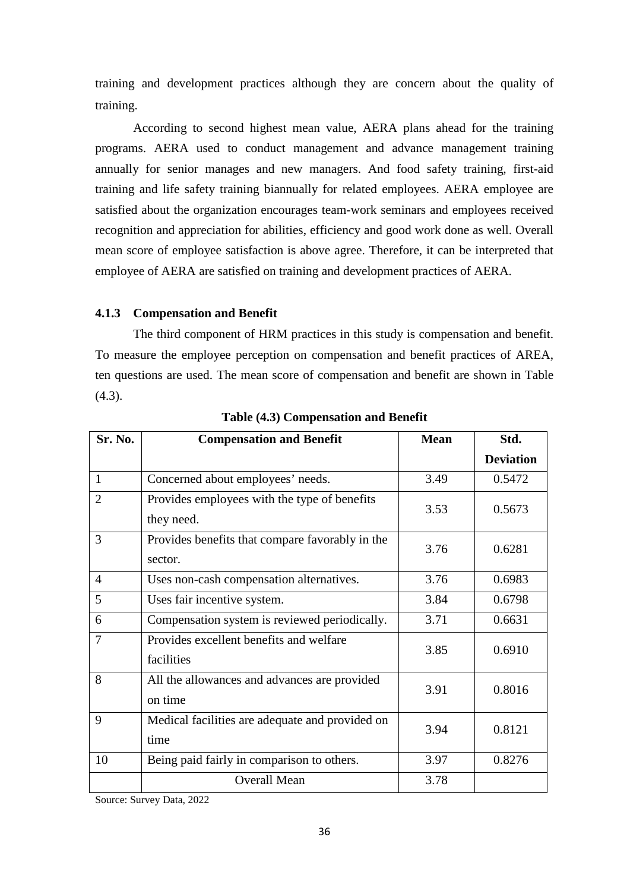training and development practices although they are concern about the quality of training.

According to second highest mean value, AERA plans ahead for the training programs. AERA used to conduct management and advance management training annually for senior manages and new managers. And food safety training, first-aid training and life safety training biannually for related employees. AERA employee are satisfied about the organization encourages team-work seminars and employees received recognition and appreciation for abilities, efficiency and good work done as well. Overall mean score of employee satisfaction is above agree. Therefore, it can be interpreted that employee of AERA are satisfied on training and development practices of AERA.

#### **4.1.3 Compensation and Benefit**

The third component of HRM practices in this study is compensation and benefit. To measure the employee perception on compensation and benefit practices of AREA, ten questions are used. The mean score of compensation and benefit are shown in Table  $(4.3)$ .

| Sr. No.        | <b>Compensation and Benefit</b>                            | <b>Mean</b> | Std.             |
|----------------|------------------------------------------------------------|-------------|------------------|
|                |                                                            |             | <b>Deviation</b> |
| $\mathbf{1}$   | Concerned about employees' needs.                          | 3.49        | 0.5472           |
| $\overline{2}$ | Provides employees with the type of benefits<br>they need. | 3.53        | 0.5673           |
| 3              | Provides benefits that compare favorably in the<br>sector. | 3.76        | 0.6281           |
| $\overline{4}$ | Uses non-cash compensation alternatives.                   | 3.76        | 0.6983           |
| 5              | Uses fair incentive system.                                | 3.84        | 0.6798           |
| 6              | Compensation system is reviewed periodically.              | 3.71        | 0.6631           |
| 7              | Provides excellent benefits and welfare<br>facilities      | 3.85        | 0.6910           |
| 8              | All the allowances and advances are provided<br>on time    | 3.91        | 0.8016           |
| 9              | Medical facilities are adequate and provided on<br>time    | 3.94        | 0.8121           |
| 10             | Being paid fairly in comparison to others.                 | 3.97        | 0.8276           |
|                | <b>Overall Mean</b>                                        | 3.78        |                  |

**Table (4.3) Compensation and Benefit**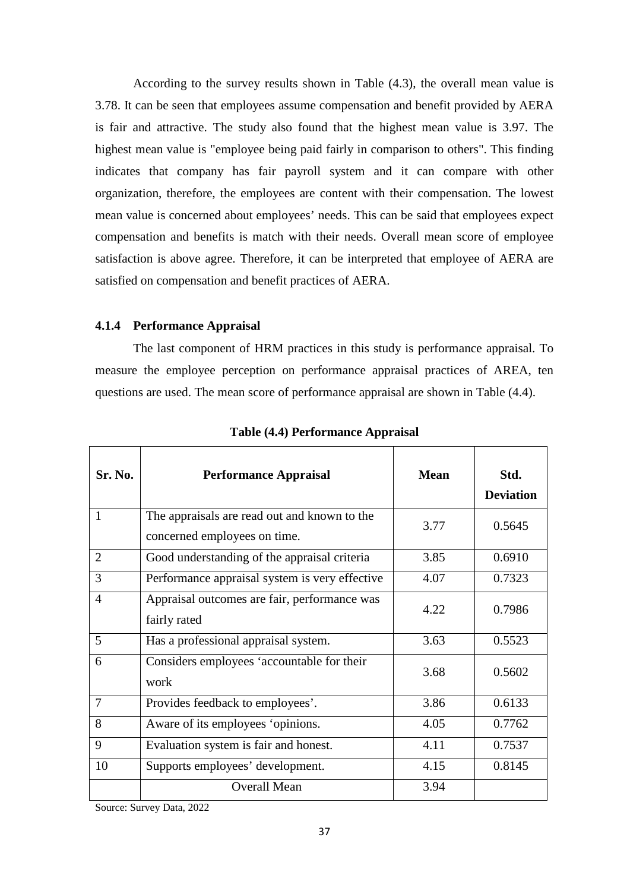According to the survey results shown in Table (4.3), the overall mean value is 3.78. It can be seen that employees assume compensation and benefit provided by AERA is fair and attractive. The study also found that the highest mean value is 3.97. The highest mean value is "employee being paid fairly in comparison to others". This finding indicates that company has fair payroll system and it can compare with other organization, therefore, the employees are content with their compensation. The lowest mean value is concerned about employees' needs. This can be said that employees expect compensation and benefits is match with their needs. Overall mean score of employee satisfaction is above agree. Therefore, it can be interpreted that employee of AERA are satisfied on compensation and benefit practices of AERA.

#### **4.1.4 Performance Appraisal**

The last component of HRM practices in this study is performance appraisal. To measure the employee perception on performance appraisal practices of AREA, ten questions are used. The mean score of performance appraisal are shown in Table (4.4).

| <b>Sr. No.</b> | <b>Performance Appraisal</b>                                                 | <b>Mean</b> | Std.<br><b>Deviation</b> |
|----------------|------------------------------------------------------------------------------|-------------|--------------------------|
| 1              | The appraisals are read out and known to the<br>concerned employees on time. | 3.77        | 0.5645                   |
| $\overline{2}$ | Good understanding of the appraisal criteria                                 | 3.85        | 0.6910                   |
| 3              | Performance appraisal system is very effective                               | 4.07        | 0.7323                   |
| $\overline{4}$ | Appraisal outcomes are fair, performance was<br>fairly rated                 | 4.22        | 0.7986                   |
| 5              | Has a professional appraisal system.                                         | 3.63        | 0.5523                   |
| 6              | Considers employees 'accountable for their<br>work                           | 3.68        | 0.5602                   |
| $\overline{7}$ | Provides feedback to employees'.                                             | 3.86        | 0.6133                   |
| 8              | Aware of its employees 'opinions.                                            | 4.05        | 0.7762                   |
| 9              | Evaluation system is fair and honest.                                        | 4.11        | 0.7537                   |
| 10             | Supports employees' development.                                             | 4.15        | 0.8145                   |
|                | <b>Overall Mean</b>                                                          | 3.94        |                          |

**Table (4.4) Performance Appraisal**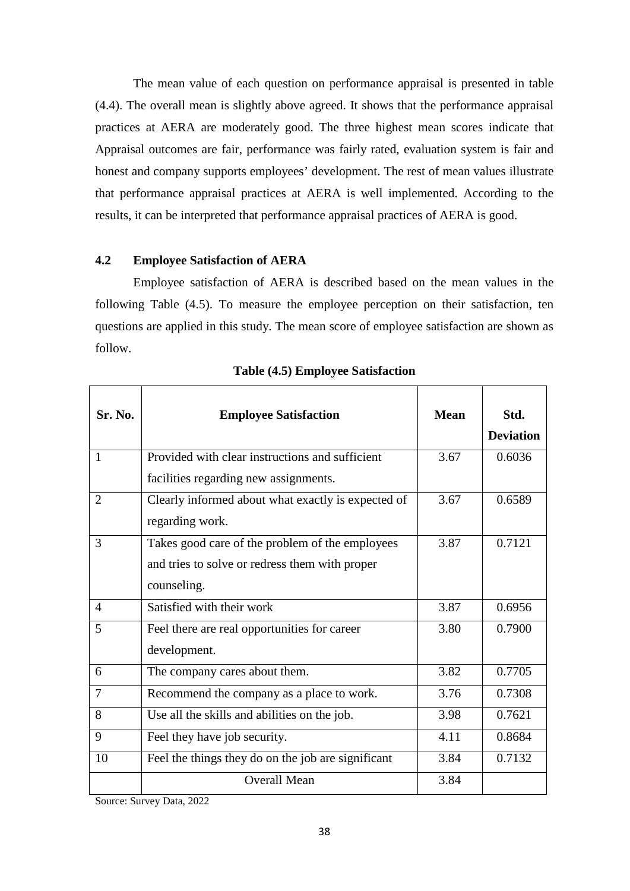The mean value of each question on performance appraisal is presented in table (4.4). The overall mean is slightly above agreed. It shows that the performance appraisal practices at AERA are moderately good. The three highest mean scores indicate that Appraisal outcomes are fair, performance was fairly rated, evaluation system is fair and honest and company supports employees' development. The rest of mean values illustrate that performance appraisal practices at AERA is well implemented. According to the results, it can be interpreted that performance appraisal practices of AERA is good.

### **4.2 Employee Satisfaction of AERA**

Employee satisfaction of AERA is described based on the mean values in the following Table (4.5). To measure the employee perception on their satisfaction, ten questions are applied in this study. The mean score of employee satisfaction are shown as follow.

| Sr. No.        | <b>Employee Satisfaction</b>                       | <b>Mean</b> | Std.             |
|----------------|----------------------------------------------------|-------------|------------------|
|                |                                                    |             | <b>Deviation</b> |
| $\mathbf{1}$   | Provided with clear instructions and sufficient    | 3.67        | 0.6036           |
|                | facilities regarding new assignments.              |             |                  |
| $\overline{2}$ | Clearly informed about what exactly is expected of | 3.67        | 0.6589           |
|                | regarding work.                                    |             |                  |
| 3              | Takes good care of the problem of the employees    | 3.87        | 0.7121           |
|                | and tries to solve or redress them with proper     |             |                  |
|                | counseling.                                        |             |                  |
| $\overline{4}$ | Satisfied with their work                          | 3.87        | 0.6956           |
| 5              | Feel there are real opportunities for career       | 3.80        | 0.7900           |
|                | development.                                       |             |                  |
| 6              | The company cares about them.                      | 3.82        | 0.7705           |
| $\tau$         | Recommend the company as a place to work.          | 3.76        | 0.7308           |
| 8              | Use all the skills and abilities on the job.       | 3.98        | 0.7621           |
| 9              | Feel they have job security.                       | 4.11        | 0.8684           |
| 10             | Feel the things they do on the job are significant | 3.84        | 0.7132           |
|                | <b>Overall Mean</b>                                | 3.84        |                  |

#### **Table (4.5) Employee Satisfaction**

 $\overline{\phantom{a}}$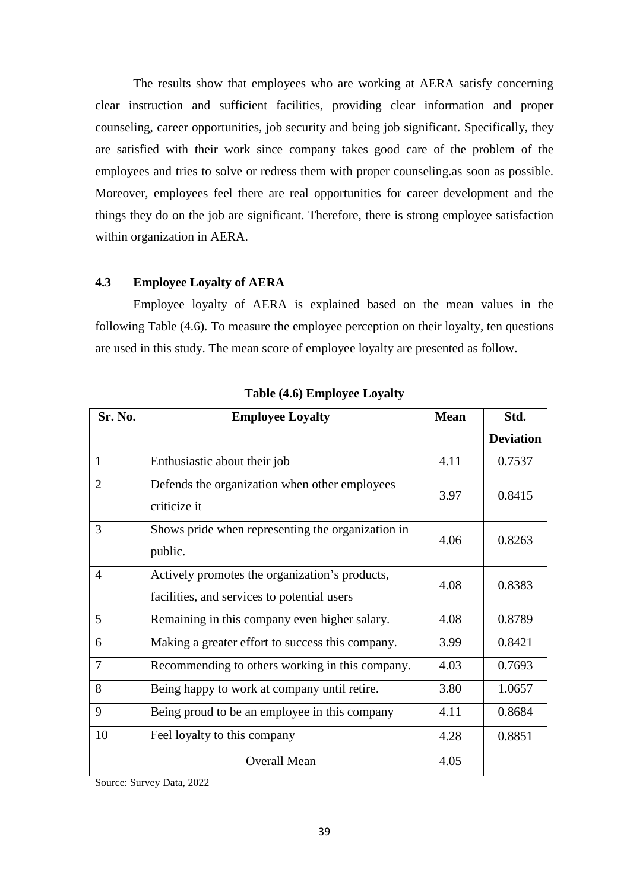The results show that employees who are working at AERA satisfy concerning clear instruction and sufficient facilities, providing clear information and proper counseling, career opportunities, job security and being job significant. Specifically, they are satisfied with their work since company takes good care of the problem of the employees and tries to solve or redress them with proper counseling.as soon as possible. Moreover, employees feel there are real opportunities for career development and the things they do on the job are significant. Therefore, there is strong employee satisfaction within organization in AERA.

### **4.3 Employee Loyalty of AERA**

Employee loyalty of AERA is explained based on the mean values in the following Table (4.6). To measure the employee perception on their loyalty, ten questions are used in this study. The mean score of employee loyalty are presented as follow.

| Sr. No.        | <b>Employee Loyalty</b>                                                                       | <b>Mean</b> | Std.             |
|----------------|-----------------------------------------------------------------------------------------------|-------------|------------------|
|                |                                                                                               |             | <b>Deviation</b> |
| $\mathbf{1}$   | Enthusiastic about their job                                                                  | 4.11        | 0.7537           |
| $\overline{2}$ | Defends the organization when other employees<br>criticize it                                 | 3.97        | 0.8415           |
| 3              | Shows pride when representing the organization in<br>public.                                  | 4.06        | 0.8263           |
| $\overline{4}$ | Actively promotes the organization's products,<br>facilities, and services to potential users | 4.08        | 0.8383           |
| 5              | Remaining in this company even higher salary.                                                 | 4.08        | 0.8789           |
| 6              | Making a greater effort to success this company.                                              | 3.99        | 0.8421           |
| 7              | Recommending to others working in this company.                                               | 4.03        | 0.7693           |
| 8              | Being happy to work at company until retire.                                                  | 3.80        | 1.0657           |
| 9              | Being proud to be an employee in this company                                                 | 4.11        | 0.8684           |
| 10             | Feel loyalty to this company                                                                  | 4.28        | 0.8851           |
|                | <b>Overall Mean</b>                                                                           | 4.05        |                  |

**Table (4.6) Employee Loyalty**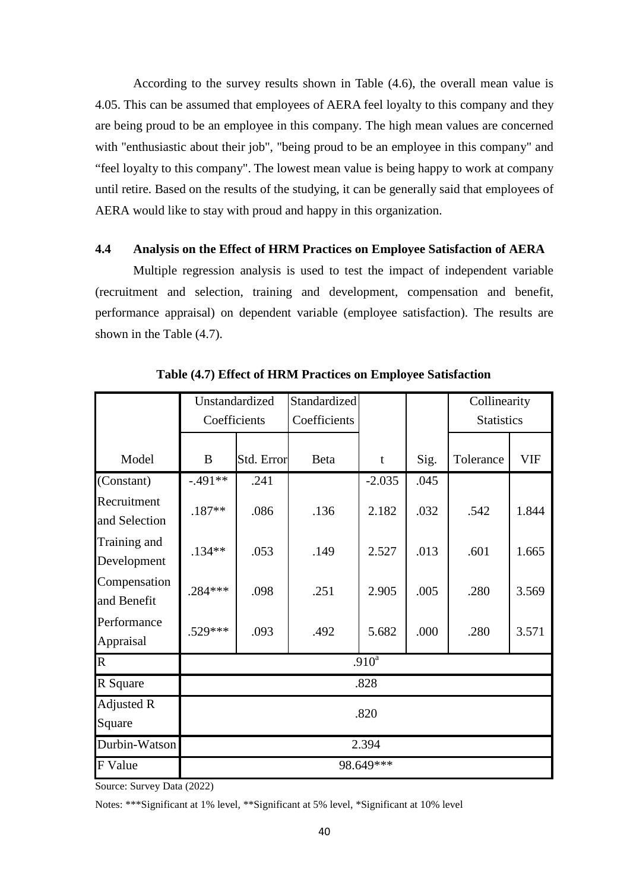According to the survey results shown in Table (4.6), the overall mean value is 4.05. This can be assumed that employees of AERA feel loyalty to this company and they are being proud to be an employee in this company. The high mean values are concerned with "enthusiastic about their job", "being proud to be an employee in this company" and "feel loyalty to this company". The lowest mean value is being happy to work at company until retire. Based on the results of the studying, it can be generally said that employees of AERA would like to stay with proud and happy in this organization.

### **4.4 Analysis on the Effect of HRM Practices on Employee Satisfaction of AERA**

Multiple regression analysis is used to test the impact of independent variable (recruitment and selection, training and development, compensation and benefit, performance appraisal) on dependent variable (employee satisfaction). The results are shown in the Table (4.7).

|                              | Unstandardized |            | Standardized |                   |      | Collinearity      |            |
|------------------------------|----------------|------------|--------------|-------------------|------|-------------------|------------|
|                              | Coefficients   |            | Coefficients |                   |      | <b>Statistics</b> |            |
|                              |                |            |              |                   |      |                   |            |
| Model                        | B              | Std. Error | <b>Beta</b>  | t                 | Sig. | Tolerance         | <b>VIF</b> |
| (Constant)                   | $-.491**$      | .241       |              | $-2.035$          | .045 |                   |            |
| Recruitment<br>and Selection | $.187**$       | .086       | .136         | 2.182             | .032 | .542              | 1.844      |
| Training and<br>Development  | $.134**$       | .053       | .149         | 2.527             | .013 | .601              | 1.665      |
| Compensation<br>and Benefit  | $.284***$      | .098       | .251         | 2.905             | .005 | .280              | 3.569      |
| Performance<br>Appraisal     | $.529***$      | .093       | .492         | 5.682             | .000 | .280              | 3.571      |
| $\mathbf R$                  |                |            |              | .910 <sup>a</sup> |      |                   |            |
| R Square                     |                |            |              | .828              |      |                   |            |
| Adjusted R                   |                | .820       |              |                   |      |                   |            |
| Square                       |                |            |              |                   |      |                   |            |
| Durbin-Watson                | 2.394          |            |              |                   |      |                   |            |
| F Value                      | 98.649***      |            |              |                   |      |                   |            |

**Table (4.7) Effect of HRM Practices on Employee Satisfaction**

Source: Survey Data (2022)

Notes: \*\*\*Significant at 1% level, \*\*Significant at 5% level, \*Significant at 10% level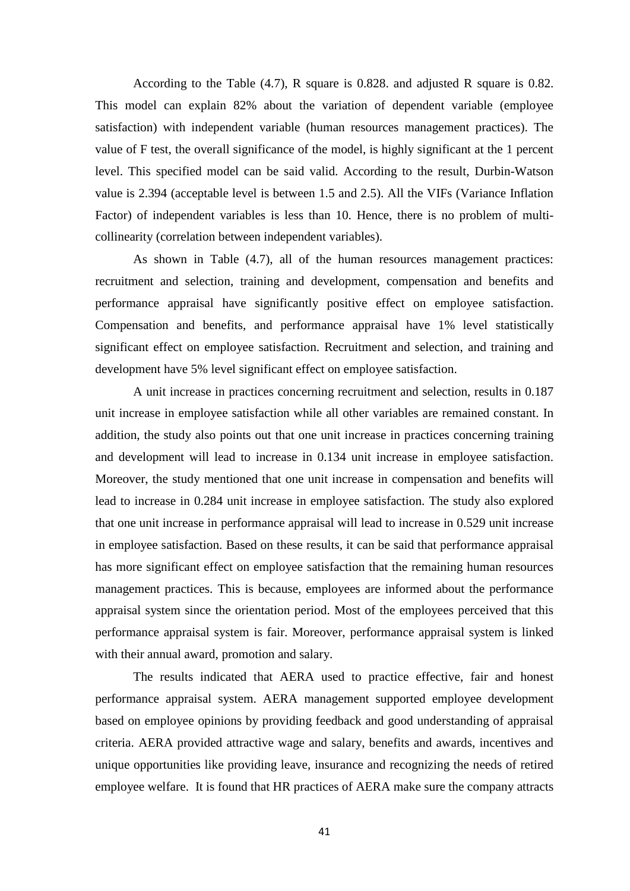According to the Table (4.7), R square is 0.828. and adjusted R square is 0.82. This model can explain 82% about the variation of dependent variable (employee satisfaction) with independent variable (human resources management practices). The value of F test, the overall significance of the model, is highly significant at the 1 percent level. This specified model can be said valid. According to the result, Durbin-Watson value is 2.394 (acceptable level is between 1.5 and 2.5). All the VIFs (Variance Inflation Factor) of independent variables is less than 10. Hence, there is no problem of multicollinearity (correlation between independent variables).

As shown in Table (4.7), all of the human resources management practices: recruitment and selection, training and development, compensation and benefits and performance appraisal have significantly positive effect on employee satisfaction. Compensation and benefits, and performance appraisal have 1% level statistically significant effect on employee satisfaction. Recruitment and selection, and training and development have 5% level significant effect on employee satisfaction.

A unit increase in practices concerning recruitment and selection, results in 0.187 unit increase in employee satisfaction while all other variables are remained constant. In addition, the study also points out that one unit increase in practices concerning training and development will lead to increase in 0.134 unit increase in employee satisfaction. Moreover, the study mentioned that one unit increase in compensation and benefits will lead to increase in 0.284 unit increase in employee satisfaction. The study also explored that one unit increase in performance appraisal will lead to increase in 0.529 unit increase in employee satisfaction. Based on these results, it can be said that performance appraisal has more significant effect on employee satisfaction that the remaining human resources management practices. This is because, employees are informed about the performance appraisal system since the orientation period. Most of the employees perceived that this performance appraisal system is fair. Moreover, performance appraisal system is linked with their annual award, promotion and salary.

The results indicated that AERA used to practice effective, fair and honest performance appraisal system. AERA management supported employee development based on employee opinions by providing feedback and good understanding of appraisal criteria. AERA provided attractive wage and salary, benefits and awards, incentives and unique opportunities like providing leave, insurance and recognizing the needs of retired employee welfare. It is found that HR practices of AERA make sure the company attracts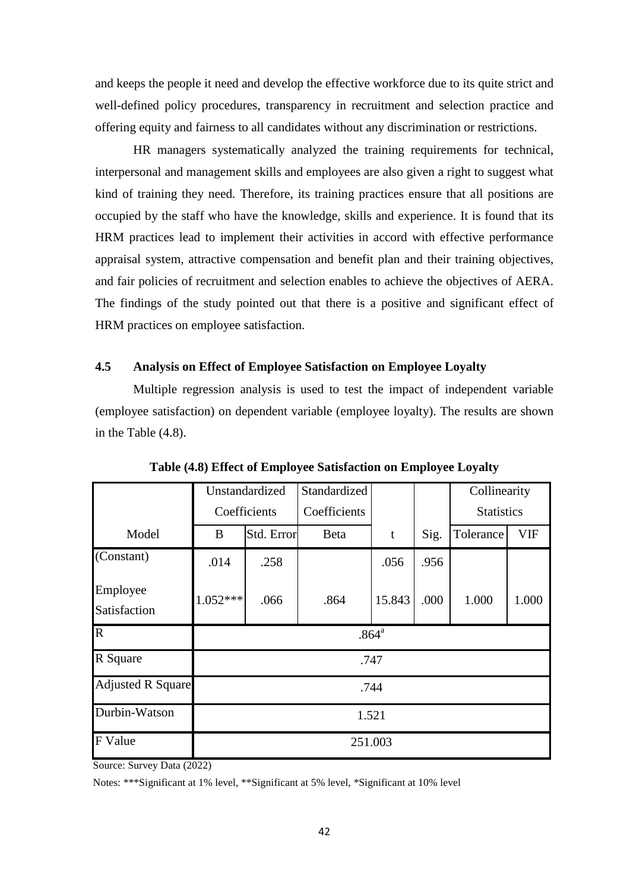and keeps the people it need and develop the effective workforce due to its quite strict and well-defined policy procedures, transparency in recruitment and selection practice and offering equity and fairness to all candidates without any discrimination or restrictions.

HR managers systematically analyzed the training requirements for technical, interpersonal and management skills and employees are also given a right to suggest what kind of training they need. Therefore, its training practices ensure that all positions are occupied by the staff who have the knowledge, skills and experience. It is found that its HRM practices lead to implement their activities in accord with effective performance appraisal system, attractive compensation and benefit plan and their training objectives, and fair policies of recruitment and selection enables to achieve the objectives of AERA. The findings of the study pointed out that there is a positive and significant effect of HRM practices on employee satisfaction.

## **4.5 Analysis on Effect of Employee Satisfaction on Employee Loyalty**

Multiple regression analysis is used to test the impact of independent variable (employee satisfaction) on dependent variable (employee loyalty). The results are shown in the Table (4.8).

|                          |                   | Unstandardized | Standardized |        |      | Collinearity      |       |
|--------------------------|-------------------|----------------|--------------|--------|------|-------------------|-------|
|                          |                   | Coefficients   | Coefficients |        |      | <b>Statistics</b> |       |
| Model                    | B                 | Std. Error     | Beta         | t      | Sig. | Tolerance         | VIF   |
| (Constant)               | .014              | .258           |              | .056   | .956 |                   |       |
| Employee                 | $1.052***$        |                |              | 15.843 |      |                   |       |
| Satisfaction             |                   | .066           | .864         |        | .000 | 1.000             | 1.000 |
| $\overline{\mathbf{R}}$  | .864 <sup>a</sup> |                |              |        |      |                   |       |
| R Square                 | .747              |                |              |        |      |                   |       |
| <b>Adjusted R Square</b> | .744              |                |              |        |      |                   |       |
| Durbin-Watson            |                   |                | 1.521        |        |      |                   |       |
| <b>F</b> Value           | 251.003           |                |              |        |      |                   |       |

**Table (4.8) Effect of Employee Satisfaction on Employee Loyalty**

Source: Survey Data (2022)

Notes: \*\*\*Significant at 1% level, \*\*Significant at 5% level, \*Significant at 10% level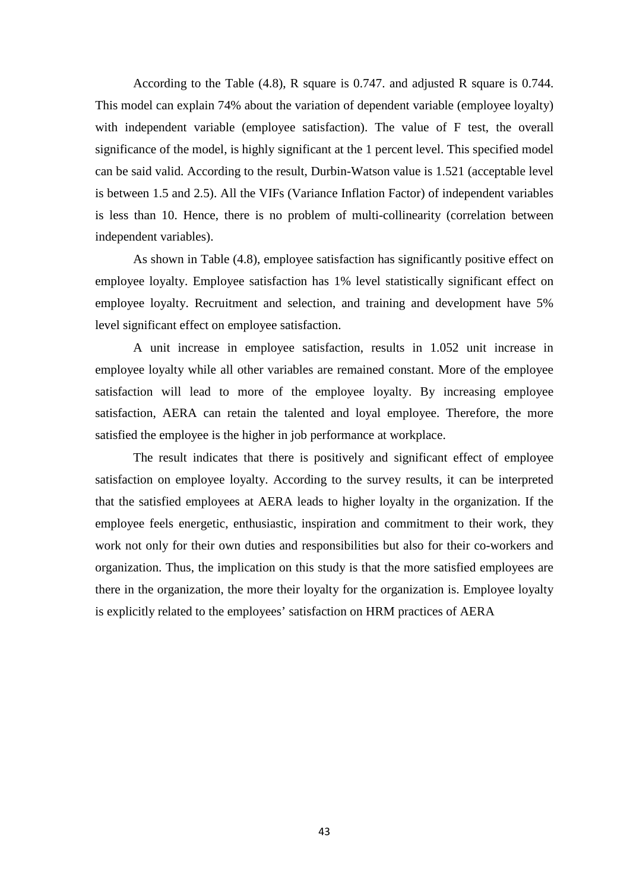According to the Table (4.8), R square is 0.747. and adjusted R square is 0.744. This model can explain 74% about the variation of dependent variable (employee loyalty) with independent variable (employee satisfaction). The value of F test, the overall significance of the model, is highly significant at the 1 percent level. This specified model can be said valid. According to the result, Durbin-Watson value is 1.521 (acceptable level is between 1.5 and 2.5). All the VIFs (Variance Inflation Factor) of independent variables is less than 10. Hence, there is no problem of multi-collinearity (correlation between independent variables).

As shown in Table (4.8), employee satisfaction has significantly positive effect on employee loyalty. Employee satisfaction has 1% level statistically significant effect on employee loyalty. Recruitment and selection, and training and development have 5% level significant effect on employee satisfaction.

A unit increase in employee satisfaction, results in 1.052 unit increase in employee loyalty while all other variables are remained constant. More of the employee satisfaction will lead to more of the employee loyalty. By increasing employee satisfaction, AERA can retain the talented and loyal employee. Therefore, the more satisfied the employee is the higher in job performance at workplace.

The result indicates that there is positively and significant effect of employee satisfaction on employee loyalty. According to the survey results, it can be interpreted that the satisfied employees at AERA leads to higher loyalty in the organization. If the employee feels energetic, enthusiastic, inspiration and commitment to their work, they work not only for their own duties and responsibilities but also for their co-workers and organization. Thus, the implication on this study is that the more satisfied employees are there in the organization, the more their loyalty for the organization is. Employee loyalty is explicitly related to the employees' satisfaction on HRM practices of AERA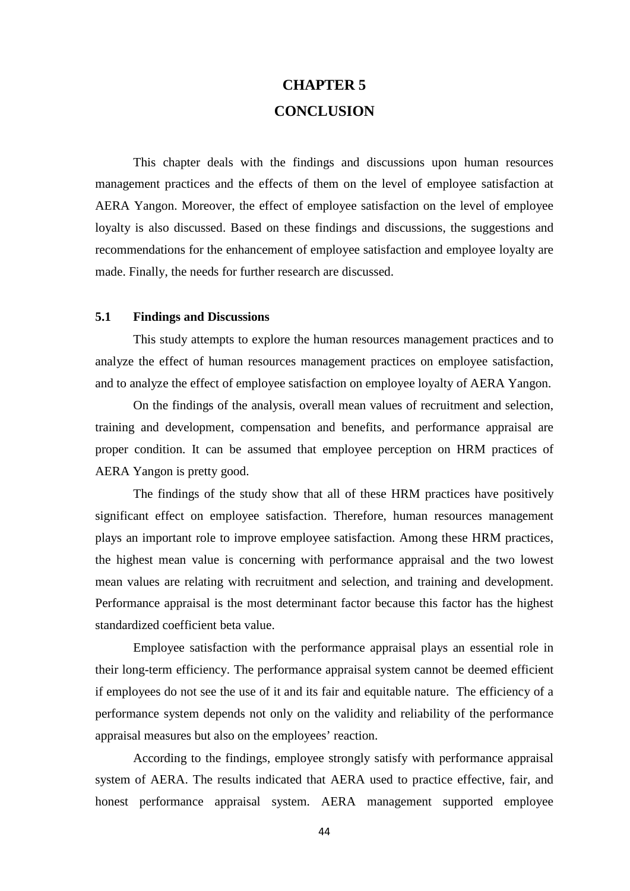# **CHAPTER 5 CONCLUSION**

This chapter deals with the findings and discussions upon human resources management practices and the effects of them on the level of employee satisfaction at AERA Yangon. Moreover, the effect of employee satisfaction on the level of employee loyalty is also discussed. Based on these findings and discussions, the suggestions and recommendations for the enhancement of employee satisfaction and employee loyalty are made. Finally, the needs for further research are discussed.

#### **5.1 Findings and Discussions**

This study attempts to explore the human resources management practices and to analyze the effect of human resources management practices on employee satisfaction, and to analyze the effect of employee satisfaction on employee loyalty of AERA Yangon.

On the findings of the analysis, overall mean values of recruitment and selection, training and development, compensation and benefits, and performance appraisal are proper condition. It can be assumed that employee perception on HRM practices of AERA Yangon is pretty good.

The findings of the study show that all of these HRM practices have positively significant effect on employee satisfaction. Therefore, human resources management plays an important role to improve employee satisfaction. Among these HRM practices, the highest mean value is concerning with performance appraisal and the two lowest mean values are relating with recruitment and selection, and training and development. Performance appraisal is the most determinant factor because this factor has the highest standardized coefficient beta value.

Employee satisfaction with the performance appraisal plays an essential role in their long-term efficiency. The performance appraisal system cannot be deemed efficient if employees do not see the use of it and its fair and equitable nature. The efficiency of a performance system depends not only on the validity and reliability of the performance appraisal measures but also on the employees' reaction.

According to the findings, employee strongly satisfy with performance appraisal system of AERA. The results indicated that AERA used to practice effective, fair, and honest performance appraisal system. AERA management supported employee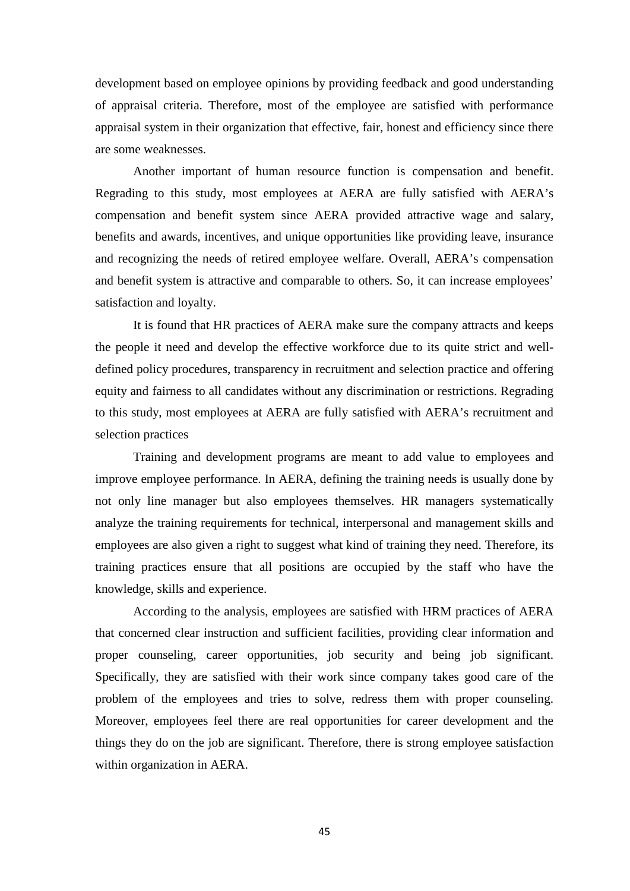development based on employee opinions by providing feedback and good understanding of appraisal criteria. Therefore, most of the employee are satisfied with performance appraisal system in their organization that effective, fair, honest and efficiency since there are some weaknesses.

Another important of human resource function is compensation and benefit. Regrading to this study, most employees at AERA are fully satisfied with AERA's compensation and benefit system since AERA provided attractive wage and salary, benefits and awards, incentives, and unique opportunities like providing leave, insurance and recognizing the needs of retired employee welfare. Overall, AERA's compensation and benefit system is attractive and comparable to others. So, it can increase employees' satisfaction and loyalty.

It is found that HR practices of AERA make sure the company attracts and keeps the people it need and develop the effective workforce due to its quite strict and welldefined policy procedures, transparency in recruitment and selection practice and offering equity and fairness to all candidates without any discrimination or restrictions. Regrading to this study, most employees at AERA are fully satisfied with AERA's recruitment and selection practices

Training and development programs are meant to add value to employees and improve employee performance. In AERA, defining the training needs is usually done by not only line manager but also employees themselves. HR managers systematically analyze the training requirements for technical, interpersonal and management skills and employees are also given a right to suggest what kind of training they need. Therefore, its training practices ensure that all positions are occupied by the staff who have the knowledge, skills and experience.

According to the analysis, employees are satisfied with HRM practices of AERA that concerned clear instruction and sufficient facilities, providing clear information and proper counseling, career opportunities, job security and being job significant. Specifically, they are satisfied with their work since company takes good care of the problem of the employees and tries to solve, redress them with proper counseling. Moreover, employees feel there are real opportunities for career development and the things they do on the job are significant. Therefore, there is strong employee satisfaction within organization in AERA.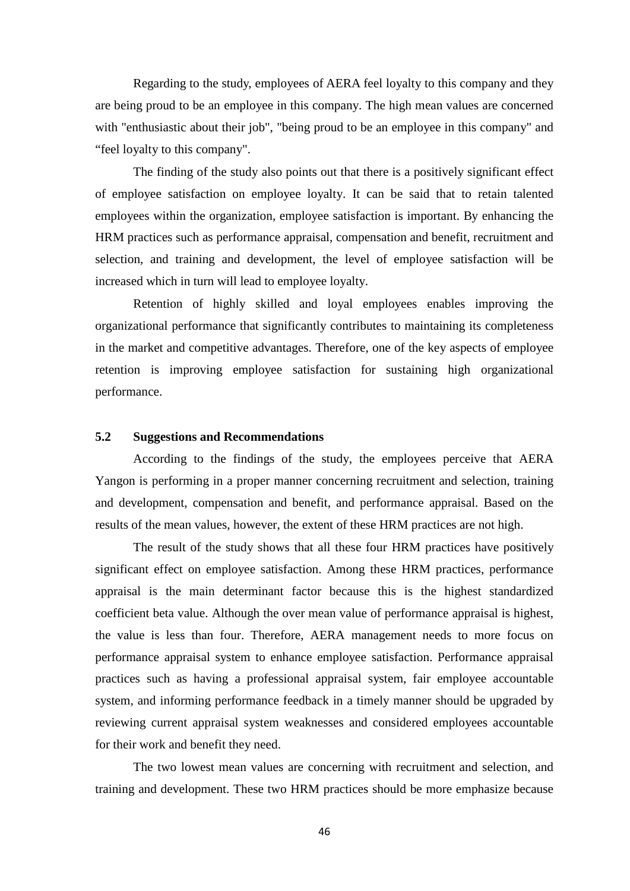Regarding to the study, employees of AERA feel loyalty to this company and they are being proud to be an employee in this company. The high mean values are concerned with "enthusiastic about their job", "being proud to be an employee in this company" and "feel loyalty to this company".

The finding of the study also points out that there is a positively significant effect of employee satisfaction on employee loyalty. It can be said that to retain talented employees within the organization, employee satisfaction is important. By enhancing the HRM practices such as performance appraisal, compensation and benefit, recruitment and selection, and training and development, the level of employee satisfaction will be increased which in turn will lead to employee loyalty.

Retention of highly skilled and loyal employees enables improving the organizational performance that significantly contributes to maintaining its completeness in the market and competitive advantages. Therefore, one of the key aspects of employee retention is improving employee satisfaction for sustaining high organizational performance.

#### **5.2 Suggestions and Recommendations**

According to the findings of the study, the employees perceive that AERA Yangon is performing in a proper manner concerning recruitment and selection, training and development, compensation and benefit, and performance appraisal. Based on the results of the mean values, however, the extent of these HRM practices are not high.

The result of the study shows that all these four HRM practices have positively significant effect on employee satisfaction. Among these HRM practices, performance appraisal is the main determinant factor because this is the highest standardized coefficient beta value. Although the over mean value of performance appraisal is highest, the value is less than four. Therefore, AERA management needs to more focus on performance appraisal system to enhance employee satisfaction. Performance appraisal practices such as having a professional appraisal system, fair employee accountable system, and informing performance feedback in a timely manner should be upgraded by reviewing current appraisal system weaknesses and considered employees accountable for their work and benefit they need.

The two lowest mean values are concerning with recruitment and selection, and training and development. These two HRM practices should be more emphasize because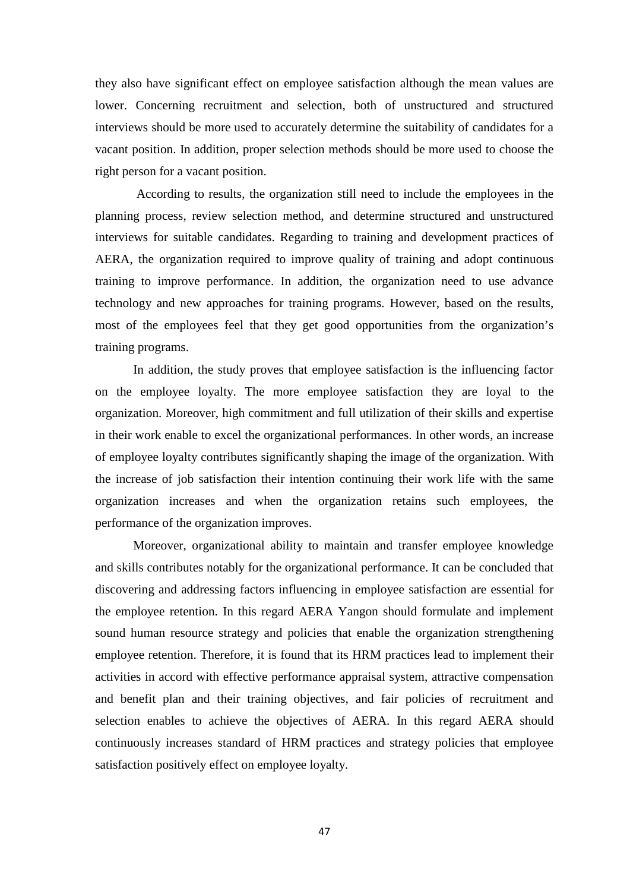they also have significant effect on employee satisfaction although the mean values are lower. Concerning recruitment and selection, both of unstructured and structured interviews should be more used to accurately determine the suitability of candidates for a vacant position. In addition, proper selection methods should be more used to choose the right person for a vacant position.

According to results, the organization still need to include the employees in the planning process, review selection method, and determine structured and unstructured interviews for suitable candidates. Regarding to training and development practices of AERA, the organization required to improve quality of training and adopt continuous training to improve performance. In addition, the organization need to use advance technology and new approaches for training programs. However, based on the results, most of the employees feel that they get good opportunities from the organization's training programs.

In addition, the study proves that employee satisfaction is the influencing factor on the employee loyalty. The more employee satisfaction they are loyal to the organization. Moreover, high commitment and full utilization of their skills and expertise in their work enable to excel the organizational performances. In other words, an increase of employee loyalty contributes significantly shaping the image of the organization. With the increase of job satisfaction their intention continuing their work life with the same organization increases and when the organization retains such employees, the performance of the organization improves.

Moreover, organizational ability to maintain and transfer employee knowledge and skills contributes notably for the organizational performance. It can be concluded that discovering and addressing factors influencing in employee satisfaction are essential for the employee retention. In this regard AERA Yangon should formulate and implement sound human resource strategy and policies that enable the organization strengthening employee retention. Therefore, it is found that its HRM practices lead to implement their activities in accord with effective performance appraisal system, attractive compensation and benefit plan and their training objectives, and fair policies of recruitment and selection enables to achieve the objectives of AERA. In this regard AERA should continuously increases standard of HRM practices and strategy policies that employee satisfaction positively effect on employee loyalty.

47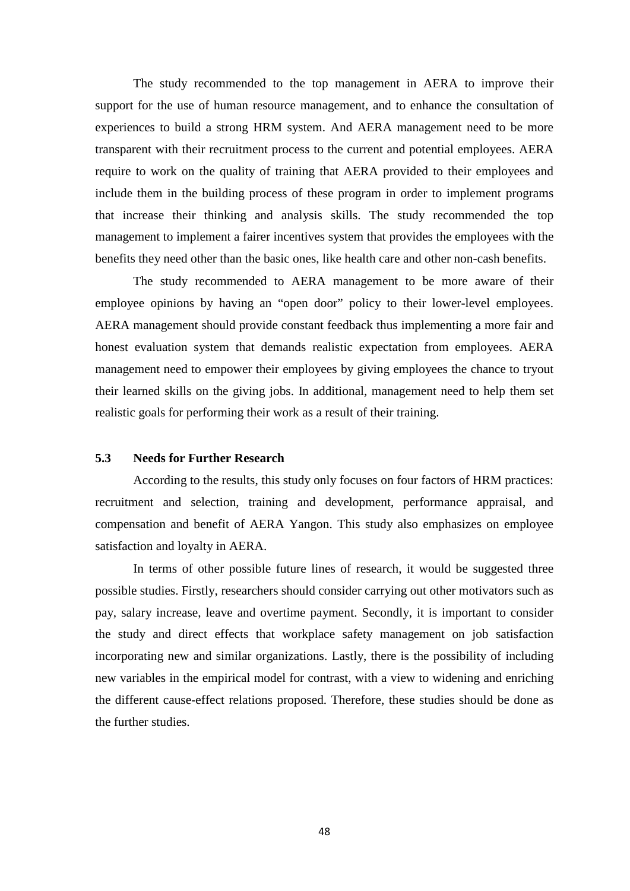The study recommended to the top management in AERA to improve their support for the use of human resource management, and to enhance the consultation of experiences to build a strong HRM system. And AERA management need to be more transparent with their recruitment process to the current and potential employees. AERA require to work on the quality of training that AERA provided to their employees and include them in the building process of these program in order to implement programs that increase their thinking and analysis skills. The study recommended the top management to implement a fairer incentives system that provides the employees with the benefits they need other than the basic ones, like health care and other non-cash benefits.

The study recommended to AERA management to be more aware of their employee opinions by having an "open door" policy to their lower-level employees. AERA management should provide constant feedback thus implementing a more fair and honest evaluation system that demands realistic expectation from employees. AERA management need to empower their employees by giving employees the chance to tryout their learned skills on the giving jobs. In additional, management need to help them set realistic goals for performing their work as a result of their training.

#### **5.3 Needs for Further Research**

According to the results, this study only focuses on four factors of HRM practices: recruitment and selection, training and development, performance appraisal, and compensation and benefit of AERA Yangon. This study also emphasizes on employee satisfaction and loyalty in AERA.

In terms of other possible future lines of research, it would be suggested three possible studies. Firstly, researchers should consider carrying out other motivators such as pay, salary increase, leave and overtime payment. Secondly, it is important to consider the study and direct effects that workplace safety management on job satisfaction incorporating new and similar organizations. Lastly, there is the possibility of including new variables in the empirical model for contrast, with a view to widening and enriching the different cause-effect relations proposed. Therefore, these studies should be done as the further studies.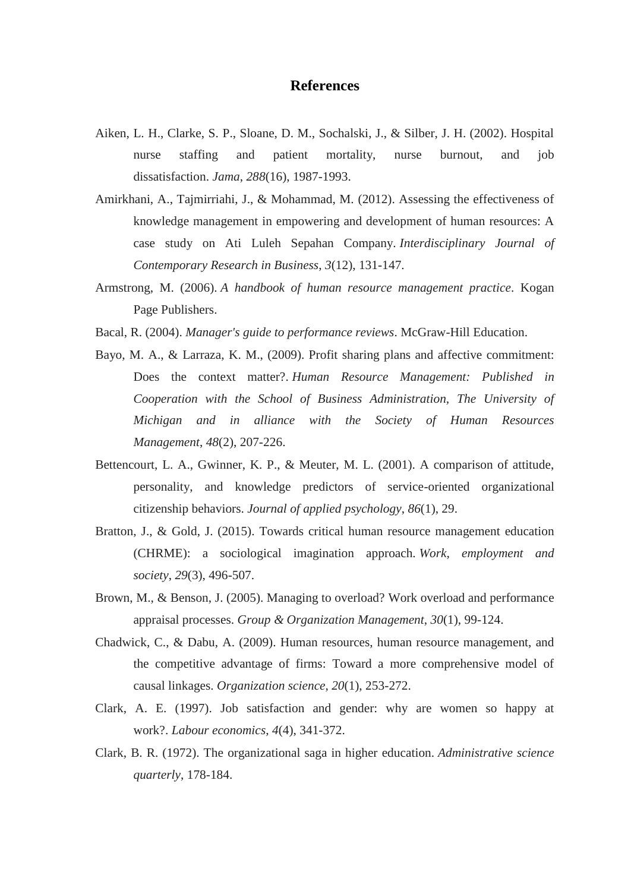### **References**

- Aiken, L. H., Clarke, S. P., Sloane, D. M., Sochalski, J., & Silber, J. H. (2002). Hospital nurse staffing and patient mortality, nurse burnout, and job dissatisfaction. *Jama*, *288*(16), 1987-1993.
- Amirkhani, A., Tajmirriahi, J., & Mohammad, M. (2012). Assessing the effectiveness of knowledge management in empowering and development of human resources: A case study on Ati Luleh Sepahan Company. *Interdisciplinary Journal of Contemporary Research in Business*, *3*(12), 131-147.
- Armstrong, M. (2006). *A handbook of human resource management practice*. Kogan Page Publishers.
- Bacal, R. (2004). *Manager's guide to performance reviews*. McGraw-Hill Education.
- Bayo, M. A., & Larraza, K. M., (2009). Profit sharing plans and affective commitment: Does the context matter?. *Human Resource Management: Published in Cooperation with the School of Business Administration, The University of Michigan and in alliance with the Society of Human Resources Management*, *48*(2), 207-226.
- Bettencourt, L. A., Gwinner, K. P., & Meuter, M. L. (2001). A comparison of attitude, personality, and knowledge predictors of service-oriented organizational citizenship behaviors. *Journal of applied psychology*, *86*(1), 29.
- Bratton, J., & Gold, J. (2015). Towards critical human resource management education (CHRME): a sociological imagination approach. *Work, employment and society*, *29*(3), 496-507.
- Brown, M., & Benson, J. (2005). Managing to overload? Work overload and performance appraisal processes. *Group & Organization Management*, *30*(1), 99-124.
- Chadwick, C., & Dabu, A. (2009). Human resources, human resource management, and the competitive advantage of firms: Toward a more comprehensive model of causal linkages. *Organization science*, *20*(1), 253-272.
- Clark, A. E. (1997). Job satisfaction and gender: why are women so happy at work?. *Labour economics*, *4*(4), 341-372.
- Clark, B. R. (1972). The organizational saga in higher education. *Administrative science quarterly*, 178-184.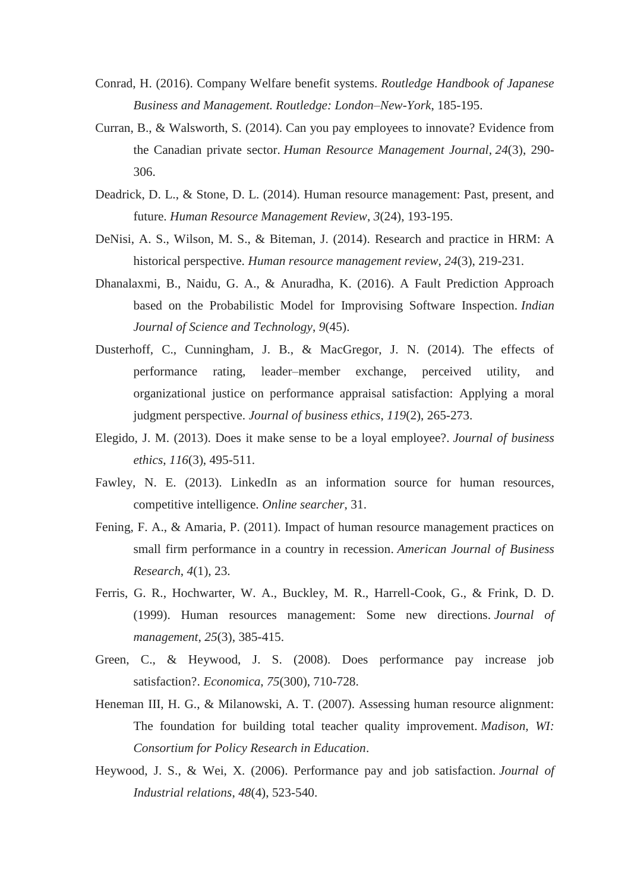- Conrad, H. (2016). Company Welfare benefit systems. *Routledge Handbook of Japanese Business and Management. Routledge: London–New-York*, 185-195.
- Curran, B., & Walsworth, S. (2014). Can you pay employees to innovate? Evidence from the Canadian private sector. *Human Resource Management Journal*, *24*(3), 290- 306.
- Deadrick, D. L., & Stone, D. L. (2014). Human resource management: Past, present, and future. *Human Resource Management Review*, *3*(24), 193-195.
- DeNisi, A. S., Wilson, M. S., & Biteman, J. (2014). Research and practice in HRM: A historical perspective. *Human resource management review*, *24*(3), 219-231.
- Dhanalaxmi, B., Naidu, G. A., & Anuradha, K. (2016). A Fault Prediction Approach based on the Probabilistic Model for Improvising Software Inspection. *Indian Journal of Science and Technology*, *9*(45).
- Dusterhoff, C., Cunningham, J. B., & MacGregor, J. N. (2014). The effects of performance rating, leader–member exchange, perceived utility, and organizational justice on performance appraisal satisfaction: Applying a moral judgment perspective. *Journal of business ethics*, *119*(2), 265-273.
- Elegido, J. M. (2013). Does it make sense to be a loyal employee?. *Journal of business ethics*, *116*(3), 495-511.
- Fawley, N. E. (2013). LinkedIn as an information source for human resources, competitive intelligence. *Online searcher*, 31.
- Fening, F. A., & Amaria, P. (2011). Impact of human resource management practices on small firm performance in a country in recession. *American Journal of Business Research*, *4*(1), 23.
- Ferris, G. R., Hochwarter, W. A., Buckley, M. R., Harrell-Cook, G., & Frink, D. D. (1999). Human resources management: Some new directions. *Journal of management*, *25*(3), 385-415.
- Green, C., & Heywood, J. S. (2008). Does performance pay increase job satisfaction?. *Economica*, *75*(300), 710-728.
- Heneman III, H. G., & Milanowski, A. T. (2007). Assessing human resource alignment: The foundation for building total teacher quality improvement. *Madison, WI: Consortium for Policy Research in Education*.
- Heywood, J. S., & Wei, X. (2006). Performance pay and job satisfaction. *Journal of Industrial relations*, *48*(4), 523-540.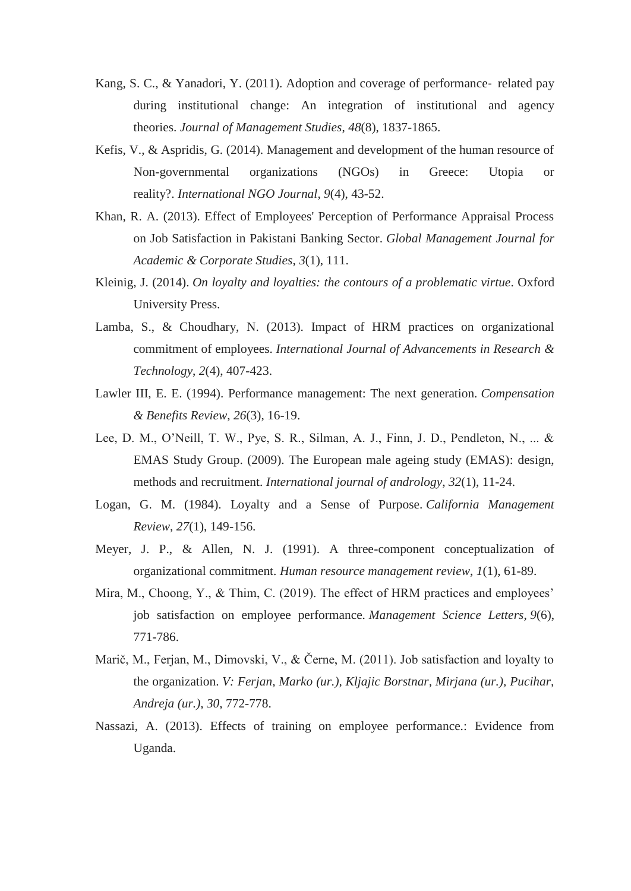- Kang, S. C., & Yanadori, Y. (2011). Adoption and coverage of performance-related pay during institutional change: An integration of institutional and agency theories. *Journal of Management Studies*, *48*(8), 1837-1865.
- Kefis, V., & Aspridis, G. (2014). Management and development of the human resource of Non-governmental organizations (NGOs) in Greece: Utopia or reality?. *International NGO Journal*, *9*(4), 43-52.
- Khan, R. A. (2013). Effect of Employees' Perception of Performance Appraisal Process on Job Satisfaction in Pakistani Banking Sector. *Global Management Journal for Academic & Corporate Studies*, *3*(1), 111.
- Kleinig, J. (2014). *On loyalty and loyalties: the contours of a problematic virtue*. Oxford University Press.
- Lamba, S., & Choudhary, N. (2013). Impact of HRM practices on organizational commitment of employees. *International Journal of Advancements in Research & Technology*, *2*(4), 407-423.
- Lawler III, E. E. (1994). Performance management: The next generation. *Compensation & Benefits Review*, *26*(3), 16-19.
- Lee, D. M., O'Neill, T. W., Pye, S. R., Silman, A. J., Finn, J. D., Pendleton, N., ... & EMAS Study Group. (2009). The European male ageing study (EMAS): design, methods and recruitment. *International journal of andrology*, *32*(1), 11-24.
- Logan, G. M. (1984). Loyalty and a Sense of Purpose. *California Management Review*, *27*(1), 149-156.
- Meyer, J. P., & Allen, N. J. (1991). A three-component conceptualization of organizational commitment. *Human resource management review*, *1*(1), 61-89.
- Mira, M., Choong, Y., & Thim, C. (2019). The effect of HRM practices and employees' job satisfaction on employee performance. *Management Science Letters*, *9*(6), 771-786.
- Marič, M., Ferjan, M., Dimovski, V., & Černe, M. (2011). Job satisfaction and loyalty to the organization. *V: Ferjan, Marko (ur.), Kljajic Borstnar, Mirjana (ur.), Pucihar, Andreja (ur.)*, *30*, 772-778.
- Nassazi, A. (2013). Effects of training on employee performance.: Evidence from Uganda.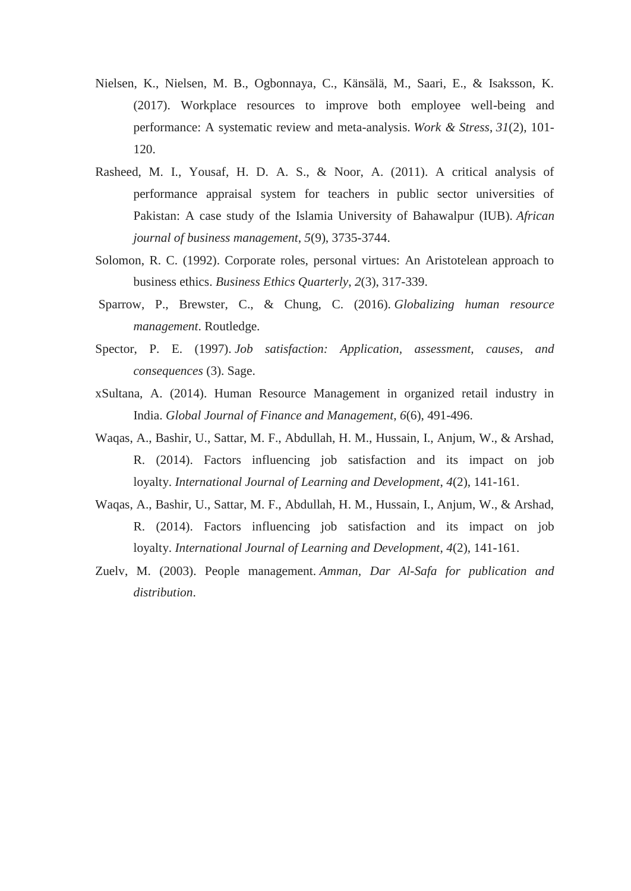- Nielsen, K., Nielsen, M. B., Ogbonnaya, C., Känsälä, M., Saari, E., & Isaksson, K. (2017). Workplace resources to improve both employee well-being and performance: A systematic review and meta-analysis. *Work & Stress*, *31*(2), 101- 120.
- Rasheed, M. I., Yousaf, H. D. A. S., & Noor, A. (2011). A critical analysis of performance appraisal system for teachers in public sector universities of Pakistan: A case study of the Islamia University of Bahawalpur (IUB). *African journal of business management*, *5*(9), 3735-3744.
- Solomon, R. C. (1992). Corporate roles, personal virtues: An Aristotelean approach to business ethics. *Business Ethics Quarterly*, *2*(3), 317-339.
- Sparrow, P., Brewster, C., & Chung, C. (2016). *Globalizing human resource management*. Routledge.
- Spector, P. E. (1997). *Job satisfaction: Application, assessment, causes, and consequences* (3). Sage.
- xSultana, A. (2014). Human Resource Management in organized retail industry in India. *Global Journal of Finance and Management*, *6*(6), 491-496.
- Waqas, A., Bashir, U., Sattar, M. F., Abdullah, H. M., Hussain, I., Anjum, W., & Arshad, R. (2014). Factors influencing job satisfaction and its impact on job loyalty. *International Journal of Learning and Development*, *4*(2), 141-161.
- Waqas, A., Bashir, U., Sattar, M. F., Abdullah, H. M., Hussain, I., Anjum, W., & Arshad, R. (2014). Factors influencing job satisfaction and its impact on job loyalty. *International Journal of Learning and Development*, *4*(2), 141-161.
- Zuelv, M. (2003). People management. *Amman, Dar Al-Safa for publication and distribution*.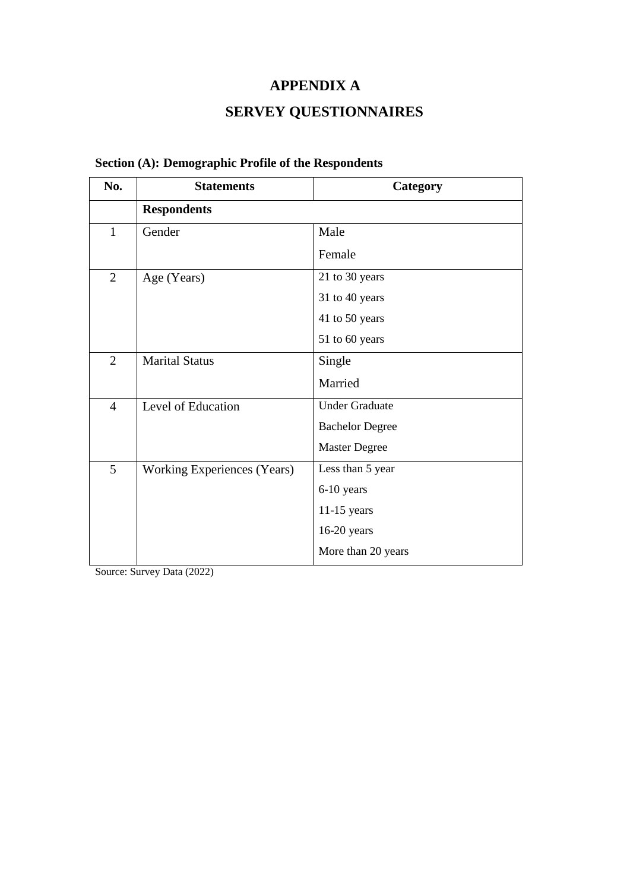# **APPENDIX A**

# **SERVEY QUESTIONNAIRES**

| No.            | <b>Statements</b>                  | Category               |
|----------------|------------------------------------|------------------------|
|                | <b>Respondents</b>                 |                        |
| $\mathbf{1}$   | Gender                             | Male                   |
|                |                                    | Female                 |
| $\overline{2}$ | Age (Years)                        | 21 to 30 years         |
|                |                                    | 31 to 40 years         |
|                |                                    | 41 to 50 years         |
|                |                                    | 51 to 60 years         |
| $\overline{2}$ | <b>Marital Status</b>              | Single                 |
|                |                                    | Married                |
| $\overline{4}$ | Level of Education                 | <b>Under Graduate</b>  |
|                |                                    | <b>Bachelor Degree</b> |
|                |                                    | <b>Master Degree</b>   |
| 5              | <b>Working Experiences (Years)</b> | Less than 5 year       |
|                |                                    | 6-10 years             |
|                |                                    | $11-15$ years          |
|                |                                    | 16-20 years            |
|                |                                    | More than 20 years     |

# **Section (A): Demographic Profile of the Respondents**

Source: Survey Data (2022)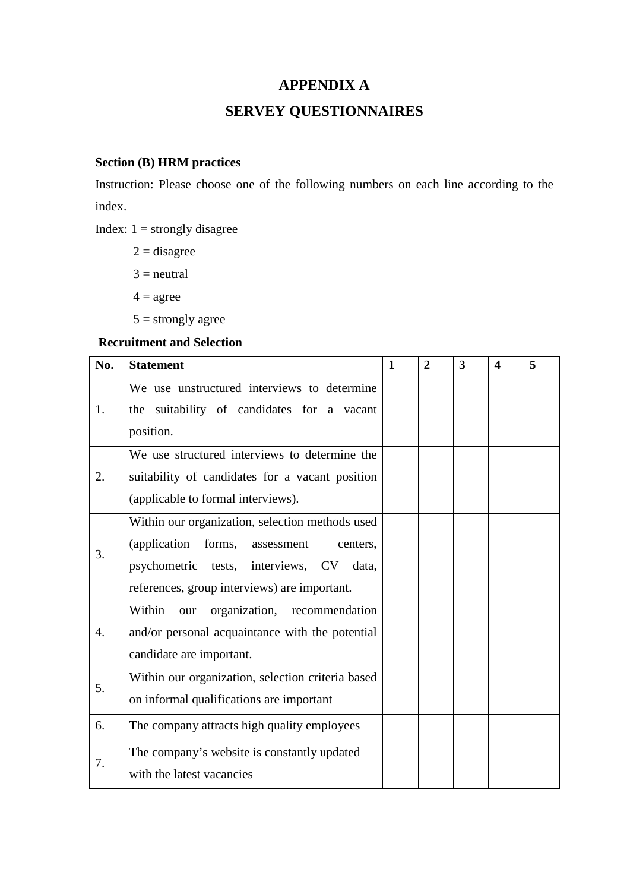## **APPENDIX A**

# **SERVEY QUESTIONNAIRES**

# **Section (B) HRM practices**

Instruction: Please choose one of the following numbers on each line according to the index.

Index:  $1 =$  strongly disagree

 $2 =$  disagree

 $3$  = neutral

 $4 = \text{agree}$ 

 $5 =$  strongly agree

### **Recruitment and Selection**

| No. | <b>Statement</b>                                  | $\mathbf{1}$ | $\overline{2}$ | 3 | 4 | 5 |
|-----|---------------------------------------------------|--------------|----------------|---|---|---|
|     | We use unstructured interviews to determine       |              |                |   |   |   |
| 1.  | the suitability of candidates for a vacant        |              |                |   |   |   |
|     | position.                                         |              |                |   |   |   |
|     | We use structured interviews to determine the     |              |                |   |   |   |
| 2.  | suitability of candidates for a vacant position   |              |                |   |   |   |
|     | (applicable to formal interviews).                |              |                |   |   |   |
|     | Within our organization, selection methods used   |              |                |   |   |   |
| 3.  | (application)<br>forms,<br>assessment<br>centers, |              |                |   |   |   |
|     | psychometric tests, interviews, CV data,          |              |                |   |   |   |
|     | references, group interviews) are important.      |              |                |   |   |   |
|     | Within<br>organization, recommendation<br>our     |              |                |   |   |   |
| 4.  | and/or personal acquaintance with the potential   |              |                |   |   |   |
|     | candidate are important.                          |              |                |   |   |   |
| 5.  | Within our organization, selection criteria based |              |                |   |   |   |
|     | on informal qualifications are important          |              |                |   |   |   |
| 6.  | The company attracts high quality employees       |              |                |   |   |   |
| 7.  | The company's website is constantly updated       |              |                |   |   |   |
|     | with the latest vacancies                         |              |                |   |   |   |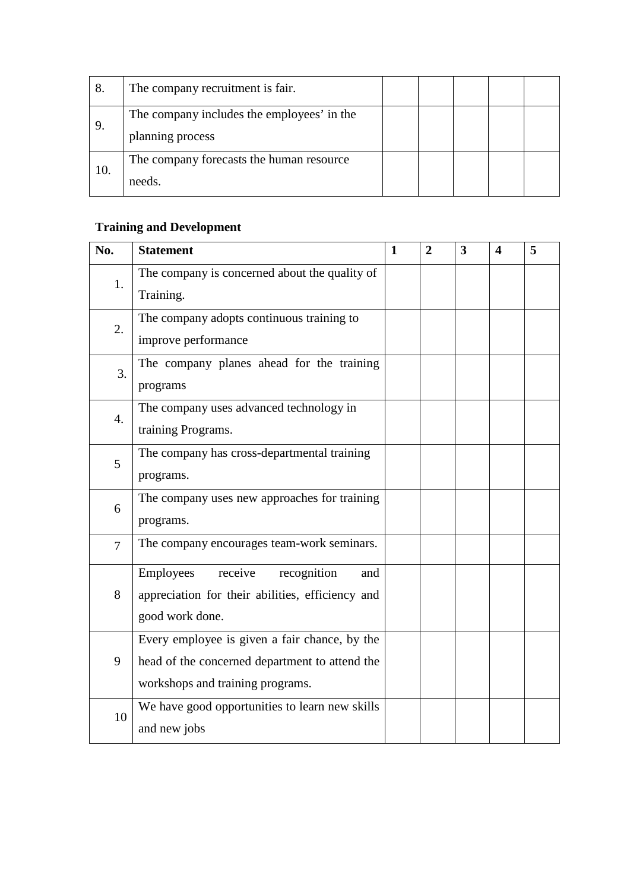| 8.  | The company recruitment is fair.                               |  |  |  |
|-----|----------------------------------------------------------------|--|--|--|
|     | The company includes the employees' in the<br>planning process |  |  |  |
| 10. | The company forecasts the human resource<br>needs.             |  |  |  |

# **Training and Development**

| No.              | <b>Statement</b>                                           | $\mathbf{1}$ | $\overline{2}$ | $\overline{\mathbf{3}}$ | 4 | 5 |
|------------------|------------------------------------------------------------|--------------|----------------|-------------------------|---|---|
| 1.               | The company is concerned about the quality of<br>Training. |              |                |                         |   |   |
|                  |                                                            |              |                |                         |   |   |
| 2.               | The company adopts continuous training to                  |              |                |                         |   |   |
|                  | improve performance                                        |              |                |                         |   |   |
| $\overline{3}$ . | The company planes ahead for the training                  |              |                |                         |   |   |
|                  | programs                                                   |              |                |                         |   |   |
| $\overline{4}$ . | The company uses advanced technology in                    |              |                |                         |   |   |
|                  | training Programs.                                         |              |                |                         |   |   |
| 5                | The company has cross-departmental training                |              |                |                         |   |   |
|                  | programs.                                                  |              |                |                         |   |   |
| 6                | The company uses new approaches for training               |              |                |                         |   |   |
|                  | programs.                                                  |              |                |                         |   |   |
| $\overline{7}$   | The company encourages team-work seminars.                 |              |                |                         |   |   |
|                  | Employees<br>receive<br>recognition<br>and                 |              |                |                         |   |   |
| 8                | appreciation for their abilities, efficiency and           |              |                |                         |   |   |
|                  | good work done.                                            |              |                |                         |   |   |
|                  | Every employee is given a fair chance, by the              |              |                |                         |   |   |
| 9                | head of the concerned department to attend the             |              |                |                         |   |   |
|                  | workshops and training programs.                           |              |                |                         |   |   |
| 10               | We have good opportunities to learn new skills             |              |                |                         |   |   |
|                  | and new jobs                                               |              |                |                         |   |   |
|                  |                                                            |              |                |                         |   |   |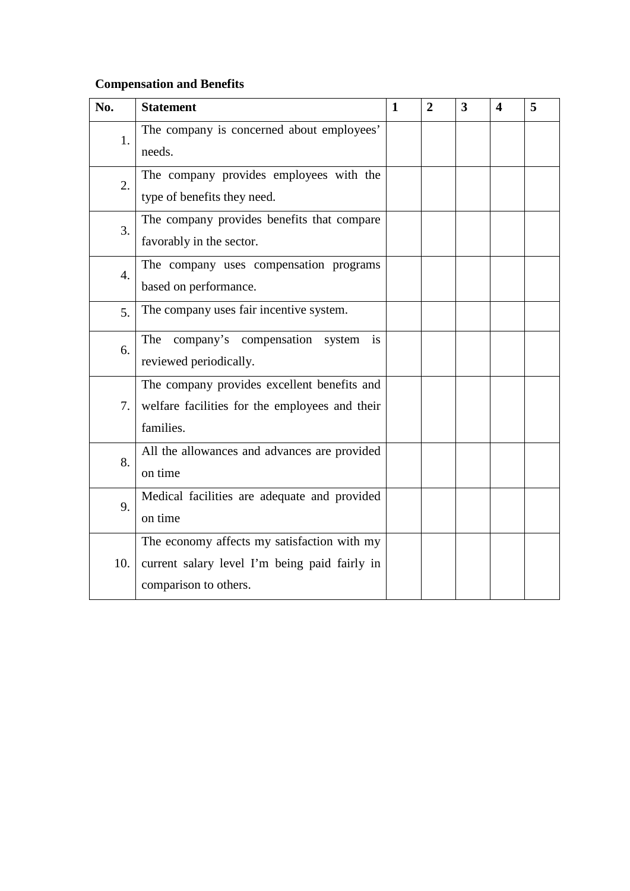# **Compensation and Benefits**

| No.              | <b>Statement</b>                               | 1 | $\overline{2}$ | $\overline{\mathbf{3}}$ | 4 | 5 |
|------------------|------------------------------------------------|---|----------------|-------------------------|---|---|
| 1.               | The company is concerned about employees'      |   |                |                         |   |   |
|                  | needs.                                         |   |                |                         |   |   |
| 2.               | The company provides employees with the        |   |                |                         |   |   |
|                  | type of benefits they need.                    |   |                |                         |   |   |
| 3.               | The company provides benefits that compare     |   |                |                         |   |   |
|                  | favorably in the sector.                       |   |                |                         |   |   |
| $\overline{4}$ . | The company uses compensation programs         |   |                |                         |   |   |
|                  | based on performance.                          |   |                |                         |   |   |
| 5.               | The company uses fair incentive system.        |   |                |                         |   |   |
| 6.               | company's compensation system<br>The<br>is     |   |                |                         |   |   |
|                  | reviewed periodically.                         |   |                |                         |   |   |
|                  | The company provides excellent benefits and    |   |                |                         |   |   |
| 7.               | welfare facilities for the employees and their |   |                |                         |   |   |
|                  | families.                                      |   |                |                         |   |   |
| 8.               | All the allowances and advances are provided   |   |                |                         |   |   |
|                  | on time                                        |   |                |                         |   |   |
| 9.               | Medical facilities are adequate and provided   |   |                |                         |   |   |
|                  | on time                                        |   |                |                         |   |   |
|                  | The economy affects my satisfaction with my    |   |                |                         |   |   |
| 10.              | current salary level I'm being paid fairly in  |   |                |                         |   |   |
|                  | comparison to others.                          |   |                |                         |   |   |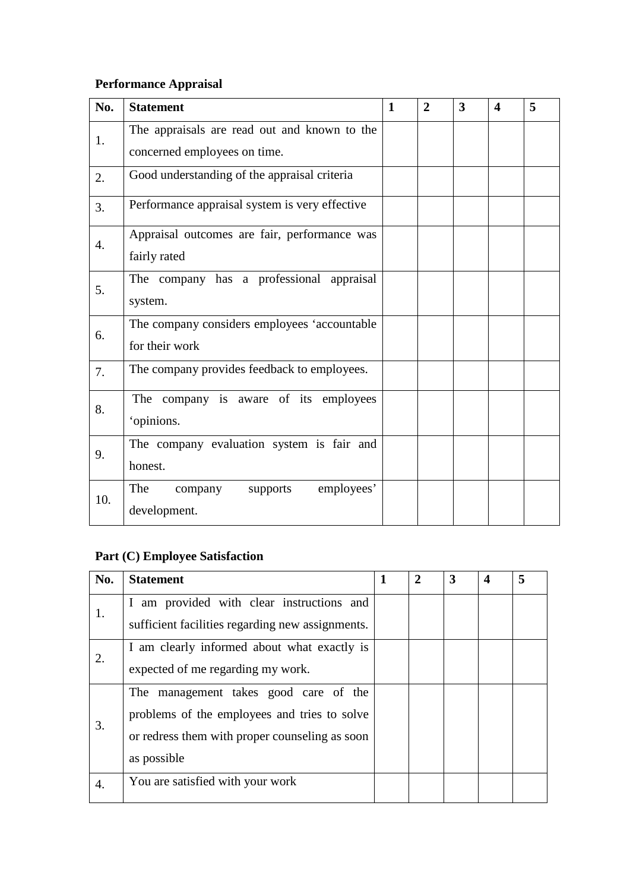# **Performance Appraisal**

| No. | <b>Statement</b>                                                             | 1 | $\mathbf{2}$ | 3 | $\overline{\mathbf{4}}$ | 5 |
|-----|------------------------------------------------------------------------------|---|--------------|---|-------------------------|---|
| 1.  | The appraisals are read out and known to the<br>concerned employees on time. |   |              |   |                         |   |
| 2.  | Good understanding of the appraisal criteria                                 |   |              |   |                         |   |
| 3.  | Performance appraisal system is very effective                               |   |              |   |                         |   |
| 4.  | Appraisal outcomes are fair, performance was<br>fairly rated                 |   |              |   |                         |   |
| 5.  | The company has a professional appraisal<br>system.                          |   |              |   |                         |   |
| 6.  | The company considers employees 'accountable<br>for their work               |   |              |   |                         |   |
| 7.  | The company provides feedback to employees.                                  |   |              |   |                         |   |
| 8.  | The company is aware of its employees<br>'opinions.                          |   |              |   |                         |   |
| 9.  | The company evaluation system is fair and<br>honest.                         |   |              |   |                         |   |
| 10. | The<br>employees'<br>company supports<br>development.                        |   |              |   |                         |   |

# **Part (C) Employee Satisfaction**

| No. | <b>Statement</b>                                                                                                                                       | $\mathbf{2}$ | 3 | $\boldsymbol{4}$ | 5 |
|-----|--------------------------------------------------------------------------------------------------------------------------------------------------------|--------------|---|------------------|---|
| 1.  | I am provided with clear instructions and<br>sufficient facilities regarding new assignments.                                                          |              |   |                  |   |
| 2.  | I am clearly informed about what exactly is<br>expected of me regarding my work.                                                                       |              |   |                  |   |
| 3.  | The management takes good care of the<br>problems of the employees and tries to solve<br>or redress them with proper counseling as soon<br>as possible |              |   |                  |   |
| 4.  | You are satisfied with your work                                                                                                                       |              |   |                  |   |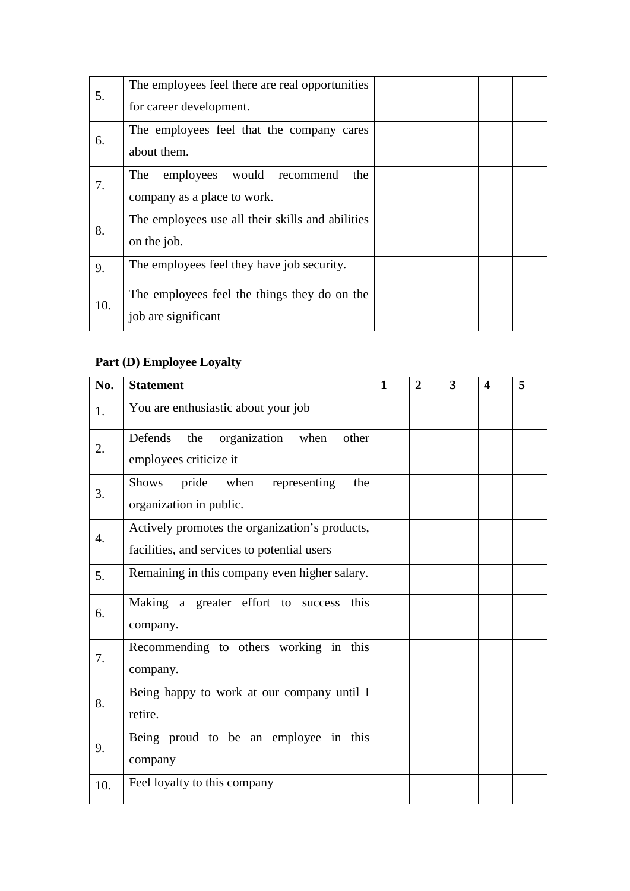| 5.  | The employees feel there are real opportunities<br>for career development.      |  |  |  |
|-----|---------------------------------------------------------------------------------|--|--|--|
| 6.  | The employees feel that the company cares                                       |  |  |  |
| 7.  | about them.<br>would<br>employees<br>The<br>recommend<br>the                    |  |  |  |
|     | company as a place to work.<br>The employees use all their skills and abilities |  |  |  |
| 8.  | on the job.                                                                     |  |  |  |
| 9.  | The employees feel they have job security.                                      |  |  |  |
| 10. | The employees feel the things they do on the<br>job are significant             |  |  |  |

# **Part (D) Employee Loyalty**

| No. | <b>Statement</b>                                                                              | $\mathbf{1}$ | $\overline{2}$ | 3 | $\boldsymbol{4}$ | 5 |
|-----|-----------------------------------------------------------------------------------------------|--------------|----------------|---|------------------|---|
| 1.  | You are enthusiastic about your job                                                           |              |                |   |                  |   |
| 2.  | organization<br>Defends<br>other<br>the<br>when<br>employees criticize it                     |              |                |   |                  |   |
| 3.  | representing<br>pride<br>when<br><b>Shows</b><br>the<br>organization in public.               |              |                |   |                  |   |
| 4.  | Actively promotes the organization's products,<br>facilities, and services to potential users |              |                |   |                  |   |
| 5.  | Remaining in this company even higher salary.                                                 |              |                |   |                  |   |
| 6.  | Making a greater effort to success<br>this<br>company.                                        |              |                |   |                  |   |
| 7.  | Recommending to others working in this<br>company.                                            |              |                |   |                  |   |
| 8.  | Being happy to work at our company until I<br>retire.                                         |              |                |   |                  |   |
| 9.  | Being proud to be an employee in this<br>company                                              |              |                |   |                  |   |
| 10. | Feel loyalty to this company                                                                  |              |                |   |                  |   |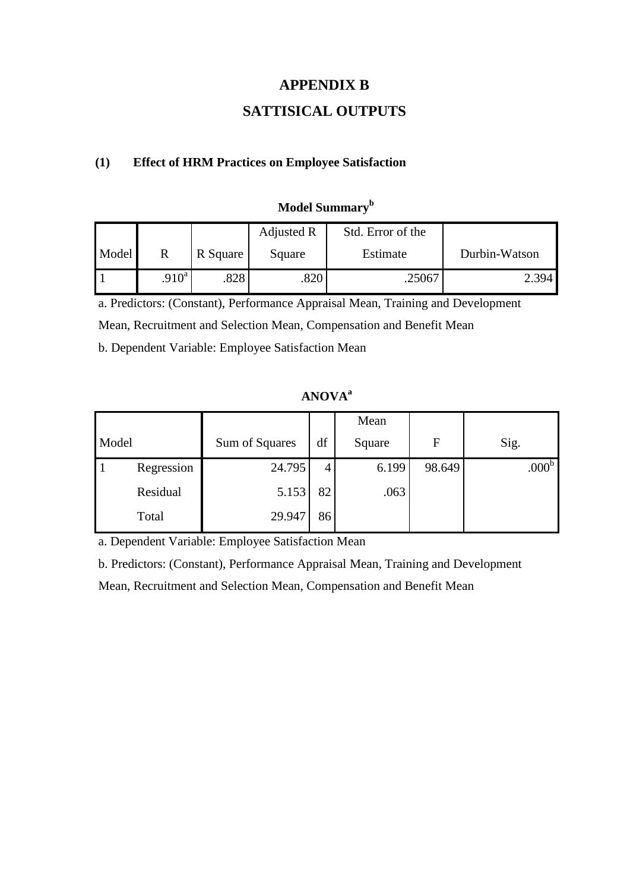## **APPENDIX B**

# **SATTISICAL OUTPUTS**

### **(1) Effect of HRM Practices on Employee Satisfaction**

|       |                   |          | Adjusted R | Std. Error of the |               |
|-------|-------------------|----------|------------|-------------------|---------------|
| Model | R                 | R Square | Square     | Estimate          | Durbin-Watson |
|       | .910 <sup>a</sup> | .828     | .820       | .25067            | 2.394         |

# **Model Summary<sup>b</sup>**

a. Predictors: (Constant), Performance Appraisal Mean, Training and Development

Mean, Recruitment and Selection Mean, Compensation and Benefit Mean

b. Dependent Variable: Employee Satisfaction Mean

## **ANOVAa**

|       |            |                |    | Mean   |              |                   |
|-------|------------|----------------|----|--------|--------------|-------------------|
| Model |            | Sum of Squares | df | Square | $\mathbf{F}$ | Sig.              |
|       | Regression | 24.795         | 4  | 6.199  | 98.649       | .000 <sup>b</sup> |
|       | Residual   | 5.153          | 82 | .063   |              |                   |
|       | Total      | 29.947         | 86 |        |              |                   |

a. Dependent Variable: Employee Satisfaction Mean

b. Predictors: (Constant), Performance Appraisal Mean, Training and Development

Mean, Recruitment and Selection Mean, Compensation and Benefit Mean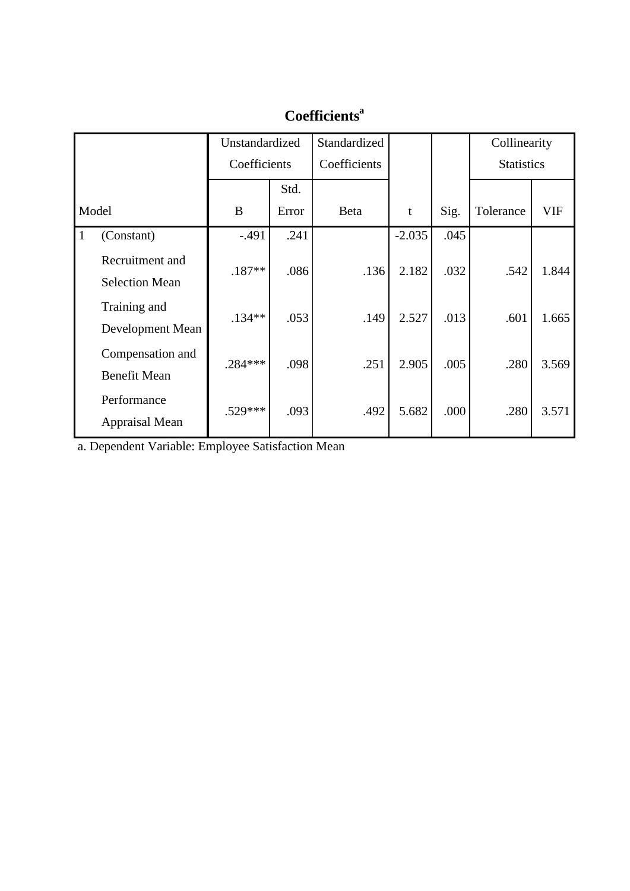|           |                                          | Unstandardized |       | Standardized |          |      | Collinearity      |            |
|-----------|------------------------------------------|----------------|-------|--------------|----------|------|-------------------|------------|
|           |                                          | Coefficients   |       | Coefficients |          |      | <b>Statistics</b> |            |
|           |                                          |                | Std.  |              |          |      |                   |            |
|           | Model                                    | B              | Error | <b>Beta</b>  | t        | Sig. | Tolerance         | <b>VIF</b> |
| $\vert$ 1 | (Constant)                               | $-.491$        | .241  |              | $-2.035$ | .045 |                   |            |
|           | Recruitment and<br><b>Selection Mean</b> | $.187**$       | .086  | .136         | 2.182    | .032 | .542              | 1.844      |
|           | Training and<br>Development Mean         | $.134***$      | .053  | .149         | 2.527    | .013 | .601              | 1.665      |
|           | Compensation and<br><b>Benefit Mean</b>  | $.284***$      | .098  | .251         | 2.905    | .005 | .280              | 3.569      |
|           | Performance<br>Appraisal Mean            | $.529***$      | .093  | .492         | 5.682    | .000 | .280              | 3.571      |

# **Coefficientsa**

a. Dependent Variable: Employee Satisfaction Mean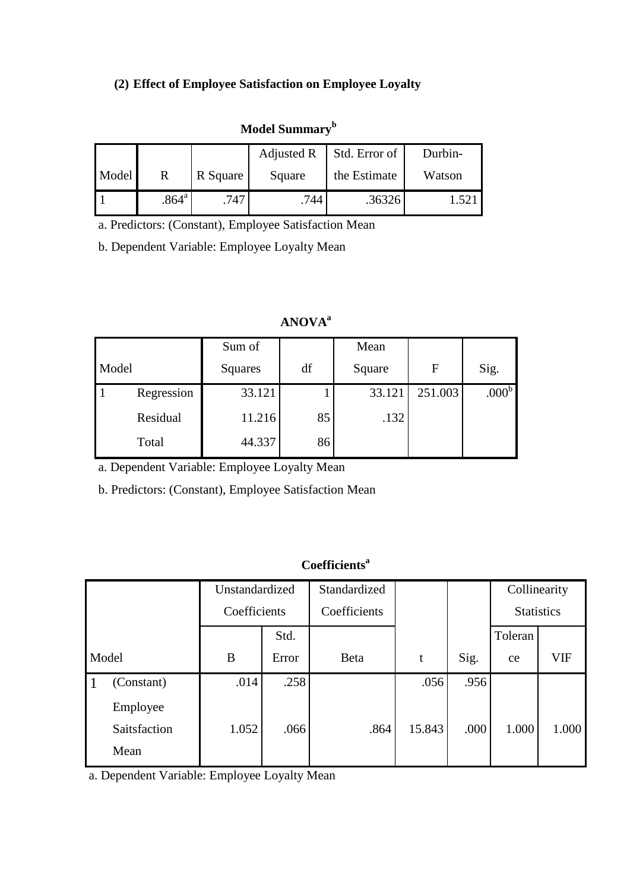# **(2) Effect of Employee Satisfaction on Employee Loyalty**

# **Model Summary<sup>b</sup>**

|       |                |          | Adjusted R | Std. Error of | Durbin- |
|-------|----------------|----------|------------|---------------|---------|
| Model |                | R Square | Square     | the Estimate  | Watson  |
|       | $.864^{\circ}$ | .747     | .744       | .36326        |         |

a. Predictors: (Constant), Employee Satisfaction Mean

b. Dependent Variable: Employee Loyalty Mean

## **ANOVAa**

|       |            | Sum of  |    | Mean   |         |                   |
|-------|------------|---------|----|--------|---------|-------------------|
| Model |            | Squares | df | Square | F       | Sig.              |
|       | Regression | 33.121  |    | 33.121 | 251.003 | .000 <sup>b</sup> |
|       | Residual   | 11.216  | 85 | .132   |         |                   |
|       | Total      | 44.337  | 86 |        |         |                   |

a. Dependent Variable: Employee Loyalty Mean

b. Predictors: (Constant), Employee Satisfaction Mean

# **Coefficientsa**

|       |                                  | Unstandardized |       | Standardized |        |      | Collinearity      |            |
|-------|----------------------------------|----------------|-------|--------------|--------|------|-------------------|------------|
|       |                                  | Coefficients   |       | Coefficients |        |      | <b>Statistics</b> |            |
|       |                                  |                | Std.  |              |        |      | Toleran           |            |
| Model |                                  | B              | Error | Beta         | t      | Sig. | ce                | <b>VIF</b> |
| 1     | (Constant)                       | .014           | .258  |              | .056   | .956 |                   |            |
|       | Employee<br>Saitsfaction<br>Mean | 1.052          | .066  | .864         | 15.843 | .000 | 1.000             | 1.000      |

a. Dependent Variable: Employee Loyalty Mean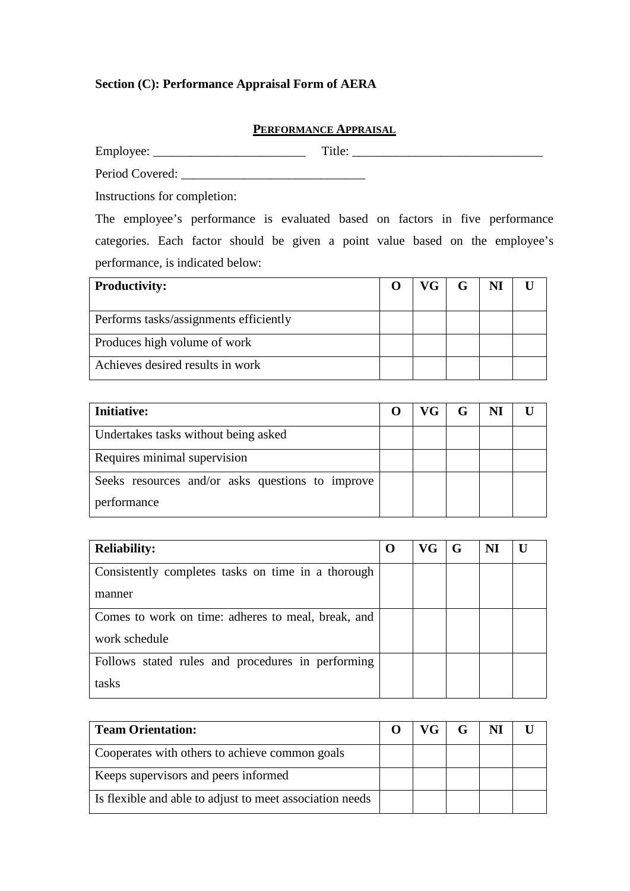## **Section (C): Performance Appraisal Form of AERA**

### **PERFORMANCE APPRAISAL**

Employee: \_\_\_\_\_\_\_\_\_\_\_\_\_\_\_\_\_\_\_\_\_\_\_\_ Title: \_\_\_\_\_\_\_\_\_\_\_\_\_\_\_\_\_\_\_\_\_\_\_\_\_\_\_\_\_\_

Period Covered: \_\_\_\_\_\_\_\_\_\_\_\_\_\_\_\_\_\_\_\_\_\_\_\_\_\_\_\_\_

Instructions for completion:

The employee's performance is evaluated based on factors in five performance categories. Each factor should be given a point value based on the employee's performance, is indicated below:

| <b>Productivity:</b>                   | VG- |  |  |
|----------------------------------------|-----|--|--|
|                                        |     |  |  |
| Performs tasks/assignments efficiently |     |  |  |
| Produces high volume of work           |     |  |  |
| Achieves desired results in work       |     |  |  |

| <b>Initiative:</b>                               | VG <sub>1</sub> | G | NI |  |
|--------------------------------------------------|-----------------|---|----|--|
| Undertakes tasks without being asked             |                 |   |    |  |
| Requires minimal supervision                     |                 |   |    |  |
| Seeks resources and/or asks questions to improve |                 |   |    |  |
| performance                                      |                 |   |    |  |

| <b>Reliability:</b>                                |  | VG | G | NI |  |
|----------------------------------------------------|--|----|---|----|--|
| Consistently completes tasks on time in a thorough |  |    |   |    |  |
| manner                                             |  |    |   |    |  |
| Comes to work on time: adheres to meal, break, and |  |    |   |    |  |
| work schedule                                      |  |    |   |    |  |
| Follows stated rules and procedures in performing  |  |    |   |    |  |
| tasks                                              |  |    |   |    |  |

| <b>Team Orientation:</b>                                 |  | VG <sub>1</sub> | G | NI |  |
|----------------------------------------------------------|--|-----------------|---|----|--|
| Cooperates with others to achieve common goals           |  |                 |   |    |  |
| Keeps supervisors and peers informed                     |  |                 |   |    |  |
| Is flexible and able to adjust to meet association needs |  |                 |   |    |  |